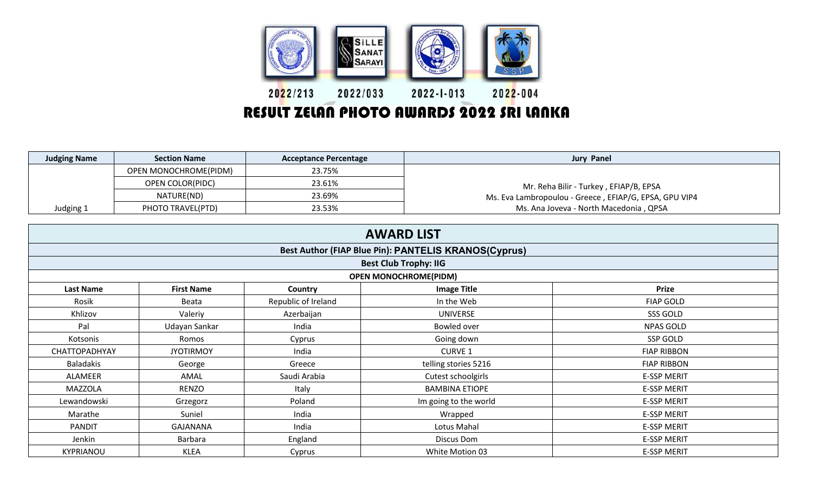

## RESULT ZELAN PHOTO AWARDS 2022 SRI LANKA

| <b>Judging Name</b> | <b>Section Name</b>     | <b>Acceptance Percentage</b> | <b>Jury Panel</b>                                      |
|---------------------|-------------------------|------------------------------|--------------------------------------------------------|
|                     | OPEN MONOCHROME(PIDM)   | 23.75%                       |                                                        |
|                     | <b>OPEN COLOR(PIDC)</b> | 23.61%                       | Mr. Reha Bilir - Turkey, EFIAP/B, EPSA                 |
|                     | NATURE(ND)              | 23.69%                       | Ms. Eva Lambropoulou - Greece, EFIAP/G, EPSA, GPU VIP4 |
| Judging 1           | PHOTO TRAVEL(PTD)       | 23.53%                       | Ms. Ana Joveva - North Macedonia, QPSA                 |

| <b>AWARD LIST</b>                                                                    |                   |                     |                       |                    |  |  |  |  |
|--------------------------------------------------------------------------------------|-------------------|---------------------|-----------------------|--------------------|--|--|--|--|
| Best Author (FIAP Blue Pin): PANTELIS KRANOS(Cyprus)<br><b>Best Club Trophy: IIG</b> |                   |                     |                       |                    |  |  |  |  |
|                                                                                      |                   |                     |                       |                    |  |  |  |  |
| <b>Last Name</b>                                                                     | <b>First Name</b> | Country             | <b>Image Title</b>    | <b>Prize</b>       |  |  |  |  |
| Rosik                                                                                | Beata             | Republic of Ireland | In the Web            | <b>FIAP GOLD</b>   |  |  |  |  |
| Khlizov                                                                              | Valeriy           | Azerbaijan          | <b>UNIVERSE</b>       | SSS GOLD           |  |  |  |  |
| Pal                                                                                  | Udayan Sankar     | India               | Bowled over           | <b>NPAS GOLD</b>   |  |  |  |  |
| Kotsonis                                                                             | Romos             | Cyprus              | Going down            | SSP GOLD           |  |  |  |  |
| CHATTOPADHYAY                                                                        | <b>JYOTIRMOY</b>  | India               | <b>CURVE 1</b>        | <b>FIAP RIBBON</b> |  |  |  |  |
| <b>Baladakis</b>                                                                     | George            | Greece              | telling stories 5216  | <b>FIAP RIBBON</b> |  |  |  |  |
| ALAMEER                                                                              | AMAL              | Saudi Arabia        | Cutest schoolgirls    | <b>E-SSP MERIT</b> |  |  |  |  |
| MAZZOLA                                                                              | RENZO             | Italy               | <b>BAMBINA ETIOPE</b> | <b>E-SSP MERIT</b> |  |  |  |  |
| Lewandowski                                                                          | Grzegorz          | Poland              | Im going to the world | <b>E-SSP MERIT</b> |  |  |  |  |
| Marathe                                                                              | Suniel            | India               | Wrapped               | <b>E-SSP MERIT</b> |  |  |  |  |
| <b>PANDIT</b>                                                                        | GAJANANA          | India               | Lotus Mahal           | <b>E-SSP MERIT</b> |  |  |  |  |
| Jenkin                                                                               | Barbara           | England             | Discus Dom            | <b>E-SSP MERIT</b> |  |  |  |  |
| <b>KYPRIANOU</b>                                                                     | <b>KLEA</b>       | Cyprus              | White Motion 03       | <b>E-SSP MERIT</b> |  |  |  |  |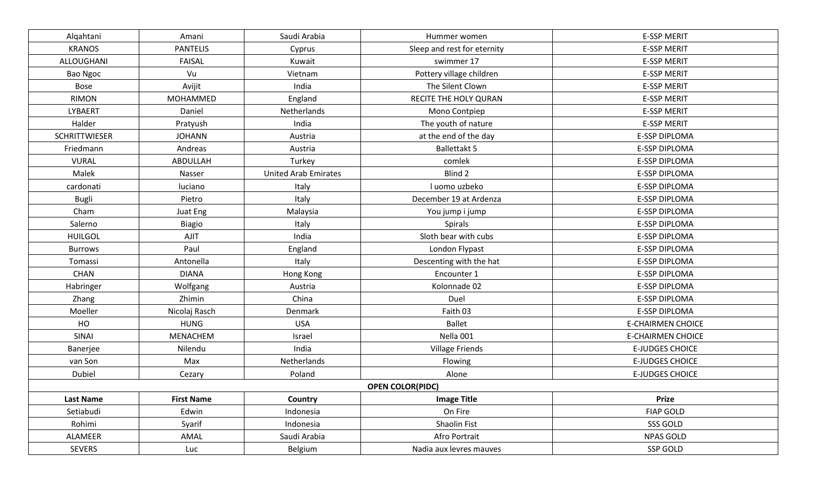| Alqahtani            | Amani             | Saudi Arabia                | Hummer women                | <b>E-SSP MERIT</b>       |
|----------------------|-------------------|-----------------------------|-----------------------------|--------------------------|
| <b>KRANOS</b>        | <b>PANTELIS</b>   |                             | Sleep and rest for eternity | <b>E-SSP MERIT</b>       |
| ALLOUGHANI           | <b>FAISAL</b>     | Kuwait                      | swimmer 17                  | <b>E-SSP MERIT</b>       |
| Bao Ngoc             | Vu                | Vietnam                     | Pottery village children    | <b>E-SSP MERIT</b>       |
| Bose                 | Avijit            | India                       | The Silent Clown            | <b>E-SSP MERIT</b>       |
| <b>RIMON</b>         | MOHAMMED          | England                     | RECITE THE HOLY QURAN       | <b>E-SSP MERIT</b>       |
| LYBAERT              | Daniel            | Netherlands                 | Mono Contpiep               | <b>E-SSP MERIT</b>       |
| Halder               | Pratyush          | India                       | The youth of nature         | <b>E-SSP MERIT</b>       |
| <b>SCHRITTWIESER</b> | <b>JOHANN</b>     | Austria                     | at the end of the day       | E-SSP DIPLOMA            |
| Friedmann            | Andreas           | Austria                     | <b>Ballettakt 5</b>         | E-SSP DIPLOMA            |
| <b>VURAL</b>         | ABDULLAH          | Turkey                      | comlek                      | E-SSP DIPLOMA            |
| Malek                | Nasser            | <b>United Arab Emirates</b> | Blind 2                     | E-SSP DIPLOMA            |
| cardonati            | luciano           | Italy                       | I uomo uzbeko               | <b>E-SSP DIPLOMA</b>     |
| Bugli                | Pietro            | Italy                       | December 19 at Ardenza      | <b>E-SSP DIPLOMA</b>     |
| Cham                 | Juat Eng          | Malaysia                    | You jump i jump             | <b>E-SSP DIPLOMA</b>     |
| Salerno              | Biagio            | Italy                       | Spirals                     | E-SSP DIPLOMA            |
| <b>HUILGOL</b>       | AJIT              | India                       | Sloth bear with cubs        | <b>E-SSP DIPLOMA</b>     |
| <b>Burrows</b>       | Paul              | England                     | London Flypast              | <b>E-SSP DIPLOMA</b>     |
| Tomassi              | Antonella         | Italy                       | Descenting with the hat     | <b>E-SSP DIPLOMA</b>     |
| <b>CHAN</b>          | <b>DIANA</b>      | Hong Kong                   | Encounter 1                 | <b>E-SSP DIPLOMA</b>     |
| Habringer            | Wolfgang          | Austria                     | Kolonnade 02                | <b>E-SSP DIPLOMA</b>     |
| Zhang                | Zhimin            | China                       | Duel                        | E-SSP DIPLOMA            |
| Moeller              | Nicolaj Rasch     | Denmark                     | Faith 03                    | E-SSP DIPLOMA            |
| HO                   | <b>HUNG</b>       | <b>USA</b>                  | <b>Ballet</b>               | <b>E-CHAIRMEN CHOICE</b> |
| SINAI                | MENACHEM          | Israel                      | Nella 001                   | <b>E-CHAIRMEN CHOICE</b> |
| Banerjee             | Nilendu           | India                       | <b>Village Friends</b>      | <b>E-JUDGES CHOICE</b>   |
| van Son              | Max               | Netherlands                 | Flowing                     | <b>E-JUDGES CHOICE</b>   |
| Dubiel               | Cezary            | Poland                      | Alone                       | <b>E-JUDGES CHOICE</b>   |
|                      |                   |                             | <b>OPEN COLOR(PIDC)</b>     |                          |
| <b>Last Name</b>     | <b>First Name</b> | Country                     | <b>Image Title</b>          | <b>Prize</b>             |
| Setiabudi            | Edwin             | Indonesia                   | On Fire                     | <b>FIAP GOLD</b>         |
| Rohimi               | Syarif            | Indonesia                   | Shaolin Fist                | SSS GOLD                 |
| ALAMEER              | AMAL              | Saudi Arabia                | Afro Portrait               | <b>NPAS GOLD</b>         |
| <b>SEVERS</b>        | Luc               | Belgium                     | Nadia aux levres mauves     | SSP GOLD                 |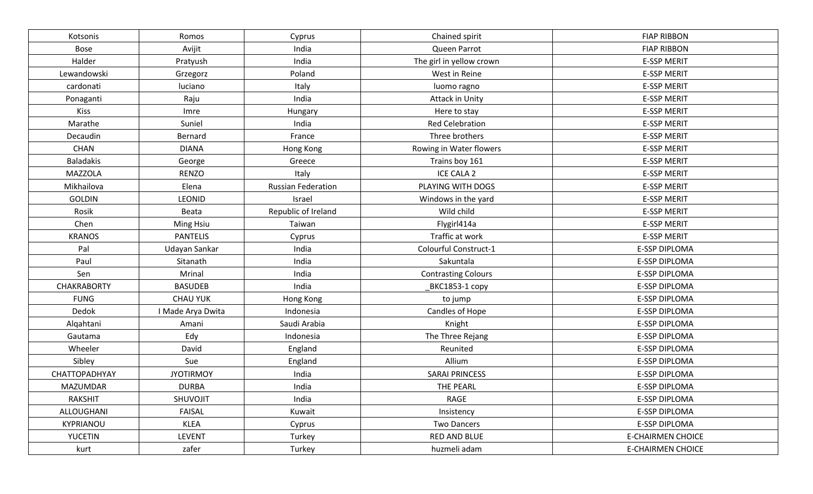| Chained spirit<br>Kotsonis<br>Cyprus<br>Romos<br>Avijit<br>India<br>Queen Parrot<br><b>Bose</b><br>Halder<br>India<br>The girl in yellow crown<br>Pratyush | <b>FIAP RIBBON</b><br><b>FIAP RIBBON</b> |
|------------------------------------------------------------------------------------------------------------------------------------------------------------|------------------------------------------|
|                                                                                                                                                            |                                          |
|                                                                                                                                                            |                                          |
|                                                                                                                                                            | <b>E-SSP MERIT</b>                       |
| Lewandowski<br>Poland<br>West in Reine<br>Grzegorz                                                                                                         | <b>E-SSP MERIT</b>                       |
| cardonati<br>luciano<br>Italy<br>luomo ragno                                                                                                               | <b>E-SSP MERIT</b>                       |
| India<br>Ponaganti<br>Raju<br><b>Attack in Unity</b>                                                                                                       | <b>E-SSP MERIT</b>                       |
| <b>Kiss</b><br>Imre<br>Hungary<br>Here to stay                                                                                                             | <b>E-SSP MERIT</b>                       |
| Marathe<br>Suniel<br><b>Red Celebration</b><br>India                                                                                                       | <b>E-SSP MERIT</b>                       |
| Three brothers<br>Decaudin<br>Bernard<br>France                                                                                                            | <b>E-SSP MERIT</b>                       |
| <b>CHAN</b><br><b>DIANA</b><br>Rowing in Water flowers<br>Hong Kong                                                                                        | <b>E-SSP MERIT</b>                       |
| <b>Baladakis</b><br>Trains boy 161<br>George<br>Greece                                                                                                     | <b>E-SSP MERIT</b>                       |
| MAZZOLA<br><b>RENZO</b><br>ICE CALA 2<br>Italy                                                                                                             | <b>E-SSP MERIT</b>                       |
| Mikhailova<br>Elena<br><b>Russian Federation</b><br>PLAYING WITH DOGS                                                                                      | <b>E-SSP MERIT</b>                       |
| LEONID<br><b>GOLDIN</b><br>Israel<br>Windows in the yard                                                                                                   | <b>E-SSP MERIT</b>                       |
| Rosik<br>Republic of Ireland<br>Wild child<br>Beata                                                                                                        | <b>E-SSP MERIT</b>                       |
| Chen<br>Ming Hsiu<br>Taiwan<br>Flygirl414a                                                                                                                 | <b>E-SSP MERIT</b>                       |
| <b>PANTELIS</b><br>Traffic at work<br><b>KRANOS</b><br>Cyprus                                                                                              | <b>E-SSP MERIT</b>                       |
| Udayan Sankar<br>Colourful Construct-1<br>Pal<br>India                                                                                                     | E-SSP DIPLOMA                            |
| Paul<br>India<br>Sitanath<br>Sakuntala                                                                                                                     | E-SSP DIPLOMA                            |
| Mrinal<br>Sen<br>India<br><b>Contrasting Colours</b>                                                                                                       | E-SSP DIPLOMA                            |
| <b>CHAKRABORTY</b><br>India<br><b>BASUDEB</b><br>BKC1853-1 copy                                                                                            | E-SSP DIPLOMA                            |
| <b>FUNG</b><br><b>CHAU YUK</b><br>Hong Kong<br>to jump                                                                                                     | E-SSP DIPLOMA                            |
| Dedok<br>Indonesia<br>Candles of Hope<br>I Made Arya Dwita                                                                                                 | <b>E-SSP DIPLOMA</b>                     |
| Saudi Arabia<br>Alqahtani<br>Amani<br>Knight                                                                                                               | <b>E-SSP DIPLOMA</b>                     |
| Edy<br>Indonesia<br>The Three Rejang<br>Gautama                                                                                                            | E-SSP DIPLOMA                            |
| Wheeler<br>David<br>England<br>Reunited                                                                                                                    | E-SSP DIPLOMA                            |
| Allium<br>Sibley<br>Sue<br>England                                                                                                                         | E-SSP DIPLOMA                            |
| CHATTOPADHYAY<br><b>JYOTIRMOY</b><br><b>SARAI PRINCESS</b><br>India                                                                                        | <b>E-SSP DIPLOMA</b>                     |
| <b>DURBA</b><br>India<br>THE PEARL<br><b>MAZUMDAR</b>                                                                                                      | <b>E-SSP DIPLOMA</b>                     |
| <b>RAKSHIT</b><br>SHUVOJIT<br>India<br>RAGE                                                                                                                | E-SSP DIPLOMA                            |
| <b>FAISAL</b><br>Kuwait<br>ALLOUGHANI<br>Insistency                                                                                                        | E-SSP DIPLOMA                            |
| <b>KLEA</b><br>KYPRIANOU<br><b>Two Dancers</b><br>Cyprus                                                                                                   | E-SSP DIPLOMA                            |
| <b>LEVENT</b><br><b>YUCETIN</b><br>Turkey<br>RED AND BLUE                                                                                                  | <b>E-CHAIRMEN CHOICE</b>                 |
| kurt<br>zafer<br>Turkey<br>huzmeli adam                                                                                                                    | <b>E-CHAIRMEN CHOICE</b>                 |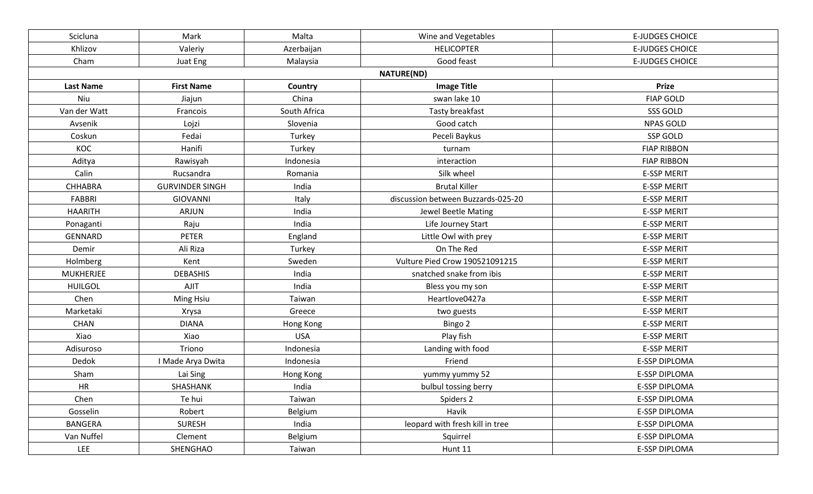| Scicluna           | Malta<br>Wine and Vegetables<br>Mark |              |                                    | <b>E-JUDGES CHOICE</b> |
|--------------------|--------------------------------------|--------------|------------------------------------|------------------------|
| Khlizov<br>Valeriy |                                      | Azerbaijan   | <b>HELICOPTER</b>                  | <b>E-JUDGES CHOICE</b> |
| Cham               | Juat Eng                             | Malaysia     | Good feast                         | <b>E-JUDGES CHOICE</b> |
|                    |                                      |              | <b>NATURE(ND)</b>                  |                        |
| <b>Last Name</b>   | <b>First Name</b>                    | Country      | <b>Image Title</b>                 | <b>Prize</b>           |
| Niu                | Jiajun                               | China        | swan lake 10                       | <b>FIAP GOLD</b>       |
| Van der Watt       | Francois                             | South Africa | Tasty breakfast                    | SSS GOLD               |
| Avsenik            | Lojzi                                | Slovenia     | Good catch                         | <b>NPAS GOLD</b>       |
| Coskun             | Fedai                                | Turkey       | Peceli Baykus                      | SSP GOLD               |
| KOC                | Hanifi                               | Turkey       | turnam                             | <b>FIAP RIBBON</b>     |
| Aditya             | Rawisyah                             | Indonesia    | interaction                        | <b>FIAP RIBBON</b>     |
| Calin              | Rucsandra                            | Romania      | Silk wheel                         | <b>E-SSP MERIT</b>     |
| <b>CHHABRA</b>     | <b>GURVINDER SINGH</b>               | India        | <b>Brutal Killer</b>               | <b>E-SSP MERIT</b>     |
| FABBRI             | <b>GIOVANNI</b>                      | Italy        | discussion between Buzzards-025-20 | <b>E-SSP MERIT</b>     |
| <b>HAARITH</b>     | <b>ARJUN</b>                         | India        | Jewel Beetle Mating                | <b>E-SSP MERIT</b>     |
| Ponaganti          | Raju                                 | India        | Life Journey Start                 | <b>E-SSP MERIT</b>     |
| <b>GENNARD</b>     | <b>PETER</b>                         | England      | Little Owl with prey               | <b>E-SSP MERIT</b>     |
| Demir              | Ali Riza                             | Turkey       | On The Red                         | <b>E-SSP MERIT</b>     |
| Holmberg           | Kent                                 | Sweden       | Vulture Pied Crow 190521091215     | <b>E-SSP MERIT</b>     |
| <b>MUKHERJEE</b>   | <b>DEBASHIS</b>                      | India        | snatched snake from ibis           | <b>E-SSP MERIT</b>     |
| <b>HUILGOL</b>     | <b>AJIT</b>                          | India        | Bless you my son                   | <b>E-SSP MERIT</b>     |
| Chen               | Ming Hsiu                            | Taiwan       | Heartlove0427a                     | <b>E-SSP MERIT</b>     |
| Marketaki          | Xrysa                                | Greece       | two guests                         | <b>E-SSP MERIT</b>     |
| CHAN               | <b>DIANA</b>                         | Hong Kong    | Bingo 2                            | <b>E-SSP MERIT</b>     |
| Xiao               | Xiao                                 | <b>USA</b>   | Play fish                          | <b>E-SSP MERIT</b>     |
| Adisuroso          | Triono                               | Indonesia    | Landing with food                  | <b>E-SSP MERIT</b>     |
| Dedok              | I Made Arya Dwita                    | Indonesia    | Friend                             | <b>E-SSP DIPLOMA</b>   |
| Sham               | Lai Sing                             | Hong Kong    | yummy yummy 52                     | <b>E-SSP DIPLOMA</b>   |
| HR                 | SHASHANK                             | India        | bulbul tossing berry               | <b>E-SSP DIPLOMA</b>   |
| Chen               | Te hui                               | Taiwan       | Spiders 2                          | E-SSP DIPLOMA          |
| Gosselin           | Robert                               | Belgium      | Havik                              | E-SSP DIPLOMA          |
| <b>BANGERA</b>     | <b>SURESH</b>                        | India        | leopard with fresh kill in tree    | E-SSP DIPLOMA          |
| Van Nuffel         | Clement                              | Belgium      | Squirrel                           | E-SSP DIPLOMA          |
| LEE                | SHENGHAO                             | Taiwan       | Hunt 11                            | E-SSP DIPLOMA          |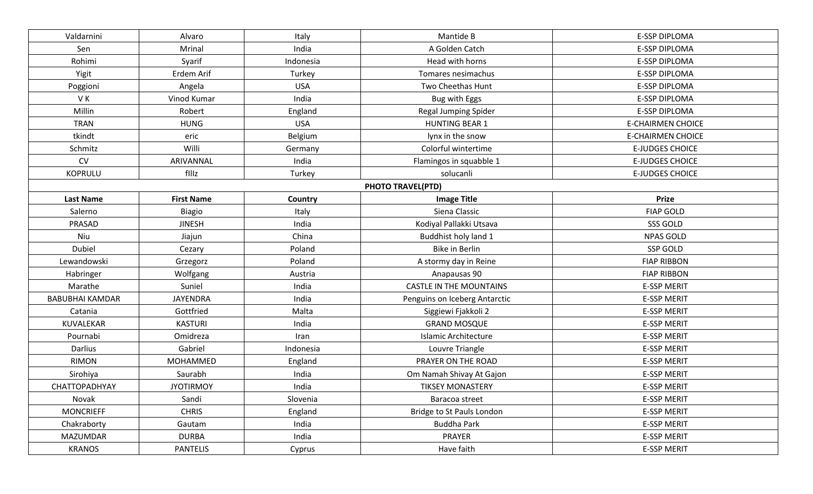| Valdarnini<br>Alvaro   |                   | Italy      | Mantide B                      | <b>E-SSP DIPLOMA</b>     |
|------------------------|-------------------|------------|--------------------------------|--------------------------|
| Sen                    | Mrinal            | India      | A Golden Catch                 | E-SSP DIPLOMA            |
| Rohimi                 | Syarif            | Indonesia  | Head with horns                | <b>E-SSP DIPLOMA</b>     |
| Yigit                  | Erdem Arif        |            | Tomares nesimachus             | <b>E-SSP DIPLOMA</b>     |
| Poggioni               | Angela            | <b>USA</b> | Two Cheethas Hunt              | E-SSP DIPLOMA            |
| VK                     | Vinod Kumar       | India      | Bug with Eggs                  | E-SSP DIPLOMA            |
| Millin                 | Robert            | England    | <b>Regal Jumping Spider</b>    | <b>E-SSP DIPLOMA</b>     |
| <b>TRAN</b>            | <b>HUNG</b>       | <b>USA</b> | <b>HUNTING BEAR 1</b>          | <b>E-CHAIRMEN CHOICE</b> |
| tkindt                 | eric              | Belgium    | lynx in the snow               | <b>E-CHAIRMEN CHOICE</b> |
| Schmitz                | Willi             | Germany    | Colorful wintertime            | <b>E-JUDGES CHOICE</b>   |
| CV                     | ARIVANNAL         | India      | Flamingos in squabble 1        | <b>E-JUDGES CHOICE</b>   |
| <b>KOPRULU</b>         | filiz             | Turkey     | solucanli                      | <b>E-JUDGES CHOICE</b>   |
|                        |                   |            | <b>PHOTO TRAVEL(PTD)</b>       |                          |
| <b>Last Name</b>       | <b>First Name</b> | Country    | <b>Image Title</b>             | <b>Prize</b>             |
| Salerno                | <b>Biagio</b>     | Italy      | Siena Classic                  | <b>FIAP GOLD</b>         |
| PRASAD                 | <b>JINESH</b>     | India      | Kodiyal Pallakki Utsava        | SSS GOLD                 |
| Niu                    | Jiajun            | China      | Buddhist holy land 1           | <b>NPAS GOLD</b>         |
| Dubiel                 | Cezary            | Poland     | Bike in Berlin                 | SSP GOLD                 |
| Lewandowski            | Grzegorz          | Poland     | A stormy day in Reine          | <b>FIAP RIBBON</b>       |
| Habringer              | Wolfgang          | Austria    | Anapausas 90                   | <b>FIAP RIBBON</b>       |
| Marathe                | Suniel            | India      | <b>CASTLE IN THE MOUNTAINS</b> | <b>E-SSP MERIT</b>       |
| <b>BABUBHAI KAMDAR</b> | <b>JAYENDRA</b>   | India      | Penguins on Iceberg Antarctic  | <b>E-SSP MERIT</b>       |
| Catania                | Gottfried         | Malta      | Siggiewi Fjakkoli 2            | <b>E-SSP MERIT</b>       |
| KUVALEKAR              | <b>KASTURI</b>    | India      | <b>GRAND MOSQUE</b>            | <b>E-SSP MERIT</b>       |
| Pournabi               | Omidreza          | Iran       | <b>Islamic Architecture</b>    | <b>E-SSP MERIT</b>       |
| Darlius                | Gabriel           | Indonesia  | Louvre Triangle                | <b>E-SSP MERIT</b>       |
| <b>RIMON</b>           | MOHAMMED          | England    | PRAYER ON THE ROAD             | <b>E-SSP MERIT</b>       |
| Sirohiya               | Saurabh           | India      | Om Namah Shivay At Gajon       | <b>E-SSP MERIT</b>       |
| CHATTOPADHYAY          | <b>JYOTIRMOY</b>  | India      | <b>TIKSEY MONASTERY</b>        | <b>E-SSP MERIT</b>       |
| Novak                  | Sandi             | Slovenia   | Baracoa street                 | <b>E-SSP MERIT</b>       |
| <b>MONCRIEFF</b>       | <b>CHRIS</b>      | England    | Bridge to St Pauls London      | <b>E-SSP MERIT</b>       |
| Chakraborty            | Gautam            | India      | <b>Buddha Park</b>             | <b>E-SSP MERIT</b>       |
| <b>MAZUMDAR</b>        | <b>DURBA</b>      | India      | PRAYER                         | <b>E-SSP MERIT</b>       |
| <b>KRANOS</b>          | <b>PANTELIS</b>   | Cyprus     | Have faith                     | <b>E-SSP MERIT</b>       |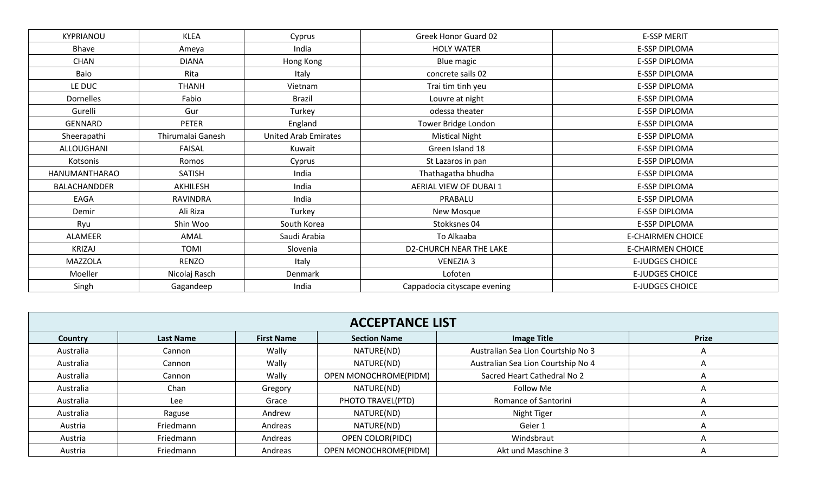| KYPRIANOU           | <b>KLEA</b>       | Cyprus                      | Greek Honor Guard 02           | <b>E-SSP MERIT</b>       |
|---------------------|-------------------|-----------------------------|--------------------------------|--------------------------|
| Bhave               | Ameya             | India                       | <b>HOLY WATER</b>              | E-SSP DIPLOMA            |
| CHAN                | <b>DIANA</b>      | Hong Kong                   | Blue magic                     | E-SSP DIPLOMA            |
| Baio                | Rita              | Italy                       | concrete sails 02              | E-SSP DIPLOMA            |
| LE DUC              | <b>THANH</b>      | Vietnam                     | Trai tim tinh yeu              | E-SSP DIPLOMA            |
| Dornelles           | Fabio             | <b>Brazil</b>               | Louvre at night                | <b>E-SSP DIPLOMA</b>     |
| Gurelli             | Gur               | Turkey                      | odessa theater                 | E-SSP DIPLOMA            |
| GENNARD             | <b>PETER</b>      | England                     | Tower Bridge London            | E-SSP DIPLOMA            |
| Sheerapathi         | Thirumalai Ganesh | <b>United Arab Emirates</b> | <b>Mistical Night</b>          | E-SSP DIPLOMA            |
| ALLOUGHANI          | FAISAL            | Kuwait                      | Green Island 18                | E-SSP DIPLOMA            |
| Kotsonis            | Cyprus<br>Romos   |                             | St Lazaros in pan              | E-SSP DIPLOMA            |
| HANUMANTHARAO       | <b>SATISH</b>     | India                       | Thathagatha bhudha             | E-SSP DIPLOMA            |
| <b>BALACHANDDER</b> | AKHILESH          | India                       | AERIAL VIEW OF DUBAI 1         | E-SSP DIPLOMA            |
| EAGA                | <b>RAVINDRA</b>   | India                       | PRABALU                        | E-SSP DIPLOMA            |
| Demir               | Ali Riza          | Turkey                      | New Mosque                     | E-SSP DIPLOMA            |
| Ryu                 | Shin Woo          | South Korea                 | Stokksnes 04                   | E-SSP DIPLOMA            |
| ALAMEER             | AMAL              | Saudi Arabia                | To Alkaaba                     | <b>E-CHAIRMEN CHOICE</b> |
| <b>KRIZAJ</b>       | TOMI              | Slovenia                    | <b>D2-CHURCH NEAR THE LAKE</b> | <b>E-CHAIRMEN CHOICE</b> |
| MAZZOLA             | <b>RENZO</b>      | Italy                       | <b>VENEZIA 3</b>               | <b>E-JUDGES CHOICE</b>   |
| Moeller             | Nicolaj Rasch     | Denmark                     | Lofoten                        | <b>E-JUDGES CHOICE</b>   |
| Singh               | Gagandeep         | India                       | Cappadocia cityscape evening   | <b>E-JUDGES CHOICE</b>   |

| <b>ACCEPTANCE LIST</b> |                  |                   |                         |                                    |              |  |
|------------------------|------------------|-------------------|-------------------------|------------------------------------|--------------|--|
| <b>Country</b>         | <b>Last Name</b> | <b>First Name</b> | <b>Section Name</b>     | <b>Image Title</b>                 | <b>Prize</b> |  |
| Australia              | Cannon           | Wally             | NATURE(ND)              | Australian Sea Lion Courtship No 3 |              |  |
| Australia              | Cannon           | Wally             | NATURE(ND)              | Australian Sea Lion Courtship No 4 |              |  |
| Australia              | Cannon           | Wally             | OPEN MONOCHROME(PIDM)   | Sacred Heart Cathedral No 2        |              |  |
| Australia              | Chan             | Gregory           | NATURE(ND)              | Follow Me                          |              |  |
| Australia              | Lee              | Grace             | PHOTO TRAVEL(PTD)       | Romance of Santorini               |              |  |
| Australia              | Raguse           | Andrew            | NATURE(ND)              | Night Tiger                        |              |  |
| Austria                | Friedmann        | Andreas           | NATURE(ND)              | Geier 1                            |              |  |
| Austria                | Friedmann        | Andreas           | <b>OPEN COLOR(PIDC)</b> | Windsbraut                         |              |  |
| Austria                | Friedmann        | Andreas           | OPEN MONOCHROME(PIDM)   | Akt und Maschine 3                 |              |  |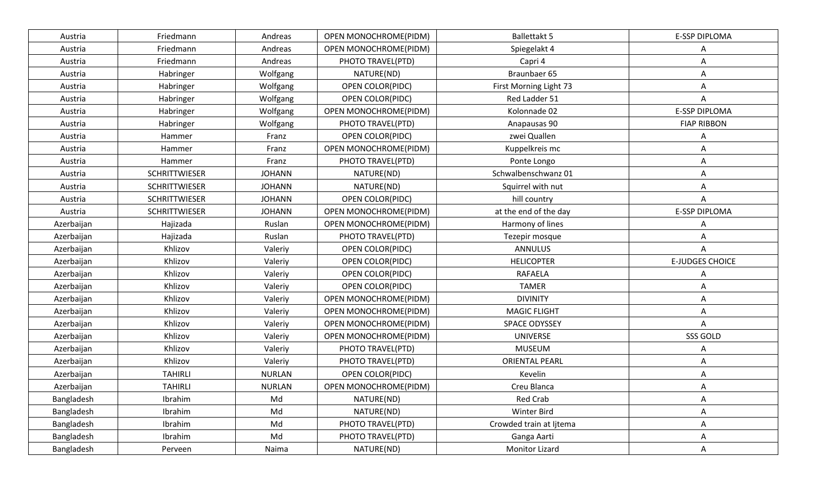| Austria    | Friedmann            | Andreas       | OPEN MONOCHROME(PIDM) | <b>Ballettakt 5</b>     | <b>E-SSP DIPLOMA</b>   |
|------------|----------------------|---------------|-----------------------|-------------------------|------------------------|
| Austria    | Friedmann            | Andreas       | OPEN MONOCHROME(PIDM) | Spiegelakt 4            | Α                      |
| Austria    | Friedmann            | Andreas       | PHOTO TRAVEL(PTD)     | Capri 4                 | Α                      |
| Austria    | Habringer            | Wolfgang      | NATURE(ND)            | Braunbaer 65            | Α                      |
| Austria    | Habringer            | Wolfgang      | OPEN COLOR(PIDC)      | First Morning Light 73  | Α                      |
| Austria    | Habringer            | Wolfgang      | OPEN COLOR(PIDC)      | Red Ladder 51           | Α                      |
| Austria    | Habringer            | Wolfgang      | OPEN MONOCHROME(PIDM) | Kolonnade 02            | <b>E-SSP DIPLOMA</b>   |
| Austria    | Habringer            | Wolfgang      | PHOTO TRAVEL(PTD)     | Anapausas 90            | <b>FIAP RIBBON</b>     |
| Austria    | Hammer               | Franz         | OPEN COLOR(PIDC)      | zwei Quallen            | Α                      |
| Austria    | Hammer               | Franz         | OPEN MONOCHROME(PIDM) | Kuppelkreis mc          | Α                      |
| Austria    | Hammer               | Franz         | PHOTO TRAVEL(PTD)     | Ponte Longo             | Α                      |
| Austria    | <b>SCHRITTWIESER</b> | <b>JOHANN</b> | NATURE(ND)            | Schwalbenschwanz 01     | Α                      |
| Austria    | <b>SCHRITTWIESER</b> | <b>JOHANN</b> | NATURE(ND)            | Squirrel with nut       | Α                      |
| Austria    | <b>SCHRITTWIESER</b> | <b>JOHANN</b> | OPEN COLOR(PIDC)      | hill country            | Α                      |
| Austria    | <b>SCHRITTWIESER</b> | <b>JOHANN</b> | OPEN MONOCHROME(PIDM) | at the end of the day   | <b>E-SSP DIPLOMA</b>   |
| Azerbaijan | Hajizada             | Ruslan        | OPEN MONOCHROME(PIDM) | Harmony of lines        | Α                      |
| Azerbaijan | Hajizada             | Ruslan        | PHOTO TRAVEL(PTD)     | Tezepir mosque          | Α                      |
| Azerbaijan | Khlizov              | Valeriy       | OPEN COLOR(PIDC)      | <b>ANNULUS</b>          | Α                      |
| Azerbaijan | Khlizov              | Valeriy       | OPEN COLOR(PIDC)      | <b>HELICOPTER</b>       | <b>E-JUDGES CHOICE</b> |
| Azerbaijan | Khlizov              | Valeriy       | OPEN COLOR(PIDC)      | <b>RAFAELA</b>          | Α                      |
| Azerbaijan | Khlizov              | Valeriy       | OPEN COLOR(PIDC)      | <b>TAMER</b>            | Α                      |
| Azerbaijan | Khlizov              | Valeriy       | OPEN MONOCHROME(PIDM) | <b>DIVINITY</b>         | Α                      |
| Azerbaijan | Khlizov              | Valeriy       | OPEN MONOCHROME(PIDM) | <b>MAGIC FLIGHT</b>     | Α                      |
| Azerbaijan | Khlizov              | Valeriy       | OPEN MONOCHROME(PIDM) | SPACE ODYSSEY           | Α                      |
| Azerbaijan | Khlizov              | Valeriy       | OPEN MONOCHROME(PIDM) | <b>UNIVERSE</b>         | SSS GOLD               |
| Azerbaijan | Khlizov              | Valeriy       | PHOTO TRAVEL(PTD)     | <b>MUSEUM</b>           | Α                      |
| Azerbaijan | Khlizov              | Valeriy       | PHOTO TRAVEL(PTD)     | <b>ORIENTAL PEARL</b>   | Α                      |
| Azerbaijan | <b>TAHIRLI</b>       | <b>NURLAN</b> | OPEN COLOR(PIDC)      | Kevelin                 | Α                      |
| Azerbaijan | <b>TAHIRLI</b>       | <b>NURLAN</b> | OPEN MONOCHROME(PIDM) | Creu Blanca             | Α                      |
| Bangladesh | Ibrahim              | Md            | NATURE(ND)            | Red Crab                | Α                      |
| Bangladesh | Ibrahim              | Md            | NATURE(ND)            | Winter Bird             | Α                      |
| Bangladesh | Ibrahim              | Md            | PHOTO TRAVEL(PTD)     | Crowded train at Ijtema | A                      |
| Bangladesh | Ibrahim              | Md            | PHOTO TRAVEL(PTD)     | Ganga Aarti             | Α                      |
| Bangladesh | Perveen              | Naima         | NATURE(ND)            | <b>Monitor Lizard</b>   | Α                      |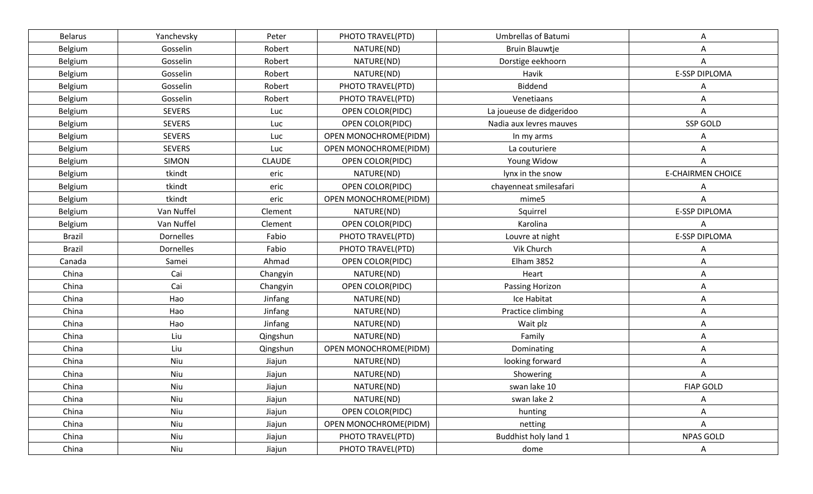| <b>Belarus</b> | Yanchevsky       | Peter         | PHOTO TRAVEL(PTD)     | <b>Umbrellas of Batumi</b> | Α                        |
|----------------|------------------|---------------|-----------------------|----------------------------|--------------------------|
| Belgium        | Gosselin         | Robert        | NATURE(ND)            | <b>Bruin Blauwtje</b>      | Α                        |
| <b>Belgium</b> | Gosselin         | Robert        | NATURE(ND)            | Dorstige eekhoorn          | Α                        |
| Belgium        | Gosselin         | Robert        | NATURE(ND)            | Havik                      | E-SSP DIPLOMA            |
| Belgium        | Gosselin         | Robert        | PHOTO TRAVEL(PTD)     | Biddend                    | A                        |
| Belgium        | Gosselin         | Robert        | PHOTO TRAVEL(PTD)     | Venetiaans                 | Α                        |
| Belgium        | <b>SEVERS</b>    | Luc           | OPEN COLOR(PIDC)      | La joueuse de didgeridoo   | Α                        |
| Belgium        | <b>SEVERS</b>    | Luc           | OPEN COLOR(PIDC)      | Nadia aux levres mauves    | SSP GOLD                 |
| Belgium        | <b>SEVERS</b>    | Luc           | OPEN MONOCHROME(PIDM) | In my arms                 | Α                        |
| Belgium        | <b>SEVERS</b>    | Luc           | OPEN MONOCHROME(PIDM) | La couturiere              | Α                        |
| Belgium        | <b>SIMON</b>     | <b>CLAUDE</b> | OPEN COLOR(PIDC)      | Young Widow                | Α                        |
| Belgium        | tkindt           | eric          | NATURE(ND)            | lynx in the snow           | <b>E-CHAIRMEN CHOICE</b> |
| Belgium        | tkindt           | eric          | OPEN COLOR(PIDC)      | chayenneat smilesafari     | Α                        |
| Belgium        | tkindt           | eric          | OPEN MONOCHROME(PIDM) | mime5                      | Α                        |
| Belgium        | Van Nuffel       | Clement       | NATURE(ND)            | Squirrel                   | E-SSP DIPLOMA            |
| Belgium        | Van Nuffel       | Clement       | OPEN COLOR(PIDC)      | Karolina                   | Α                        |
| <b>Brazil</b>  | Dornelles        | Fabio         | PHOTO TRAVEL(PTD)     | Louvre at night            | <b>E-SSP DIPLOMA</b>     |
| <b>Brazil</b>  | <b>Dornelles</b> | Fabio         | PHOTO TRAVEL(PTD)     | Vik Church                 | Α                        |
| Canada         | Samei            | Ahmad         | OPEN COLOR(PIDC)      | <b>Elham 3852</b>          | Α                        |
| China          | Cai              | Changyin      | NATURE(ND)            | Heart                      | Α                        |
| China          | Cai              | Changyin      | OPEN COLOR(PIDC)      | Passing Horizon            | Α                        |
| China          | Hao              | Jinfang       | NATURE(ND)            | Ice Habitat                | Α                        |
| China          | Hao              | Jinfang       | NATURE(ND)            | Practice climbing          | Α                        |
| China          | Hao              | Jinfang       | NATURE(ND)            | Wait plz                   | Α                        |
| China          | Liu              | Qingshun      | NATURE(ND)            | Family                     | Α                        |
| China          | Liu              | Qingshun      | OPEN MONOCHROME(PIDM) | Dominating                 | Α                        |
| China          | Niu              | Jiajun        | NATURE(ND)            | looking forward            | Α                        |
| China          | Niu              | Jiajun        | NATURE(ND)            | Showering                  | Α                        |
| China          | Niu              | Jiajun        | NATURE(ND)            | swan lake 10               | <b>FIAP GOLD</b>         |
| China          | Niu              | Jiajun        | NATURE(ND)            | swan lake 2                | Α                        |
| China          | Niu              | Jiajun        | OPEN COLOR(PIDC)      | hunting                    | A                        |
| China          | Niu              | Jiajun        | OPEN MONOCHROME(PIDM) | netting                    | A                        |
| China          | Niu              | Jiajun        | PHOTO TRAVEL(PTD)     | Buddhist holy land 1       | NPAS GOLD                |
| China          | Niu              | Jiajun        | PHOTO TRAVEL(PTD)     | dome                       | A                        |
|                |                  |               |                       |                            |                          |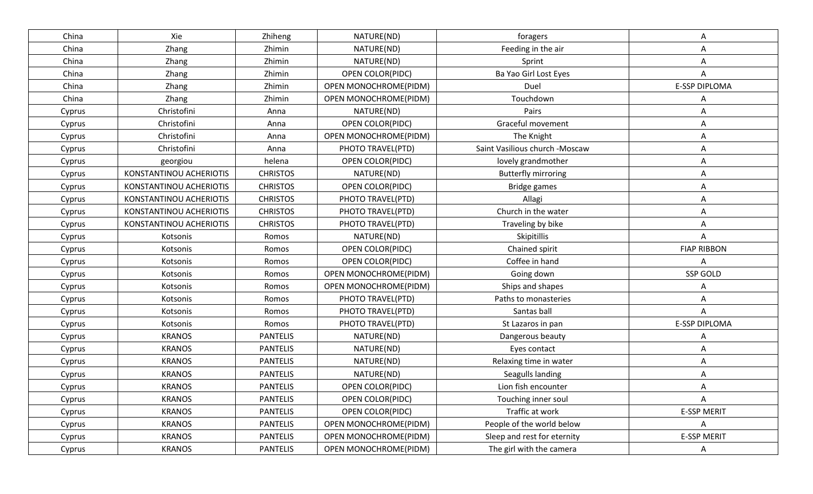| China  | Xie                     | Zhiheng         | NATURE(ND)              | foragers                       | A                    |
|--------|-------------------------|-----------------|-------------------------|--------------------------------|----------------------|
| China  | Zhang                   | Zhimin          | NATURE(ND)              | Feeding in the air             | Α                    |
| China  | Zhang                   | Zhimin          | NATURE(ND)              | Sprint                         | A                    |
| China  | Zhang                   | Zhimin          | <b>OPEN COLOR(PIDC)</b> | Ba Yao Girl Lost Eyes          | Α                    |
| China  | Zhang                   | Zhimin          | OPEN MONOCHROME(PIDM)   | Duel                           | <b>E-SSP DIPLOMA</b> |
| China  | Zhang                   | Zhimin          | OPEN MONOCHROME(PIDM)   | Touchdown                      |                      |
| Cyprus | Christofini             | Anna            | NATURE(ND)              | Pairs                          | A                    |
| Cyprus | Christofini             | Anna            | <b>OPEN COLOR(PIDC)</b> | Graceful movement              | Α                    |
| Cyprus | Christofini             | Anna            | OPEN MONOCHROME(PIDM)   | The Knight                     | A                    |
| Cyprus | Christofini             | Anna            | PHOTO TRAVEL(PTD)       | Saint Vasilious church -Moscaw | A                    |
| Cyprus | georgiou                | helena          | <b>OPEN COLOR(PIDC)</b> | lovely grandmother             | A                    |
| Cyprus | KONSTANTINOU ACHERIOTIS | <b>CHRISTOS</b> | NATURE(ND)              | <b>Butterfly mirroring</b>     | Α                    |
| Cyprus | KONSTANTINOU ACHERIOTIS | <b>CHRISTOS</b> | OPEN COLOR(PIDC)        | <b>Bridge games</b>            | A                    |
| Cyprus | KONSTANTINOU ACHERIOTIS | <b>CHRISTOS</b> | PHOTO TRAVEL(PTD)       | Allagi                         | Α                    |
| Cyprus | KONSTANTINOU ACHERIOTIS | <b>CHRISTOS</b> | PHOTO TRAVEL(PTD)       | Church in the water            | A                    |
| Cyprus | KONSTANTINOU ACHERIOTIS | <b>CHRISTOS</b> | PHOTO TRAVEL(PTD)       | Traveling by bike              | A                    |
| Cyprus | Kotsonis                | Romos           | NATURE(ND)              | Skipitillis                    | Α                    |
| Cyprus | Kotsonis                | Romos           | OPEN COLOR(PIDC)        | Chained spirit                 | <b>FIAP RIBBON</b>   |
| Cyprus | Kotsonis                | Romos           | OPEN COLOR(PIDC)        | Coffee in hand                 | A                    |
| Cyprus | Kotsonis                | Romos           | OPEN MONOCHROME(PIDM)   | Going down                     | SSP GOLD             |
| Cyprus | Kotsonis                | Romos           | OPEN MONOCHROME(PIDM)   | Ships and shapes               | A                    |
| Cyprus | Kotsonis                | Romos           | PHOTO TRAVEL(PTD)       | Paths to monasteries           | A                    |
| Cyprus | Kotsonis                | Romos           | PHOTO TRAVEL(PTD)       | Santas ball                    | A                    |
| Cyprus | Kotsonis                | Romos           | PHOTO TRAVEL(PTD)       | St Lazaros in pan              | <b>E-SSP DIPLOMA</b> |
| Cyprus | <b>KRANOS</b>           | <b>PANTELIS</b> | NATURE(ND)              | Dangerous beauty               |                      |
| Cyprus | <b>KRANOS</b>           | <b>PANTELIS</b> | NATURE(ND)              | Eyes contact                   | A                    |
| Cyprus | <b>KRANOS</b>           | <b>PANTELIS</b> | NATURE(ND)              | Relaxing time in water         | A                    |
| Cyprus | <b>KRANOS</b>           | <b>PANTELIS</b> | NATURE(ND)              | Seagulls landing               | A                    |
| Cyprus | <b>KRANOS</b>           | <b>PANTELIS</b> | <b>OPEN COLOR(PIDC)</b> | Lion fish encounter            |                      |
| Cyprus | <b>KRANOS</b>           | <b>PANTELIS</b> | OPEN COLOR(PIDC)        | Touching inner soul            | Α                    |
| Cyprus | <b>KRANOS</b>           | <b>PANTELIS</b> | OPEN COLOR(PIDC)        | Traffic at work                | <b>E-SSP MERIT</b>   |
| Cyprus | <b>KRANOS</b>           | <b>PANTELIS</b> | OPEN MONOCHROME(PIDM)   | People of the world below      | A                    |
| Cyprus | <b>KRANOS</b>           | <b>PANTELIS</b> | OPEN MONOCHROME(PIDM)   | Sleep and rest for eternity    | <b>E-SSP MERIT</b>   |
| Cyprus | <b>KRANOS</b>           | <b>PANTELIS</b> | OPEN MONOCHROME(PIDM)   | The girl with the camera       | A                    |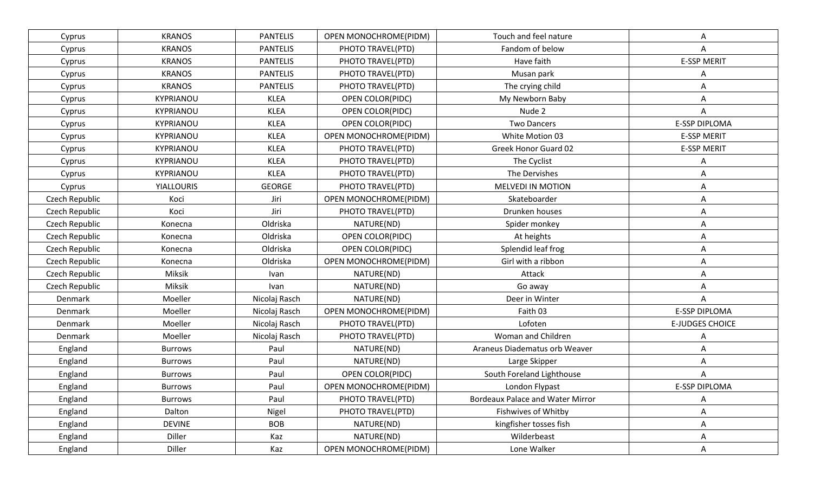| Cyprus         | <b>KRANOS</b>     | <b>PANTELIS</b> | OPEN MONOCHROME(PIDM)   | Touch and feel nature                   |                        |
|----------------|-------------------|-----------------|-------------------------|-----------------------------------------|------------------------|
| Cyprus         | <b>KRANOS</b>     | <b>PANTELIS</b> | PHOTO TRAVEL(PTD)       | Fandom of below                         | Α                      |
| Cyprus         | <b>KRANOS</b>     | <b>PANTELIS</b> | PHOTO TRAVEL(PTD)       | Have faith                              | <b>E-SSP MERIT</b>     |
| Cyprus         | <b>KRANOS</b>     | <b>PANTELIS</b> | PHOTO TRAVEL(PTD)       | Musan park                              | Α                      |
| Cyprus         | <b>KRANOS</b>     | <b>PANTELIS</b> | PHOTO TRAVEL(PTD)       | The crying child                        | Α                      |
| Cyprus         | KYPRIANOU         | <b>KLEA</b>     | OPEN COLOR(PIDC)        | My Newborn Baby                         | Α                      |
| Cyprus         | KYPRIANOU         | <b>KLEA</b>     | <b>OPEN COLOR(PIDC)</b> | Nude 2                                  | Α                      |
| Cyprus         | KYPRIANOU         | <b>KLEA</b>     | OPEN COLOR(PIDC)        | <b>Two Dancers</b>                      | <b>E-SSP DIPLOMA</b>   |
| Cyprus         | KYPRIANOU         | <b>KLEA</b>     | OPEN MONOCHROME(PIDM)   | White Motion 03                         | <b>E-SSP MERIT</b>     |
| Cyprus         | KYPRIANOU         | <b>KLEA</b>     | PHOTO TRAVEL(PTD)       | Greek Honor Guard 02                    | <b>E-SSP MERIT</b>     |
| Cyprus         | KYPRIANOU         | <b>KLEA</b>     | PHOTO TRAVEL(PTD)       | The Cyclist                             | Α                      |
| Cyprus         | KYPRIANOU         | <b>KLEA</b>     | PHOTO TRAVEL(PTD)       | The Dervishes                           | Α                      |
| Cyprus         | <b>YIALLOURIS</b> | <b>GEORGE</b>   | PHOTO TRAVEL(PTD)       | <b>MELVEDI IN MOTION</b>                | Α                      |
| Czech Republic | Koci              | Jiri            | OPEN MONOCHROME(PIDM)   | Skateboarder                            | Α                      |
| Czech Republic | Koci              | Jiri            | PHOTO TRAVEL(PTD)       | Drunken houses                          | Α                      |
| Czech Republic | Konecna           | Oldriska        | NATURE(ND)              | Spider monkey                           | Α                      |
| Czech Republic | Konecna           | Oldriska        | <b>OPEN COLOR(PIDC)</b> | At heights                              | Α                      |
| Czech Republic | Konecna           | Oldriska        | OPEN COLOR(PIDC)        | Splendid leaf frog                      | Α                      |
| Czech Republic | Konecna           | Oldriska        | OPEN MONOCHROME(PIDM)   | Girl with a ribbon                      | Α                      |
| Czech Republic | Miksik            | Ivan            | NATURE(ND)              | Attack                                  | Α                      |
| Czech Republic | Miksik            | Ivan            | NATURE(ND)              | Go away                                 | A                      |
| Denmark        | Moeller           | Nicolaj Rasch   | NATURE(ND)              | Deer in Winter                          | A                      |
| Denmark        | Moeller           | Nicolaj Rasch   | OPEN MONOCHROME(PIDM)   | Faith 03                                | <b>E-SSP DIPLOMA</b>   |
| Denmark        | Moeller           | Nicolaj Rasch   | PHOTO TRAVEL(PTD)       | Lofoten                                 | <b>E-JUDGES CHOICE</b> |
| Denmark        | Moeller           | Nicolaj Rasch   | PHOTO TRAVEL(PTD)       | Woman and Children                      | Α                      |
| England        | <b>Burrows</b>    | Paul            | NATURE(ND)              | Araneus Diadematus orb Weaver           | Α                      |
| England        | <b>Burrows</b>    | Paul            | NATURE(ND)              | Large Skipper                           | Α                      |
| England        | <b>Burrows</b>    | Paul            | OPEN COLOR(PIDC)        | South Foreland Lighthouse               | Α                      |
| England        | <b>Burrows</b>    | Paul            | OPEN MONOCHROME(PIDM)   | London Flypast                          | <b>E-SSP DIPLOMA</b>   |
| England        | <b>Burrows</b>    | Paul            | PHOTO TRAVEL(PTD)       | <b>Bordeaux Palace and Water Mirror</b> | Α                      |
| England        | Dalton            | Nigel           | PHOTO TRAVEL(PTD)       | Fishwives of Whitby                     | A                      |
| England        | <b>DEVINE</b>     | <b>BOB</b>      | NATURE(ND)              | kingfisher tosses fish                  | Α                      |
| England        | Diller            | Kaz             | NATURE(ND)              | Wilderbeast                             | Α                      |
| England        | Diller            | Kaz             | OPEN MONOCHROME(PIDM)   | Lone Walker                             | Α                      |
|                |                   |                 |                         |                                         |                        |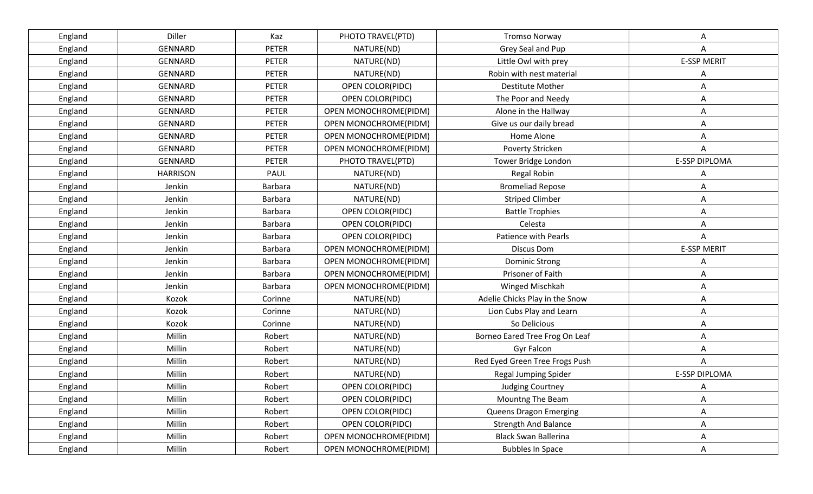| England | Diller          | Kaz            | PHOTO TRAVEL(PTD)       | <b>Tromso Norway</b>           | Α                    |
|---------|-----------------|----------------|-------------------------|--------------------------------|----------------------|
| England | GENNARD         | <b>PETER</b>   | NATURE(ND)              | Grey Seal and Pup              | Α                    |
| England | GENNARD         | <b>PETER</b>   | NATURE(ND)              | Little Owl with prey           | <b>E-SSP MERIT</b>   |
| England | GENNARD         | <b>PETER</b>   | NATURE(ND)              | Robin with nest material       | A                    |
| England | GENNARD         | <b>PETER</b>   | OPEN COLOR(PIDC)        | Destitute Mother               | Α                    |
| England | GENNARD         | <b>PETER</b>   | OPEN COLOR(PIDC)        | The Poor and Needy             | Α                    |
| England | GENNARD         | <b>PETER</b>   | OPEN MONOCHROME(PIDM)   | Alone in the Hallway           | Α                    |
| England | <b>GENNARD</b>  | <b>PETER</b>   | OPEN MONOCHROME(PIDM)   | Give us our daily bread        | Α                    |
| England | GENNARD         | <b>PETER</b>   | OPEN MONOCHROME(PIDM)   | Home Alone                     | Α                    |
| England | GENNARD         | <b>PETER</b>   | OPEN MONOCHROME(PIDM)   | Poverty Stricken               | Α                    |
| England | GENNARD         | <b>PETER</b>   | PHOTO TRAVEL(PTD)       | Tower Bridge London            | <b>E-SSP DIPLOMA</b> |
| England | <b>HARRISON</b> | PAUL           | NATURE(ND)              | Regal Robin                    | Α                    |
| England | Jenkin          | <b>Barbara</b> | NATURE(ND)              | <b>Bromeliad Repose</b>        | Α                    |
| England | Jenkin          | <b>Barbara</b> | NATURE(ND)              | <b>Striped Climber</b>         | Α                    |
| England | Jenkin          | <b>Barbara</b> | OPEN COLOR(PIDC)        | <b>Battle Trophies</b>         | Α                    |
| England | Jenkin          | <b>Barbara</b> | OPEN COLOR(PIDC)        | Celesta                        | Α                    |
| England | Jenkin          | <b>Barbara</b> | OPEN COLOR(PIDC)        | Patience with Pearls           | Α                    |
| England | Jenkin          | <b>Barbara</b> | OPEN MONOCHROME(PIDM)   | <b>Discus Dom</b>              | <b>E-SSP MERIT</b>   |
| England | Jenkin          | <b>Barbara</b> | OPEN MONOCHROME(PIDM)   | <b>Dominic Strong</b>          | Α                    |
| England | Jenkin          | <b>Barbara</b> | OPEN MONOCHROME(PIDM)   | Prisoner of Faith              | Α                    |
| England | Jenkin          | <b>Barbara</b> | OPEN MONOCHROME(PIDM)   | Winged Mischkah                | Α                    |
| England | Kozok           | Corinne        | NATURE(ND)              | Adelie Chicks Play in the Snow | Α                    |
| England | Kozok           | Corinne        | NATURE(ND)              | Lion Cubs Play and Learn       | Α                    |
| England | Kozok           | Corinne        | NATURE(ND)              | So Delicious                   | Α                    |
| England | Millin          | Robert         | NATURE(ND)              | Borneo Eared Tree Frog On Leaf | Α                    |
| England | Millin          | Robert         | NATURE(ND)              | Gyr Falcon                     | Α                    |
| England | Millin          | Robert         | NATURE(ND)              | Red Eyed Green Tree Frogs Push | A                    |
| England | Millin          | Robert         | NATURE(ND)              | <b>Regal Jumping Spider</b>    | <b>E-SSP DIPLOMA</b> |
| England | Millin          | Robert         | <b>OPEN COLOR(PIDC)</b> | Judging Courtney               | Α                    |
| England | Millin          | Robert         | OPEN COLOR(PIDC)        | Mountng The Beam               | Α                    |
| England | Millin          | Robert         | OPEN COLOR(PIDC)        | <b>Queens Dragon Emerging</b>  | A                    |
| England | Millin          | Robert         | OPEN COLOR(PIDC)        | <b>Strength And Balance</b>    | Α                    |
| England | Millin          | Robert         | OPEN MONOCHROME(PIDM)   | <b>Black Swan Ballerina</b>    | Α                    |
| England | Millin          | Robert         | OPEN MONOCHROME(PIDM)   | <b>Bubbles In Space</b>        | Α                    |
|         |                 |                |                         |                                |                      |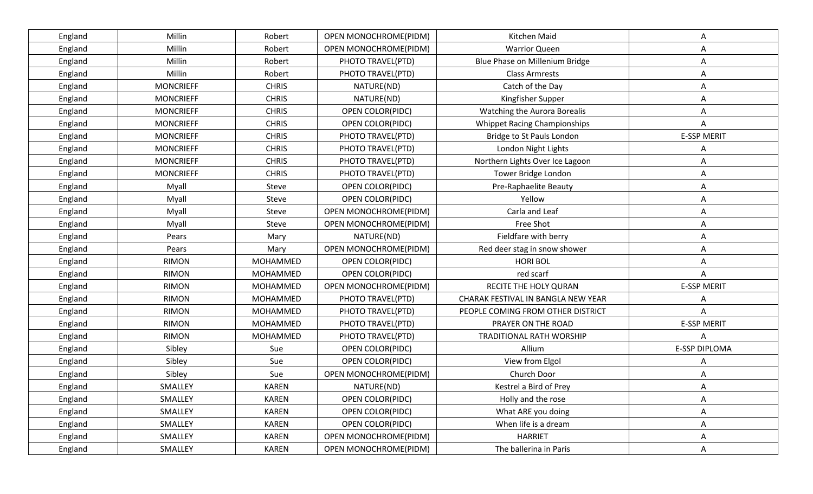| England | Millin           | Robert          | OPEN MONOCHROME(PIDM) | Kitchen Maid                        | Α                  |
|---------|------------------|-----------------|-----------------------|-------------------------------------|--------------------|
| England | Millin           | Robert          | OPEN MONOCHROME(PIDM) | <b>Warrior Queen</b>                | A                  |
| England | Millin           | Robert          | PHOTO TRAVEL(PTD)     | Blue Phase on Millenium Bridge      | Α                  |
| England | Millin           | Robert          | PHOTO TRAVEL(PTD)     | <b>Class Armrests</b>               | Α                  |
| England | <b>MONCRIEFF</b> | <b>CHRIS</b>    | NATURE(ND)            | Catch of the Day                    | Α                  |
| England | <b>MONCRIEFF</b> | <b>CHRIS</b>    | NATURE(ND)            | Kingfisher Supper                   | Α                  |
| England | <b>MONCRIEFF</b> | <b>CHRIS</b>    | OPEN COLOR(PIDC)      | Watching the Aurora Borealis        | Α                  |
| England | <b>MONCRIEFF</b> | <b>CHRIS</b>    | OPEN COLOR(PIDC)      | <b>Whippet Racing Championships</b> | Α                  |
| England | <b>MONCRIEFF</b> | <b>CHRIS</b>    | PHOTO TRAVEL(PTD)     | Bridge to St Pauls London           | <b>E-SSP MERIT</b> |
| England | <b>MONCRIEFF</b> | <b>CHRIS</b>    | PHOTO TRAVEL(PTD)     | London Night Lights                 |                    |
| England | <b>MONCRIEFF</b> | <b>CHRIS</b>    | PHOTO TRAVEL(PTD)     | Northern Lights Over Ice Lagoon     | Α                  |
| England | <b>MONCRIEFF</b> | <b>CHRIS</b>    | PHOTO TRAVEL(PTD)     | Tower Bridge London                 | Α                  |
| England | Myall            | Steve           | OPEN COLOR(PIDC)      | Pre-Raphaelite Beauty               | Α                  |
| England | Myall            | Steve           | OPEN COLOR(PIDC)      | Yellow                              | A                  |
| England | Myall            | Steve           | OPEN MONOCHROME(PIDM) | Carla and Leaf                      | Α                  |
| England | Myall            | Steve           | OPEN MONOCHROME(PIDM) | Free Shot                           | Α                  |
| England | Pears            | Mary            | NATURE(ND)            | Fieldfare with berry                | Α                  |
| England | Pears            | Mary            | OPEN MONOCHROME(PIDM) | Red deer stag in snow shower        | Α                  |
| England | <b>RIMON</b>     | MOHAMMED        | OPEN COLOR(PIDC)      | <b>HORI BOL</b>                     | Α                  |
| England | <b>RIMON</b>     | MOHAMMED        | OPEN COLOR(PIDC)      | red scarf                           | Α                  |
| England | <b>RIMON</b>     | MOHAMMED        | OPEN MONOCHROME(PIDM) | RECITE THE HOLY QURAN               | <b>E-SSP MERIT</b> |
| England | <b>RIMON</b>     | <b>MOHAMMED</b> | PHOTO TRAVEL(PTD)     | CHARAK FESTIVAL IN BANGLA NEW YEAR  | Α                  |
| England | <b>RIMON</b>     | MOHAMMED        | PHOTO TRAVEL(PTD)     | PEOPLE COMING FROM OTHER DISTRICT   | Α                  |
| England | <b>RIMON</b>     | <b>MOHAMMED</b> | PHOTO TRAVEL(PTD)     | PRAYER ON THE ROAD                  | <b>E-SSP MERIT</b> |
| England | <b>RIMON</b>     | <b>MOHAMMED</b> | PHOTO TRAVEL(PTD)     | <b>TRADITIONAL RATH WORSHIP</b>     | A                  |
| England | Sibley           | Sue             | OPEN COLOR(PIDC)      | Allium                              | E-SSP DIPLOMA      |
| England | Sibley           | Sue             | OPEN COLOR(PIDC)      | View from Elgol                     |                    |
| England | Sibley           | Sue             | OPEN MONOCHROME(PIDM) | Church Door                         |                    |
| England | SMALLEY          | <b>KAREN</b>    | NATURE(ND)            | Kestrel a Bird of Prey              |                    |
| England | SMALLEY          | <b>KAREN</b>    | OPEN COLOR(PIDC)      | Holly and the rose                  | Α                  |
| England | SMALLEY          | <b>KAREN</b>    | OPEN COLOR(PIDC)      | What ARE you doing                  | A                  |
| England | SMALLEY          | <b>KAREN</b>    | OPEN COLOR(PIDC)      | When life is a dream                | Α                  |
| England | SMALLEY          | <b>KAREN</b>    | OPEN MONOCHROME(PIDM) | <b>HARRIET</b>                      | Α                  |
| England | SMALLEY          | <b>KAREN</b>    | OPEN MONOCHROME(PIDM) | The ballerina in Paris              | Α                  |
|         |                  |                 |                       |                                     |                    |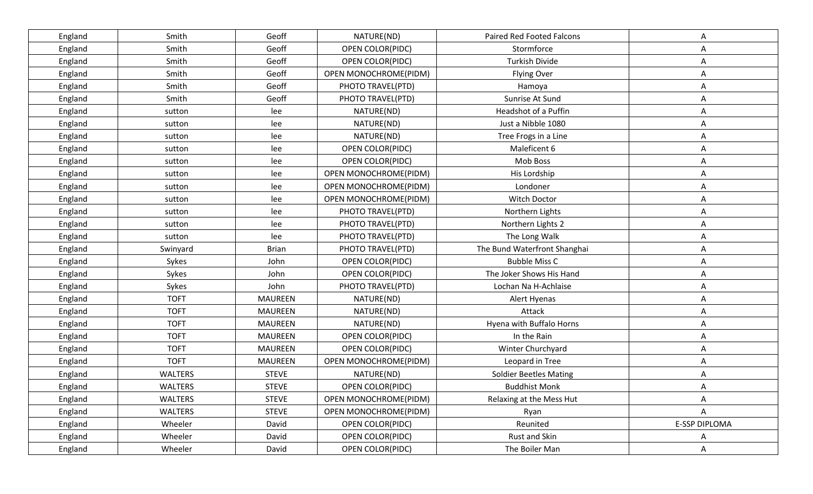| England | Smith          | Geoff          | NATURE(ND)              | Paired Red Footed Falcons     | Α             |
|---------|----------------|----------------|-------------------------|-------------------------------|---------------|
| England | Smith          | Geoff          | OPEN COLOR(PIDC)        | Stormforce                    | A             |
| England | Smith          | Geoff          | OPEN COLOR(PIDC)        | <b>Turkish Divide</b>         | Α             |
| England | Smith          | Geoff          | OPEN MONOCHROME(PIDM)   | <b>Flying Over</b>            | Α             |
| England | Smith          | Geoff          | PHOTO TRAVEL(PTD)       | Hamoya                        | Α             |
| England | Smith          | Geoff          | PHOTO TRAVEL(PTD)       | Sunrise At Sund               | Α             |
| England | sutton         | lee            | NATURE(ND)              | Headshot of a Puffin          | Α             |
| England | sutton         | lee            | NATURE(ND)              | Just a Nibble 1080            | Α             |
| England | sutton         | lee            | NATURE(ND)              | Tree Frogs in a Line          | Α             |
| England | sutton         | lee            | OPEN COLOR(PIDC)        | Maleficent 6                  | Α             |
| England | sutton         | lee            | OPEN COLOR(PIDC)        | Mob Boss                      | Α             |
| England | sutton         | lee            | OPEN MONOCHROME(PIDM)   | His Lordship                  | Α             |
| England | sutton         | lee            | OPEN MONOCHROME(PIDM)   | Londoner                      | Α             |
| England | sutton         | lee            | OPEN MONOCHROME(PIDM)   | Witch Doctor                  | Α             |
| England | sutton         | lee            | PHOTO TRAVEL(PTD)       | Northern Lights               | Α             |
| England | sutton         | lee            | PHOTO TRAVEL(PTD)       | Northern Lights 2             | Α             |
| England | sutton         | lee            | PHOTO TRAVEL(PTD)       | The Long Walk                 | Α             |
| England | Swinyard       | <b>Brian</b>   | PHOTO TRAVEL(PTD)       | The Bund Waterfront Shanghai  | Α             |
| England | Sykes          | John           | OPEN COLOR(PIDC)        | <b>Bubble Miss C</b>          | Α             |
| England | Sykes          | John           | OPEN COLOR(PIDC)        | The Joker Shows His Hand      | Α             |
| England | Sykes          | John           | PHOTO TRAVEL(PTD)       | Lochan Na H-Achlaise          | Α             |
| England | <b>TOFT</b>    | <b>MAUREEN</b> | NATURE(ND)              | Alert Hyenas                  | Α             |
| England | <b>TOFT</b>    | <b>MAUREEN</b> | NATURE(ND)              | Attack                        | Α             |
| England | <b>TOFT</b>    | <b>MAUREEN</b> | NATURE(ND)              | Hyena with Buffalo Horns      | Α             |
| England | <b>TOFT</b>    | <b>MAUREEN</b> | OPEN COLOR(PIDC)        | In the Rain                   | Α             |
| England | <b>TOFT</b>    | <b>MAUREEN</b> | OPEN COLOR(PIDC)        | Winter Churchyard             | A             |
| England | <b>TOFT</b>    | <b>MAUREEN</b> | OPEN MONOCHROME(PIDM)   | Leopard in Tree               | Α             |
| England | <b>WALTERS</b> | <b>STEVE</b>   | NATURE(ND)              | <b>Soldier Beetles Mating</b> | Α             |
| England | <b>WALTERS</b> | <b>STEVE</b>   | OPEN COLOR(PIDC)        | <b>Buddhist Monk</b>          | Α             |
| England | <b>WALTERS</b> | <b>STEVE</b>   | OPEN MONOCHROME(PIDM)   | Relaxing at the Mess Hut      | Α             |
| England | <b>WALTERS</b> | <b>STEVE</b>   | OPEN MONOCHROME(PIDM)   | Ryan                          | Α             |
| England | Wheeler        | David          | <b>OPEN COLOR(PIDC)</b> | Reunited                      | E-SSP DIPLOMA |
| England | Wheeler        | David          | OPEN COLOR(PIDC)        | Rust and Skin                 | A             |
| England | Wheeler        | David          | OPEN COLOR(PIDC)        | The Boiler Man                | Α             |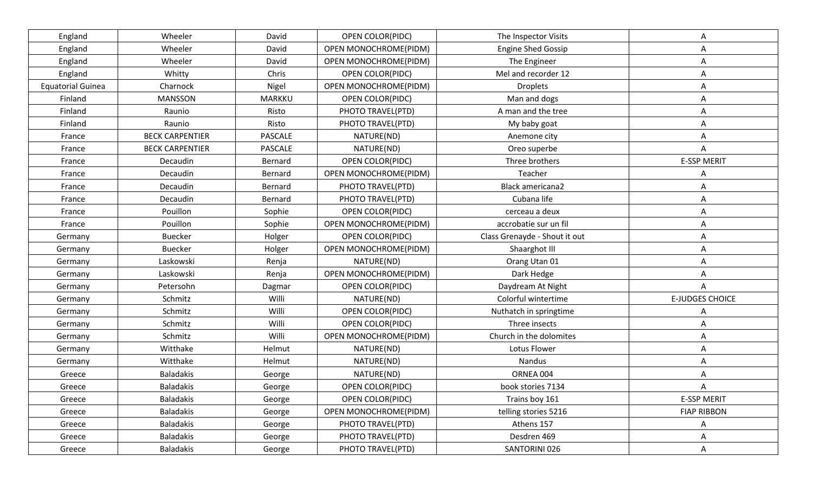| England                  | Wheeler                | David         | OPEN COLOR(PIDC)        | The Inspector Visits          | Α                      |
|--------------------------|------------------------|---------------|-------------------------|-------------------------------|------------------------|
| England                  | Wheeler                | David         | OPEN MONOCHROME(PIDM)   | <b>Engine Shed Gossip</b>     | Α                      |
| England                  | Wheeler                | David         | OPEN MONOCHROME(PIDM)   | The Engineer                  | Α                      |
| England                  | Whitty                 | Chris         | <b>OPEN COLOR(PIDC)</b> | Mel and recorder 12           | Α                      |
| <b>Equatorial Guinea</b> | Charnock               | Nigel         | OPEN MONOCHROME(PIDM)   | <b>Droplets</b>               | Α                      |
| Finland                  | <b>MANSSON</b>         | <b>MARKKU</b> | OPEN COLOR(PIDC)        | Man and dogs                  | Α                      |
| Finland                  | Raunio                 | Risto         | PHOTO TRAVEL(PTD)       | A man and the tree            | Α                      |
| Finland                  | Raunio                 | Risto         | PHOTO TRAVEL(PTD)       | My baby goat                  | Α                      |
| France                   | <b>BECK CARPENTIER</b> | PASCALE       | NATURE(ND)              | Anemone city                  | Α                      |
| France                   | <b>BECK CARPENTIER</b> | PASCALE       | NATURE(ND)              | Oreo superbe                  | Α                      |
| France                   | Decaudin               | Bernard       | OPEN COLOR(PIDC)        | Three brothers                | <b>E-SSP MERIT</b>     |
| France                   | Decaudin               | Bernard       | OPEN MONOCHROME(PIDM)   | Teacher                       | Α                      |
| France                   | Decaudin               | Bernard       | PHOTO TRAVEL(PTD)       | <b>Black americana2</b>       | Α                      |
| France                   | Decaudin               | Bernard       | PHOTO TRAVEL(PTD)       | Cubana life                   | Α                      |
| France                   | Pouillon               | Sophie        | OPEN COLOR(PIDC)        | cerceau a deux                | A                      |
| France                   | Pouillon               | Sophie        | OPEN MONOCHROME(PIDM)   | accrobatie sur un fil         | Α                      |
| Germany                  | <b>Buecker</b>         | Holger        | OPEN COLOR(PIDC)        | Class Grenayde - Shout it out | A                      |
| Germany                  | <b>Buecker</b>         | Holger        | OPEN MONOCHROME(PIDM)   | Shaarghot III                 | Α                      |
| Germany                  | Laskowski              | Renja         | NATURE(ND)              | Orang Utan 01                 | Α                      |
| Germany                  | Laskowski              | Renja         | OPEN MONOCHROME(PIDM)   | Dark Hedge                    | Α                      |
| Germany                  | Petersohn              | Dagmar        | OPEN COLOR(PIDC)        | Daydream At Night             | Α                      |
| Germany                  | Schmitz                | Willi         | NATURE(ND)              | Colorful wintertime           | <b>E-JUDGES CHOICE</b> |
| Germany                  | Schmitz                | Willi         | OPEN COLOR(PIDC)        | Nuthatch in springtime        | Α                      |
| Germany                  | Schmitz                | Willi         | OPEN COLOR(PIDC)        | Three insects                 | Α                      |
| Germany                  | Schmitz                | Willi         | OPEN MONOCHROME(PIDM)   | Church in the dolomites       | Α                      |
| Germany                  | Witthake               | Helmut        | NATURE(ND)              | Lotus Flower                  | Α                      |
| Germany                  | Witthake               | Helmut        | NATURE(ND)              | Nandus                        | Α                      |
| Greece                   | <b>Baladakis</b>       | George        | NATURE(ND)              | ORNEA 004                     | Α                      |
| Greece                   | <b>Baladakis</b>       | George        | OPEN COLOR(PIDC)        | book stories 7134             | Α                      |
| Greece                   | <b>Baladakis</b>       | George        | OPEN COLOR(PIDC)        | Trains boy 161                | <b>E-SSP MERIT</b>     |
| Greece                   | <b>Baladakis</b>       | George        | OPEN MONOCHROME(PIDM)   | telling stories 5216          | <b>FIAP RIBBON</b>     |
| Greece                   | <b>Baladakis</b>       | George        | PHOTO TRAVEL(PTD)       | Athens 157                    | Α                      |
| Greece                   | <b>Baladakis</b>       | George        | PHOTO TRAVEL(PTD)       | Desdren 469                   | Α                      |
| Greece                   | <b>Baladakis</b>       | George        | PHOTO TRAVEL(PTD)       | SANTORINI 026                 | A                      |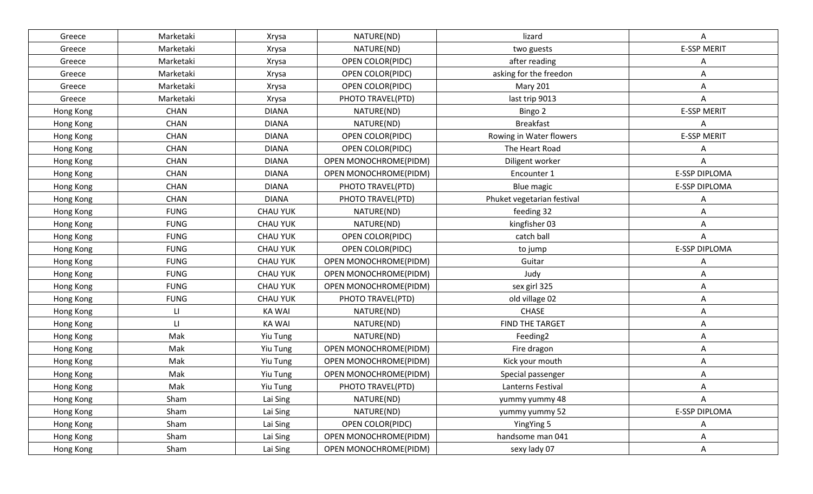| Greece    | Marketaki   | Xrysa           | NATURE(ND)            | lizard                     | A                    |
|-----------|-------------|-----------------|-----------------------|----------------------------|----------------------|
| Greece    | Marketaki   | Xrysa           | NATURE(ND)            | two guests                 | <b>E-SSP MERIT</b>   |
| Greece    | Marketaki   | Xrysa           | OPEN COLOR(PIDC)      | after reading              |                      |
| Greece    | Marketaki   | Xrysa           | OPEN COLOR(PIDC)      | asking for the freedon     | Α                    |
| Greece    | Marketaki   | Xrysa           | OPEN COLOR(PIDC)      | <b>Mary 201</b>            | Α                    |
| Greece    | Marketaki   | Xrysa           | PHOTO TRAVEL(PTD)     | last trip 9013             | A                    |
| Hong Kong | <b>CHAN</b> | <b>DIANA</b>    | NATURE(ND)            | Bingo 2                    | <b>E-SSP MERIT</b>   |
| Hong Kong | <b>CHAN</b> | <b>DIANA</b>    | NATURE(ND)            | <b>Breakfast</b>           | Α                    |
| Hong Kong | <b>CHAN</b> | <b>DIANA</b>    | OPEN COLOR(PIDC)      | Rowing in Water flowers    | <b>E-SSP MERIT</b>   |
| Hong Kong | <b>CHAN</b> | <b>DIANA</b>    | OPEN COLOR(PIDC)      | The Heart Road             | Α                    |
| Hong Kong | <b>CHAN</b> | <b>DIANA</b>    | OPEN MONOCHROME(PIDM) | Diligent worker            |                      |
| Hong Kong | <b>CHAN</b> | <b>DIANA</b>    | OPEN MONOCHROME(PIDM) | Encounter 1                | E-SSP DIPLOMA        |
| Hong Kong | <b>CHAN</b> | <b>DIANA</b>    | PHOTO TRAVEL(PTD)     | Blue magic                 | E-SSP DIPLOMA        |
| Hong Kong | <b>CHAN</b> | <b>DIANA</b>    | PHOTO TRAVEL(PTD)     | Phuket vegetarian festival | Α                    |
| Hong Kong | <b>FUNG</b> | <b>CHAU YUK</b> | NATURE(ND)            | feeding 32                 | Α                    |
| Hong Kong | <b>FUNG</b> | <b>CHAU YUK</b> | NATURE(ND)            | kingfisher 03              | Α                    |
| Hong Kong | <b>FUNG</b> | <b>CHAU YUK</b> | OPEN COLOR(PIDC)      | catch ball                 | Α                    |
| Hong Kong | <b>FUNG</b> | <b>CHAU YUK</b> | OPEN COLOR(PIDC)      | to jump                    | E-SSP DIPLOMA        |
| Hong Kong | <b>FUNG</b> | <b>CHAU YUK</b> | OPEN MONOCHROME(PIDM) | Guitar                     | Α                    |
| Hong Kong | <b>FUNG</b> | <b>CHAU YUK</b> | OPEN MONOCHROME(PIDM) | Judy                       | Α                    |
| Hong Kong | <b>FUNG</b> | <b>CHAU YUK</b> | OPEN MONOCHROME(PIDM) | sex girl 325               | Α                    |
| Hong Kong | <b>FUNG</b> | <b>CHAU YUK</b> | PHOTO TRAVEL(PTD)     | old village 02             | Α                    |
| Hong Kong | П           | <b>KA WAI</b>   | NATURE(ND)            | <b>CHASE</b>               | Α                    |
| Hong Kong | П           | <b>KA WAI</b>   | NATURE(ND)            | FIND THE TARGET            | Α                    |
| Hong Kong | Mak         | Yiu Tung        | NATURE(ND)            | Feeding2                   | Α                    |
| Hong Kong | Mak         | Yiu Tung        | OPEN MONOCHROME(PIDM) | Fire dragon                | Α                    |
| Hong Kong | Mak         | Yiu Tung        | OPEN MONOCHROME(PIDM) | Kick your mouth            | Α                    |
| Hong Kong | Mak         | Yiu Tung        | OPEN MONOCHROME(PIDM) | Special passenger          | Α                    |
| Hong Kong | Mak         | <b>Yiu Tung</b> | PHOTO TRAVEL(PTD)     | Lanterns Festival          | Α                    |
| Hong Kong | Sham        | Lai Sing        | NATURE(ND)            | yummy yummy 48             | A                    |
| Hong Kong | Sham        | Lai Sing        | NATURE(ND)            | yummy yummy 52             | <b>E-SSP DIPLOMA</b> |
| Hong Kong | Sham        | Lai Sing        | OPEN COLOR(PIDC)      | YingYing 5                 | Α                    |
| Hong Kong | Sham        | Lai Sing        | OPEN MONOCHROME(PIDM) | handsome man 041           | Α                    |
| Hong Kong | Sham        | Lai Sing        | OPEN MONOCHROME(PIDM) | sexy lady 07               | A                    |
|           |             |                 |                       |                            |                      |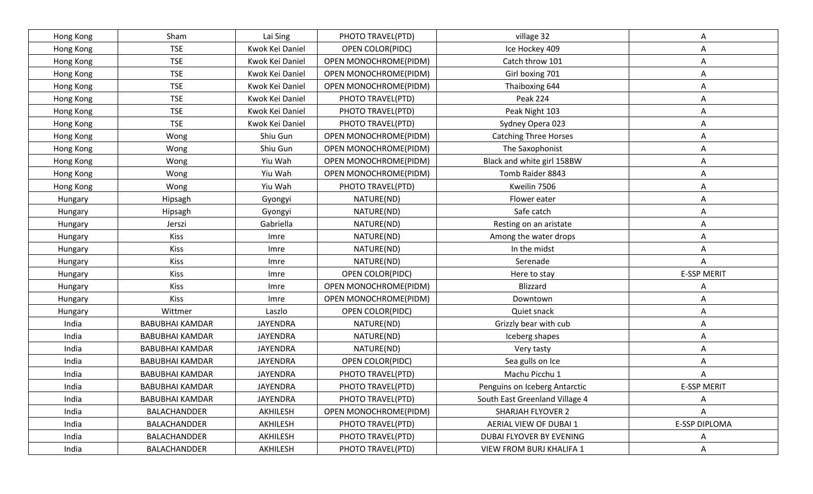| Hong Kong | Sham                   | Lai Sing        | PHOTO TRAVEL(PTD)     | village 32                     | Α                  |
|-----------|------------------------|-----------------|-----------------------|--------------------------------|--------------------|
| Hong Kong | <b>TSE</b>             | Kwok Kei Daniel | OPEN COLOR(PIDC)      | Ice Hockey 409                 | Α                  |
| Hong Kong | <b>TSE</b>             | Kwok Kei Daniel | OPEN MONOCHROME(PIDM) | Catch throw 101                | Α                  |
| Hong Kong | <b>TSE</b>             | Kwok Kei Daniel | OPEN MONOCHROME(PIDM) | Girl boxing 701                | Α                  |
| Hong Kong | <b>TSE</b>             | Kwok Kei Daniel | OPEN MONOCHROME(PIDM) | Thaiboxing 644                 | Α                  |
| Hong Kong | <b>TSE</b>             | Kwok Kei Daniel | PHOTO TRAVEL(PTD)     | Peak 224                       | Α                  |
| Hong Kong | <b>TSE</b>             | Kwok Kei Daniel | PHOTO TRAVEL(PTD)     | Peak Night 103                 | Α                  |
| Hong Kong | <b>TSE</b>             | Kwok Kei Daniel | PHOTO TRAVEL(PTD)     | Sydney Opera 023               | А                  |
| Hong Kong | Wong                   | Shiu Gun        | OPEN MONOCHROME(PIDM) | <b>Catching Three Horses</b>   | Α                  |
| Hong Kong | Wong                   | Shiu Gun        | OPEN MONOCHROME(PIDM) | The Saxophonist                | Α                  |
| Hong Kong | Wong                   | Yiu Wah         | OPEN MONOCHROME(PIDM) | Black and white girl 158BW     | Α                  |
| Hong Kong | Wong                   | Yiu Wah         | OPEN MONOCHROME(PIDM) | Tomb Raider 8843               | Α                  |
| Hong Kong | Wong                   | Yiu Wah         | PHOTO TRAVEL(PTD)     | Kweilin 7506                   | Α                  |
| Hungary   | Hipsagh                | Gyongyi         | NATURE(ND)            | Flower eater                   | Α                  |
| Hungary   | Hipsagh                | Gyongyi         | NATURE(ND)            | Safe catch                     | Α                  |
| Hungary   | Jerszi                 | Gabriella       | NATURE(ND)            | Resting on an aristate         | Α                  |
| Hungary   | <b>Kiss</b>            | Imre            | NATURE(ND)            | Among the water drops          | Α                  |
| Hungary   | Kiss                   | Imre            | NATURE(ND)            | In the midst                   | Α                  |
| Hungary   | Kiss                   | Imre            | NATURE(ND)            | Serenade                       | A                  |
| Hungary   | Kiss                   | Imre            | OPEN COLOR(PIDC)      | Here to stay                   | <b>E-SSP MERIT</b> |
| Hungary   | <b>Kiss</b>            | Imre            | OPEN MONOCHROME(PIDM) | <b>Blizzard</b>                | Α                  |
| Hungary   | Kiss                   | Imre            | OPEN MONOCHROME(PIDM) | Downtown                       | Α                  |
| Hungary   | Wittmer                | Laszlo          | OPEN COLOR(PIDC)      | Quiet snack                    | Α                  |
| India     | <b>BABUBHAI KAMDAR</b> | <b>JAYENDRA</b> | NATURE(ND)            | Grizzly bear with cub          | Α                  |
| India     | <b>BABUBHAI KAMDAR</b> | <b>JAYENDRA</b> | NATURE(ND)            | Iceberg shapes                 | Α                  |
| India     | <b>BABUBHAI KAMDAR</b> | JAYENDRA        | NATURE(ND)            | Very tasty                     | Α                  |
| India     | <b>BABUBHAI KAMDAR</b> | JAYENDRA        | OPEN COLOR(PIDC)      | Sea gulls on Ice               | Α                  |
| India     | <b>BABUBHAI KAMDAR</b> | <b>JAYENDRA</b> | PHOTO TRAVEL(PTD)     | Machu Picchu 1                 | Α                  |
| India     | <b>BABUBHAI KAMDAR</b> | JAYENDRA        | PHOTO TRAVEL(PTD)     | Penguins on Iceberg Antarctic  | <b>E-SSP MERIT</b> |
| India     | <b>BABUBHAI KAMDAR</b> | JAYENDRA        | PHOTO TRAVEL(PTD)     | South East Greenland Village 4 | Α                  |
| India     | BALACHANDDER           | AKHILESH        | OPEN MONOCHROME(PIDM) | SHARJAH FLYOVER 2              | A                  |
| India     | BALACHANDDER           | AKHILESH        | PHOTO TRAVEL(PTD)     | AERIAL VIEW OF DUBAI 1         | E-SSP DIPLOMA      |
| India     | <b>BALACHANDDER</b>    | AKHILESH        | PHOTO TRAVEL(PTD)     | DUBAI FLYOVER BY EVENING       | A                  |
| India     | <b>BALACHANDDER</b>    | AKHILESH        | PHOTO TRAVEL(PTD)     | VIEW FROM BURJ KHALIFA 1       | Α                  |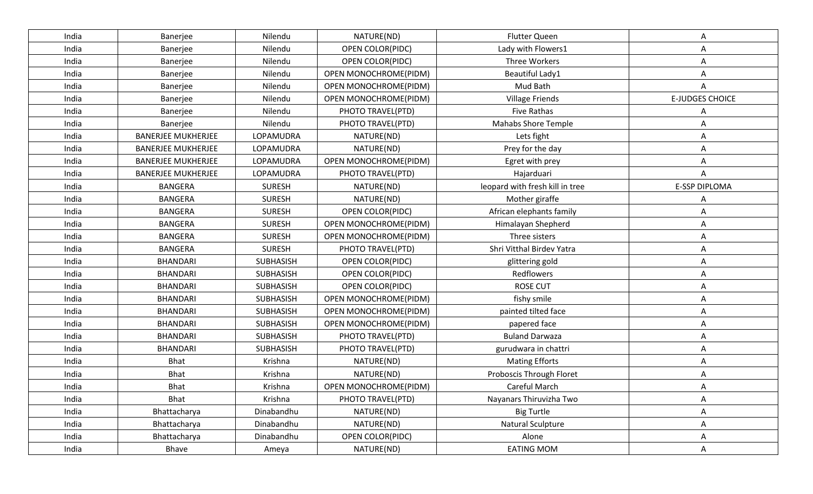| India | Banerjee                  | Nilendu          | NATURE(ND)              | <b>Flutter Queen</b>            | Α                      |
|-------|---------------------------|------------------|-------------------------|---------------------------------|------------------------|
| India | Banerjee                  | Nilendu          | <b>OPEN COLOR(PIDC)</b> | Lady with Flowers1              | A                      |
| India | Banerjee                  | Nilendu          | OPEN COLOR(PIDC)        | Three Workers                   | Α                      |
| India | Banerjee                  | Nilendu          | OPEN MONOCHROME(PIDM)   | Beautiful Lady1                 | Α                      |
| India | Banerjee                  | Nilendu          | OPEN MONOCHROME(PIDM)   | Mud Bath                        | Α                      |
| India | Banerjee                  | Nilendu          | OPEN MONOCHROME(PIDM)   | <b>Village Friends</b>          | <b>E-JUDGES CHOICE</b> |
| India | Banerjee                  | Nilendu          | PHOTO TRAVEL(PTD)       | <b>Five Rathas</b>              | A                      |
| India | Banerjee                  | Nilendu          | PHOTO TRAVEL(PTD)       | <b>Mahabs Shore Temple</b>      | Α                      |
| India | <b>BANERJEE MUKHERJEE</b> | LOPAMUDRA        | NATURE(ND)              | Lets fight                      | Α                      |
| India | <b>BANERJEE MUKHERJEE</b> | LOPAMUDRA        | NATURE(ND)              | Prey for the day                | Α                      |
| India | <b>BANERJEE MUKHERJEE</b> | LOPAMUDRA        | OPEN MONOCHROME(PIDM)   | Egret with prey                 |                        |
| India | <b>BANERJEE MUKHERJEE</b> | LOPAMUDRA        | PHOTO TRAVEL(PTD)       | Hajarduari                      | Α                      |
| India | <b>BANGERA</b>            | <b>SURESH</b>    | NATURE(ND)              | leopard with fresh kill in tree | E-SSP DIPLOMA          |
| India | <b>BANGERA</b>            | <b>SURESH</b>    | NATURE(ND)              | Mother giraffe                  | Α                      |
| India | <b>BANGERA</b>            | <b>SURESH</b>    | OPEN COLOR(PIDC)        | African elephants family        | Α                      |
| India | <b>BANGERA</b>            | <b>SURESH</b>    | OPEN MONOCHROME(PIDM)   | Himalayan Shepherd              | Α                      |
| India | <b>BANGERA</b>            | <b>SURESH</b>    | OPEN MONOCHROME(PIDM)   | Three sisters                   | Α                      |
| India | <b>BANGERA</b>            | <b>SURESH</b>    | PHOTO TRAVEL(PTD)       | Shri Vitthal Birdev Yatra       | Α                      |
| India | <b>BHANDARI</b>           | <b>SUBHASISH</b> | OPEN COLOR(PIDC)        | glittering gold                 | Α                      |
| India | <b>BHANDARI</b>           | SUBHASISH        | OPEN COLOR(PIDC)        | Redflowers                      | Α                      |
| India | <b>BHANDARI</b>           | SUBHASISH        | OPEN COLOR(PIDC)        | <b>ROSE CUT</b>                 | Α                      |
| India | <b>BHANDARI</b>           | <b>SUBHASISH</b> | OPEN MONOCHROME(PIDM)   | fishy smile                     | Α                      |
| India | <b>BHANDARI</b>           | SUBHASISH        | OPEN MONOCHROME(PIDM)   | painted tilted face             | Α                      |
| India | <b>BHANDARI</b>           | SUBHASISH        | OPEN MONOCHROME(PIDM)   | papered face                    | Α                      |
| India | <b>BHANDARI</b>           | <b>SUBHASISH</b> | PHOTO TRAVEL(PTD)       | <b>Buland Darwaza</b>           | Α                      |
| India | <b>BHANDARI</b>           | SUBHASISH        | PHOTO TRAVEL(PTD)       | gurudwara in chattri            | A                      |
| India | <b>Bhat</b>               | Krishna          | NATURE(ND)              | <b>Mating Efforts</b>           | Α                      |
| India | <b>Bhat</b>               | Krishna          | NATURE(ND)              | Proboscis Through Floret        | Α                      |
| India | <b>Bhat</b>               | Krishna          | OPEN MONOCHROME(PIDM)   | Careful March                   | А                      |
| India | Bhat                      | Krishna          | PHOTO TRAVEL(PTD)       | Nayanars Thiruvizha Two         | Α                      |
| India | Bhattacharya              | Dinabandhu       | NATURE(ND)              | <b>Big Turtle</b>               | Α                      |
| India | Bhattacharya              | Dinabandhu       | NATURE(ND)              | <b>Natural Sculpture</b>        | Α                      |
| India | Bhattacharya              | Dinabandhu       | OPEN COLOR(PIDC)        | Alone                           | Α                      |
| India | Bhave                     | Ameya            | NATURE(ND)              | <b>EATING MOM</b>               | A                      |
|       |                           |                  |                         |                                 |                        |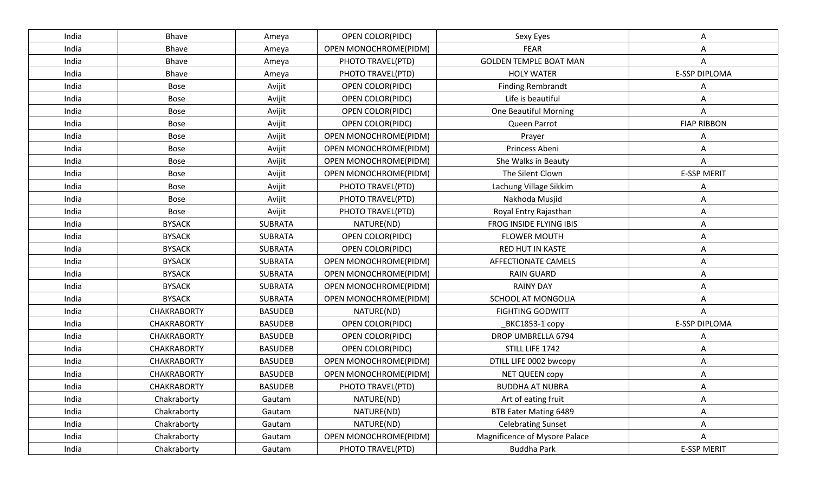| <b>OPEN COLOR(PIDC)</b><br>India<br>Bhave<br>Sexy Eyes<br>Ameya<br>A<br>Bhave<br>OPEN MONOCHROME(PIDM)<br><b>FEAR</b><br>India<br>Ameya<br>A<br><b>GOLDEN TEMPLE BOAT MAN</b><br>India<br>Bhave<br>PHOTO TRAVEL(PTD)<br>A<br>Ameya<br><b>E-SSP DIPLOMA</b><br>Bhave<br>PHOTO TRAVEL(PTD)<br><b>HOLY WATER</b><br>India<br>Ameya<br>India<br>Avijit<br>OPEN COLOR(PIDC)<br><b>Finding Rembrandt</b><br><b>Bose</b><br>A<br>Life is beautiful<br>Avijit<br>OPEN COLOR(PIDC)<br>India<br>Bose<br>Α<br>Avijit<br>OPEN COLOR(PIDC)<br><b>One Beautiful Morning</b><br>India<br>Bose<br>A<br><b>FIAP RIBBON</b><br>Avijit<br>India<br><b>Bose</b><br>OPEN COLOR(PIDC)<br>Queen Parrot<br>Avijit<br>OPEN MONOCHROME(PIDM)<br>India<br>Bose<br>Prayer<br>A<br>Princess Abeni<br><b>Bose</b><br>Avijit<br>OPEN MONOCHROME(PIDM)<br>India<br>Α<br>India<br>Avijit<br>OPEN MONOCHROME(PIDM)<br>She Walks in Beauty<br>Bose<br>A<br><b>E-SSP MERIT</b><br>The Silent Clown<br>India<br><b>Bose</b><br>Avijit<br>OPEN MONOCHROME(PIDM)<br>India<br><b>Bose</b><br>Avijit<br>PHOTO TRAVEL(PTD)<br>Lachung Village Sikkim<br>Avijit<br>PHOTO TRAVEL(PTD)<br>Nakhoda Musjid<br>India<br>Bose<br>A<br><b>Bose</b><br>Avijit<br>PHOTO TRAVEL(PTD)<br>Royal Entry Rajasthan<br>India<br>Α<br><b>BYSACK</b><br><b>SUBRATA</b><br>NATURE(ND)<br>FROG INSIDE FLYING IBIS<br>India<br>A<br><b>BYSACK</b><br>India<br><b>SUBRATA</b><br>OPEN COLOR(PIDC)<br><b>FLOWER MOUTH</b><br>A<br><b>BYSACK</b><br>India<br><b>SUBRATA</b><br>OPEN COLOR(PIDC)<br><b>RED HUT IN KASTE</b><br>A<br><b>BYSACK</b><br>OPEN MONOCHROME(PIDM)<br>India<br><b>SUBRATA</b><br>AFFECTIONATE CAMELS<br>Α<br><b>BYSACK</b><br>OPEN MONOCHROME(PIDM)<br>India<br><b>SUBRATA</b><br><b>RAIN GUARD</b><br>A<br><b>BYSACK</b><br>OPEN MONOCHROME(PIDM)<br><b>RAINY DAY</b><br>India<br><b>SUBRATA</b><br>Α<br><b>BYSACK</b><br><b>SUBRATA</b><br>OPEN MONOCHROME(PIDM)<br>SCHOOL AT MONGOLIA<br>India<br>A<br><b>CHAKRABORTY</b><br><b>BASUDEB</b><br>NATURE(ND)<br><b>FIGHTING GODWITT</b><br>India<br>Α<br><b>E-SSP DIPLOMA</b><br><b>CHAKRABORTY</b><br><b>BASUDEB</b><br>India<br>OPEN COLOR(PIDC)<br>BKC1853-1 copy<br><b>BASUDEB</b><br>DROP UMBRELLA 6794<br>India<br><b>CHAKRABORTY</b><br><b>OPEN COLOR(PIDC)</b><br>Α<br>STILL LIFE 1742<br>CHAKRABORTY<br><b>BASUDEB</b><br>OPEN COLOR(PIDC)<br>India<br>Α<br>India<br><b>CHAKRABORTY</b><br><b>BASUDEB</b><br>OPEN MONOCHROME(PIDM)<br>DTILL LIFE 0002 bwcopy<br>A<br><b>CHAKRABORTY</b><br><b>BASUDEB</b><br>OPEN MONOCHROME(PIDM)<br><b>NET QUEEN COPY</b><br>India<br>Α<br>PHOTO TRAVEL(PTD)<br><b>BUDDHA AT NUBRA</b><br>India<br><b>CHAKRABORTY</b><br><b>BASUDEB</b><br>A<br>Chakraborty<br>NATURE(ND)<br>Art of eating fruit<br>India<br>Gautam<br>Α<br>Chakraborty<br>NATURE(ND)<br>BTB Eater Mating 6489<br>India<br>Gautam<br>A<br>NATURE(ND)<br>Chakraborty<br><b>Celebrating Sunset</b><br>India<br>Gautam<br>A<br>Chakraborty<br>OPEN MONOCHROME(PIDM)<br>Magnificence of Mysore Palace<br>India<br>Gautam<br>A<br><b>E-SSP MERIT</b><br>Chakraborty<br>PHOTO TRAVEL(PTD)<br><b>Buddha Park</b><br>India<br>Gautam |  |  |  |  |
|---------------------------------------------------------------------------------------------------------------------------------------------------------------------------------------------------------------------------------------------------------------------------------------------------------------------------------------------------------------------------------------------------------------------------------------------------------------------------------------------------------------------------------------------------------------------------------------------------------------------------------------------------------------------------------------------------------------------------------------------------------------------------------------------------------------------------------------------------------------------------------------------------------------------------------------------------------------------------------------------------------------------------------------------------------------------------------------------------------------------------------------------------------------------------------------------------------------------------------------------------------------------------------------------------------------------------------------------------------------------------------------------------------------------------------------------------------------------------------------------------------------------------------------------------------------------------------------------------------------------------------------------------------------------------------------------------------------------------------------------------------------------------------------------------------------------------------------------------------------------------------------------------------------------------------------------------------------------------------------------------------------------------------------------------------------------------------------------------------------------------------------------------------------------------------------------------------------------------------------------------------------------------------------------------------------------------------------------------------------------------------------------------------------------------------------------------------------------------------------------------------------------------------------------------------------------------------------------------------------------------------------------------------------------------------------------------------------------------------------------------------------------------------------------------------------------------------------------------------------------------------------------------------------------------------------------------------------------------------------------------------------------------------------------------------------------------------------------------------------------------------------------|--|--|--|--|
|                                                                                                                                                                                                                                                                                                                                                                                                                                                                                                                                                                                                                                                                                                                                                                                                                                                                                                                                                                                                                                                                                                                                                                                                                                                                                                                                                                                                                                                                                                                                                                                                                                                                                                                                                                                                                                                                                                                                                                                                                                                                                                                                                                                                                                                                                                                                                                                                                                                                                                                                                                                                                                                                                                                                                                                                                                                                                                                                                                                                                                                                                                                                             |  |  |  |  |
|                                                                                                                                                                                                                                                                                                                                                                                                                                                                                                                                                                                                                                                                                                                                                                                                                                                                                                                                                                                                                                                                                                                                                                                                                                                                                                                                                                                                                                                                                                                                                                                                                                                                                                                                                                                                                                                                                                                                                                                                                                                                                                                                                                                                                                                                                                                                                                                                                                                                                                                                                                                                                                                                                                                                                                                                                                                                                                                                                                                                                                                                                                                                             |  |  |  |  |
|                                                                                                                                                                                                                                                                                                                                                                                                                                                                                                                                                                                                                                                                                                                                                                                                                                                                                                                                                                                                                                                                                                                                                                                                                                                                                                                                                                                                                                                                                                                                                                                                                                                                                                                                                                                                                                                                                                                                                                                                                                                                                                                                                                                                                                                                                                                                                                                                                                                                                                                                                                                                                                                                                                                                                                                                                                                                                                                                                                                                                                                                                                                                             |  |  |  |  |
|                                                                                                                                                                                                                                                                                                                                                                                                                                                                                                                                                                                                                                                                                                                                                                                                                                                                                                                                                                                                                                                                                                                                                                                                                                                                                                                                                                                                                                                                                                                                                                                                                                                                                                                                                                                                                                                                                                                                                                                                                                                                                                                                                                                                                                                                                                                                                                                                                                                                                                                                                                                                                                                                                                                                                                                                                                                                                                                                                                                                                                                                                                                                             |  |  |  |  |
|                                                                                                                                                                                                                                                                                                                                                                                                                                                                                                                                                                                                                                                                                                                                                                                                                                                                                                                                                                                                                                                                                                                                                                                                                                                                                                                                                                                                                                                                                                                                                                                                                                                                                                                                                                                                                                                                                                                                                                                                                                                                                                                                                                                                                                                                                                                                                                                                                                                                                                                                                                                                                                                                                                                                                                                                                                                                                                                                                                                                                                                                                                                                             |  |  |  |  |
|                                                                                                                                                                                                                                                                                                                                                                                                                                                                                                                                                                                                                                                                                                                                                                                                                                                                                                                                                                                                                                                                                                                                                                                                                                                                                                                                                                                                                                                                                                                                                                                                                                                                                                                                                                                                                                                                                                                                                                                                                                                                                                                                                                                                                                                                                                                                                                                                                                                                                                                                                                                                                                                                                                                                                                                                                                                                                                                                                                                                                                                                                                                                             |  |  |  |  |
|                                                                                                                                                                                                                                                                                                                                                                                                                                                                                                                                                                                                                                                                                                                                                                                                                                                                                                                                                                                                                                                                                                                                                                                                                                                                                                                                                                                                                                                                                                                                                                                                                                                                                                                                                                                                                                                                                                                                                                                                                                                                                                                                                                                                                                                                                                                                                                                                                                                                                                                                                                                                                                                                                                                                                                                                                                                                                                                                                                                                                                                                                                                                             |  |  |  |  |
|                                                                                                                                                                                                                                                                                                                                                                                                                                                                                                                                                                                                                                                                                                                                                                                                                                                                                                                                                                                                                                                                                                                                                                                                                                                                                                                                                                                                                                                                                                                                                                                                                                                                                                                                                                                                                                                                                                                                                                                                                                                                                                                                                                                                                                                                                                                                                                                                                                                                                                                                                                                                                                                                                                                                                                                                                                                                                                                                                                                                                                                                                                                                             |  |  |  |  |
|                                                                                                                                                                                                                                                                                                                                                                                                                                                                                                                                                                                                                                                                                                                                                                                                                                                                                                                                                                                                                                                                                                                                                                                                                                                                                                                                                                                                                                                                                                                                                                                                                                                                                                                                                                                                                                                                                                                                                                                                                                                                                                                                                                                                                                                                                                                                                                                                                                                                                                                                                                                                                                                                                                                                                                                                                                                                                                                                                                                                                                                                                                                                             |  |  |  |  |
|                                                                                                                                                                                                                                                                                                                                                                                                                                                                                                                                                                                                                                                                                                                                                                                                                                                                                                                                                                                                                                                                                                                                                                                                                                                                                                                                                                                                                                                                                                                                                                                                                                                                                                                                                                                                                                                                                                                                                                                                                                                                                                                                                                                                                                                                                                                                                                                                                                                                                                                                                                                                                                                                                                                                                                                                                                                                                                                                                                                                                                                                                                                                             |  |  |  |  |
|                                                                                                                                                                                                                                                                                                                                                                                                                                                                                                                                                                                                                                                                                                                                                                                                                                                                                                                                                                                                                                                                                                                                                                                                                                                                                                                                                                                                                                                                                                                                                                                                                                                                                                                                                                                                                                                                                                                                                                                                                                                                                                                                                                                                                                                                                                                                                                                                                                                                                                                                                                                                                                                                                                                                                                                                                                                                                                                                                                                                                                                                                                                                             |  |  |  |  |
|                                                                                                                                                                                                                                                                                                                                                                                                                                                                                                                                                                                                                                                                                                                                                                                                                                                                                                                                                                                                                                                                                                                                                                                                                                                                                                                                                                                                                                                                                                                                                                                                                                                                                                                                                                                                                                                                                                                                                                                                                                                                                                                                                                                                                                                                                                                                                                                                                                                                                                                                                                                                                                                                                                                                                                                                                                                                                                                                                                                                                                                                                                                                             |  |  |  |  |
|                                                                                                                                                                                                                                                                                                                                                                                                                                                                                                                                                                                                                                                                                                                                                                                                                                                                                                                                                                                                                                                                                                                                                                                                                                                                                                                                                                                                                                                                                                                                                                                                                                                                                                                                                                                                                                                                                                                                                                                                                                                                                                                                                                                                                                                                                                                                                                                                                                                                                                                                                                                                                                                                                                                                                                                                                                                                                                                                                                                                                                                                                                                                             |  |  |  |  |
|                                                                                                                                                                                                                                                                                                                                                                                                                                                                                                                                                                                                                                                                                                                                                                                                                                                                                                                                                                                                                                                                                                                                                                                                                                                                                                                                                                                                                                                                                                                                                                                                                                                                                                                                                                                                                                                                                                                                                                                                                                                                                                                                                                                                                                                                                                                                                                                                                                                                                                                                                                                                                                                                                                                                                                                                                                                                                                                                                                                                                                                                                                                                             |  |  |  |  |
|                                                                                                                                                                                                                                                                                                                                                                                                                                                                                                                                                                                                                                                                                                                                                                                                                                                                                                                                                                                                                                                                                                                                                                                                                                                                                                                                                                                                                                                                                                                                                                                                                                                                                                                                                                                                                                                                                                                                                                                                                                                                                                                                                                                                                                                                                                                                                                                                                                                                                                                                                                                                                                                                                                                                                                                                                                                                                                                                                                                                                                                                                                                                             |  |  |  |  |
|                                                                                                                                                                                                                                                                                                                                                                                                                                                                                                                                                                                                                                                                                                                                                                                                                                                                                                                                                                                                                                                                                                                                                                                                                                                                                                                                                                                                                                                                                                                                                                                                                                                                                                                                                                                                                                                                                                                                                                                                                                                                                                                                                                                                                                                                                                                                                                                                                                                                                                                                                                                                                                                                                                                                                                                                                                                                                                                                                                                                                                                                                                                                             |  |  |  |  |
|                                                                                                                                                                                                                                                                                                                                                                                                                                                                                                                                                                                                                                                                                                                                                                                                                                                                                                                                                                                                                                                                                                                                                                                                                                                                                                                                                                                                                                                                                                                                                                                                                                                                                                                                                                                                                                                                                                                                                                                                                                                                                                                                                                                                                                                                                                                                                                                                                                                                                                                                                                                                                                                                                                                                                                                                                                                                                                                                                                                                                                                                                                                                             |  |  |  |  |
|                                                                                                                                                                                                                                                                                                                                                                                                                                                                                                                                                                                                                                                                                                                                                                                                                                                                                                                                                                                                                                                                                                                                                                                                                                                                                                                                                                                                                                                                                                                                                                                                                                                                                                                                                                                                                                                                                                                                                                                                                                                                                                                                                                                                                                                                                                                                                                                                                                                                                                                                                                                                                                                                                                                                                                                                                                                                                                                                                                                                                                                                                                                                             |  |  |  |  |
|                                                                                                                                                                                                                                                                                                                                                                                                                                                                                                                                                                                                                                                                                                                                                                                                                                                                                                                                                                                                                                                                                                                                                                                                                                                                                                                                                                                                                                                                                                                                                                                                                                                                                                                                                                                                                                                                                                                                                                                                                                                                                                                                                                                                                                                                                                                                                                                                                                                                                                                                                                                                                                                                                                                                                                                                                                                                                                                                                                                                                                                                                                                                             |  |  |  |  |
|                                                                                                                                                                                                                                                                                                                                                                                                                                                                                                                                                                                                                                                                                                                                                                                                                                                                                                                                                                                                                                                                                                                                                                                                                                                                                                                                                                                                                                                                                                                                                                                                                                                                                                                                                                                                                                                                                                                                                                                                                                                                                                                                                                                                                                                                                                                                                                                                                                                                                                                                                                                                                                                                                                                                                                                                                                                                                                                                                                                                                                                                                                                                             |  |  |  |  |
|                                                                                                                                                                                                                                                                                                                                                                                                                                                                                                                                                                                                                                                                                                                                                                                                                                                                                                                                                                                                                                                                                                                                                                                                                                                                                                                                                                                                                                                                                                                                                                                                                                                                                                                                                                                                                                                                                                                                                                                                                                                                                                                                                                                                                                                                                                                                                                                                                                                                                                                                                                                                                                                                                                                                                                                                                                                                                                                                                                                                                                                                                                                                             |  |  |  |  |
|                                                                                                                                                                                                                                                                                                                                                                                                                                                                                                                                                                                                                                                                                                                                                                                                                                                                                                                                                                                                                                                                                                                                                                                                                                                                                                                                                                                                                                                                                                                                                                                                                                                                                                                                                                                                                                                                                                                                                                                                                                                                                                                                                                                                                                                                                                                                                                                                                                                                                                                                                                                                                                                                                                                                                                                                                                                                                                                                                                                                                                                                                                                                             |  |  |  |  |
|                                                                                                                                                                                                                                                                                                                                                                                                                                                                                                                                                                                                                                                                                                                                                                                                                                                                                                                                                                                                                                                                                                                                                                                                                                                                                                                                                                                                                                                                                                                                                                                                                                                                                                                                                                                                                                                                                                                                                                                                                                                                                                                                                                                                                                                                                                                                                                                                                                                                                                                                                                                                                                                                                                                                                                                                                                                                                                                                                                                                                                                                                                                                             |  |  |  |  |
|                                                                                                                                                                                                                                                                                                                                                                                                                                                                                                                                                                                                                                                                                                                                                                                                                                                                                                                                                                                                                                                                                                                                                                                                                                                                                                                                                                                                                                                                                                                                                                                                                                                                                                                                                                                                                                                                                                                                                                                                                                                                                                                                                                                                                                                                                                                                                                                                                                                                                                                                                                                                                                                                                                                                                                                                                                                                                                                                                                                                                                                                                                                                             |  |  |  |  |
|                                                                                                                                                                                                                                                                                                                                                                                                                                                                                                                                                                                                                                                                                                                                                                                                                                                                                                                                                                                                                                                                                                                                                                                                                                                                                                                                                                                                                                                                                                                                                                                                                                                                                                                                                                                                                                                                                                                                                                                                                                                                                                                                                                                                                                                                                                                                                                                                                                                                                                                                                                                                                                                                                                                                                                                                                                                                                                                                                                                                                                                                                                                                             |  |  |  |  |
|                                                                                                                                                                                                                                                                                                                                                                                                                                                                                                                                                                                                                                                                                                                                                                                                                                                                                                                                                                                                                                                                                                                                                                                                                                                                                                                                                                                                                                                                                                                                                                                                                                                                                                                                                                                                                                                                                                                                                                                                                                                                                                                                                                                                                                                                                                                                                                                                                                                                                                                                                                                                                                                                                                                                                                                                                                                                                                                                                                                                                                                                                                                                             |  |  |  |  |
|                                                                                                                                                                                                                                                                                                                                                                                                                                                                                                                                                                                                                                                                                                                                                                                                                                                                                                                                                                                                                                                                                                                                                                                                                                                                                                                                                                                                                                                                                                                                                                                                                                                                                                                                                                                                                                                                                                                                                                                                                                                                                                                                                                                                                                                                                                                                                                                                                                                                                                                                                                                                                                                                                                                                                                                                                                                                                                                                                                                                                                                                                                                                             |  |  |  |  |
|                                                                                                                                                                                                                                                                                                                                                                                                                                                                                                                                                                                                                                                                                                                                                                                                                                                                                                                                                                                                                                                                                                                                                                                                                                                                                                                                                                                                                                                                                                                                                                                                                                                                                                                                                                                                                                                                                                                                                                                                                                                                                                                                                                                                                                                                                                                                                                                                                                                                                                                                                                                                                                                                                                                                                                                                                                                                                                                                                                                                                                                                                                                                             |  |  |  |  |
|                                                                                                                                                                                                                                                                                                                                                                                                                                                                                                                                                                                                                                                                                                                                                                                                                                                                                                                                                                                                                                                                                                                                                                                                                                                                                                                                                                                                                                                                                                                                                                                                                                                                                                                                                                                                                                                                                                                                                                                                                                                                                                                                                                                                                                                                                                                                                                                                                                                                                                                                                                                                                                                                                                                                                                                                                                                                                                                                                                                                                                                                                                                                             |  |  |  |  |
|                                                                                                                                                                                                                                                                                                                                                                                                                                                                                                                                                                                                                                                                                                                                                                                                                                                                                                                                                                                                                                                                                                                                                                                                                                                                                                                                                                                                                                                                                                                                                                                                                                                                                                                                                                                                                                                                                                                                                                                                                                                                                                                                                                                                                                                                                                                                                                                                                                                                                                                                                                                                                                                                                                                                                                                                                                                                                                                                                                                                                                                                                                                                             |  |  |  |  |
|                                                                                                                                                                                                                                                                                                                                                                                                                                                                                                                                                                                                                                                                                                                                                                                                                                                                                                                                                                                                                                                                                                                                                                                                                                                                                                                                                                                                                                                                                                                                                                                                                                                                                                                                                                                                                                                                                                                                                                                                                                                                                                                                                                                                                                                                                                                                                                                                                                                                                                                                                                                                                                                                                                                                                                                                                                                                                                                                                                                                                                                                                                                                             |  |  |  |  |
|                                                                                                                                                                                                                                                                                                                                                                                                                                                                                                                                                                                                                                                                                                                                                                                                                                                                                                                                                                                                                                                                                                                                                                                                                                                                                                                                                                                                                                                                                                                                                                                                                                                                                                                                                                                                                                                                                                                                                                                                                                                                                                                                                                                                                                                                                                                                                                                                                                                                                                                                                                                                                                                                                                                                                                                                                                                                                                                                                                                                                                                                                                                                             |  |  |  |  |
|                                                                                                                                                                                                                                                                                                                                                                                                                                                                                                                                                                                                                                                                                                                                                                                                                                                                                                                                                                                                                                                                                                                                                                                                                                                                                                                                                                                                                                                                                                                                                                                                                                                                                                                                                                                                                                                                                                                                                                                                                                                                                                                                                                                                                                                                                                                                                                                                                                                                                                                                                                                                                                                                                                                                                                                                                                                                                                                                                                                                                                                                                                                                             |  |  |  |  |
|                                                                                                                                                                                                                                                                                                                                                                                                                                                                                                                                                                                                                                                                                                                                                                                                                                                                                                                                                                                                                                                                                                                                                                                                                                                                                                                                                                                                                                                                                                                                                                                                                                                                                                                                                                                                                                                                                                                                                                                                                                                                                                                                                                                                                                                                                                                                                                                                                                                                                                                                                                                                                                                                                                                                                                                                                                                                                                                                                                                                                                                                                                                                             |  |  |  |  |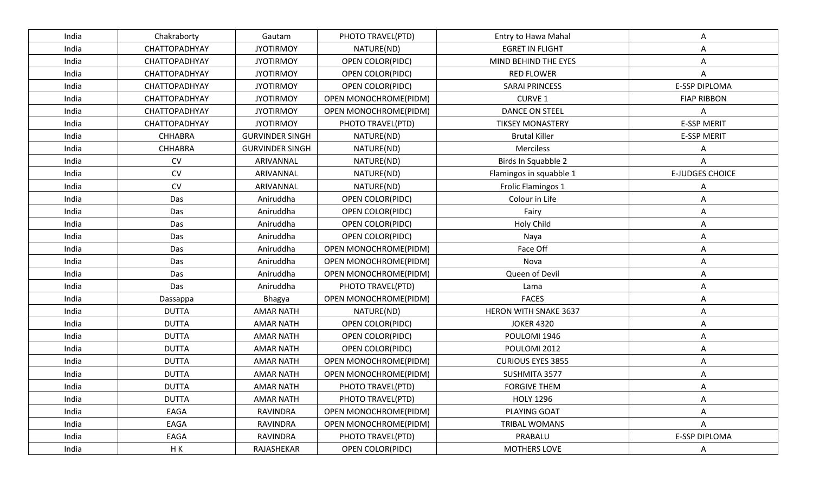| India | Chakraborty    | Gautam                 | PHOTO TRAVEL(PTD)       | Entry to Hawa Mahal          | Α                      |
|-------|----------------|------------------------|-------------------------|------------------------------|------------------------|
| India | CHATTOPADHYAY  | <b>JYOTIRMOY</b>       | NATURE(ND)              | <b>EGRET IN FLIGHT</b>       | Α                      |
| India | CHATTOPADHYAY  | <b>JYOTIRMOY</b>       | OPEN COLOR(PIDC)        | MIND BEHIND THE EYES         | Α                      |
| India | CHATTOPADHYAY  | <b>JYOTIRMOY</b>       | <b>OPEN COLOR(PIDC)</b> | <b>RED FLOWER</b>            | A                      |
| India | CHATTOPADHYAY  | <b>JYOTIRMOY</b>       | OPEN COLOR(PIDC)        | <b>SARAI PRINCESS</b>        | <b>E-SSP DIPLOMA</b>   |
| India | CHATTOPADHYAY  | <b>JYOTIRMOY</b>       | OPEN MONOCHROME(PIDM)   | <b>CURVE 1</b>               | <b>FIAP RIBBON</b>     |
| India | CHATTOPADHYAY  | <b>JYOTIRMOY</b>       | OPEN MONOCHROME(PIDM)   | DANCE ON STEEL               | Α                      |
| India | CHATTOPADHYAY  | <b>JYOTIRMOY</b>       | PHOTO TRAVEL(PTD)       | <b>TIKSEY MONASTERY</b>      | <b>E-SSP MERIT</b>     |
| India | <b>CHHABRA</b> | <b>GURVINDER SINGH</b> | NATURE(ND)              | <b>Brutal Killer</b>         | <b>E-SSP MERIT</b>     |
| India | <b>CHHABRA</b> | <b>GURVINDER SINGH</b> | NATURE(ND)              | Merciless                    | Α                      |
| India | <b>CV</b>      | ARIVANNAL              | NATURE(ND)              | Birds In Squabble 2          | А                      |
| India | CV             | ARIVANNAL              | NATURE(ND)              | Flamingos in squabble 1      | <b>E-JUDGES CHOICE</b> |
| India | CV             | ARIVANNAL              | NATURE(ND)              | Frolic Flamingos 1           | Α                      |
| India | Das            | Aniruddha              | OPEN COLOR(PIDC)        | Colour in Life               | Α                      |
| India | Das            | Aniruddha              | OPEN COLOR(PIDC)        | Fairy                        | A                      |
| India | Das            | Aniruddha              | <b>OPEN COLOR(PIDC)</b> | Holy Child                   | Α                      |
| India | Das            | Aniruddha              | OPEN COLOR(PIDC)        | Naya                         | Α                      |
| India | Das            | Aniruddha              | OPEN MONOCHROME(PIDM)   | Face Off                     | Α                      |
| India | Das            | Aniruddha              | OPEN MONOCHROME(PIDM)   | Nova                         | Α                      |
| India | Das            | Aniruddha              | OPEN MONOCHROME(PIDM)   | Queen of Devil               | Α                      |
| India | Das            | Aniruddha              | PHOTO TRAVEL(PTD)       | Lama                         | Α                      |
| India | Dassappa       | Bhagya                 | OPEN MONOCHROME(PIDM)   | <b>FACES</b>                 | Α                      |
| India | <b>DUTTA</b>   | <b>AMAR NATH</b>       | NATURE(ND)              | <b>HERON WITH SNAKE 3637</b> | Α                      |
| India | <b>DUTTA</b>   | <b>AMAR NATH</b>       | OPEN COLOR(PIDC)        | <b>JOKER 4320</b>            | Α                      |
| India | <b>DUTTA</b>   | <b>AMAR NATH</b>       | OPEN COLOR(PIDC)        | POULOMI 1946                 | Α                      |
| India | <b>DUTTA</b>   | <b>AMAR NATH</b>       | OPEN COLOR(PIDC)        | POULOMI 2012                 | Α                      |
| India | <b>DUTTA</b>   | <b>AMAR NATH</b>       | OPEN MONOCHROME(PIDM)   | <b>CURIOUS EYES 3855</b>     | Α                      |
| India | <b>DUTTA</b>   | <b>AMAR NATH</b>       | OPEN MONOCHROME(PIDM)   | SUSHMITA 3577                | Α                      |
| India | <b>DUTTA</b>   | <b>AMAR NATH</b>       | PHOTO TRAVEL(PTD)       | <b>FORGIVE THEM</b>          | Α                      |
| India | <b>DUTTA</b>   | <b>AMAR NATH</b>       | PHOTO TRAVEL(PTD)       | <b>HOLY 1296</b>             | Α                      |
| India | EAGA           | RAVINDRA               | OPEN MONOCHROME(PIDM)   | PLAYING GOAT                 | A                      |
| India | EAGA           | RAVINDRA               | OPEN MONOCHROME(PIDM)   | TRIBAL WOMANS                | Α                      |
| India | EAGA           | RAVINDRA               | PHOTO TRAVEL(PTD)       | PRABALU                      | E-SSP DIPLOMA          |
| India | HK             | RAJASHEKAR             | OPEN COLOR(PIDC)        | <b>MOTHERS LOVE</b>          | A                      |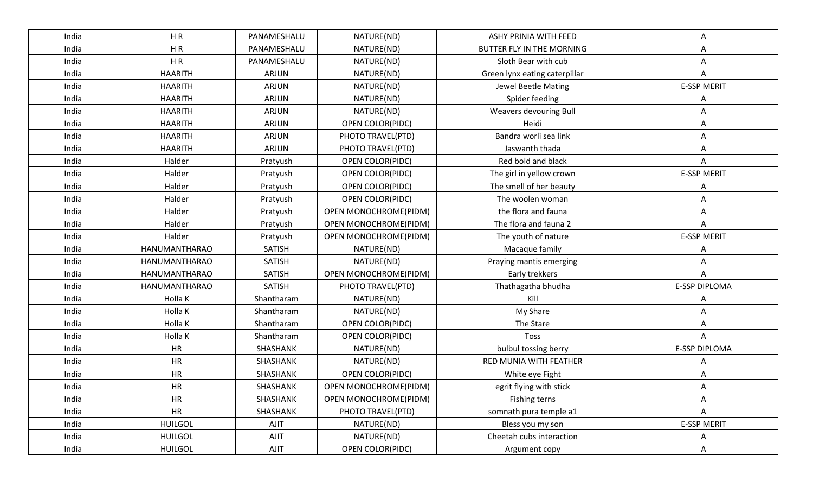| India | HR             | PANAMESHALU   | NATURE(ND)              | <b>ASHY PRINIA WITH FEED</b>  | Α                  |
|-------|----------------|---------------|-------------------------|-------------------------------|--------------------|
| India | HR             | PANAMESHALU   | NATURE(ND)              | BUTTER FLY IN THE MORNING     | A                  |
| India | HR             | PANAMESHALU   | NATURE(ND)              | Sloth Bear with cub           | Α                  |
| India | <b>HAARITH</b> | <b>ARJUN</b>  | NATURE(ND)              | Green lynx eating caterpillar | A                  |
| India | <b>HAARITH</b> | <b>ARJUN</b>  | NATURE(ND)              | Jewel Beetle Mating           | <b>E-SSP MERIT</b> |
| India | <b>HAARITH</b> | <b>ARJUN</b>  | NATURE(ND)              | Spider feeding                | Α                  |
| India | <b>HAARITH</b> | <b>ARJUN</b>  | NATURE(ND)              | Weavers devouring Bull        | Α                  |
| India | <b>HAARITH</b> | ARJUN         | OPEN COLOR(PIDC)        | Heidi                         | Α                  |
| India | <b>HAARITH</b> | <b>ARJUN</b>  | PHOTO TRAVEL(PTD)       | Bandra worli sea link         | Α                  |
| India | <b>HAARITH</b> | ARJUN         | PHOTO TRAVEL(PTD)       | Jaswanth thada                | Α                  |
| India | Halder         | Pratyush      | OPEN COLOR(PIDC)        | Red bold and black            | Α                  |
| India | Halder         | Pratyush      | OPEN COLOR(PIDC)        | The girl in yellow crown      | <b>E-SSP MERIT</b> |
| India | Halder         | Pratyush      | OPEN COLOR(PIDC)        | The smell of her beauty       | Α                  |
| India | Halder         | Pratyush      | OPEN COLOR(PIDC)        | The woolen woman              | Α                  |
| India | Halder         | Pratyush      | OPEN MONOCHROME(PIDM)   | the flora and fauna           |                    |
| India | Halder         | Pratyush      | OPEN MONOCHROME(PIDM)   | The flora and fauna 2         | A                  |
| India | Halder         | Pratyush      | OPEN MONOCHROME(PIDM)   | The youth of nature           | <b>E-SSP MERIT</b> |
| India | HANUMANTHARAO  | <b>SATISH</b> | NATURE(ND)              | Macaque family                |                    |
| India | HANUMANTHARAO  | <b>SATISH</b> | NATURE(ND)              | Praying mantis emerging       | Α                  |
| India | HANUMANTHARAO  | <b>SATISH</b> | OPEN MONOCHROME(PIDM)   | Early trekkers                | Α                  |
| India | HANUMANTHARAO  | <b>SATISH</b> | PHOTO TRAVEL(PTD)       | Thathagatha bhudha            | E-SSP DIPLOMA      |
| India | Holla K        | Shantharam    | NATURE(ND)              | Kill                          | Α                  |
| India | Holla K        | Shantharam    | NATURE(ND)              | My Share                      | Α                  |
| India | Holla K        | Shantharam    | OPEN COLOR(PIDC)        | The Stare                     | Α                  |
| India | Holla K        | Shantharam    | OPEN COLOR(PIDC)        | Toss                          | A                  |
| India | HR             | SHASHANK      | NATURE(ND)              | bulbul tossing berry          | E-SSP DIPLOMA      |
| India | <b>HR</b>      | SHASHANK      | NATURE(ND)              | RED MUNIA WITH FEATHER        |                    |
| India | HR             | SHASHANK      | <b>OPEN COLOR(PIDC)</b> | White eye Fight               |                    |
| India | <b>HR</b>      | SHASHANK      | OPEN MONOCHROME(PIDM)   | egrit flying with stick       | А                  |
| India | <b>HR</b>      | SHASHANK      | OPEN MONOCHROME(PIDM)   | Fishing terns                 | Α                  |
| India | <b>HR</b>      | SHASHANK      | PHOTO TRAVEL(PTD)       | somnath pura temple a1        | A                  |
| India | <b>HUILGOL</b> | AJIT          | NATURE(ND)              | Bless you my son              | <b>E-SSP MERIT</b> |
| India | <b>HUILGOL</b> | AJIT          | NATURE(ND)              | Cheetah cubs interaction      | A                  |
| India | <b>HUILGOL</b> | AJIT          | OPEN COLOR(PIDC)        | Argument copy                 | Α                  |
|       |                |               |                         |                               |                    |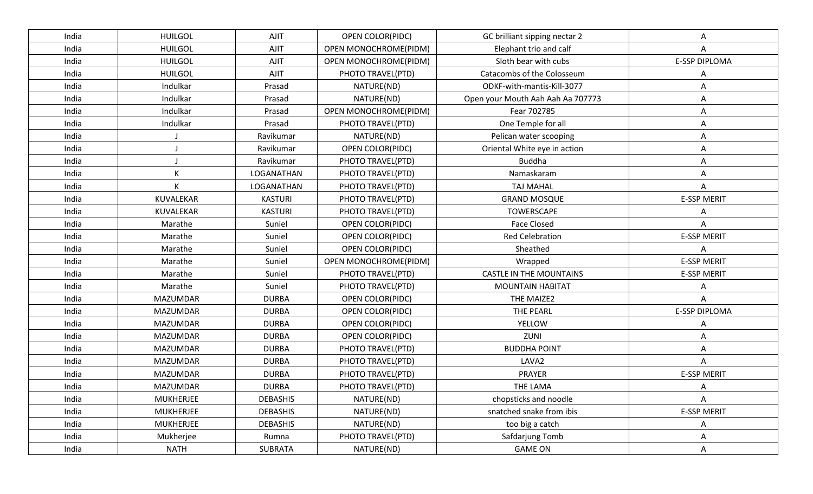| India | <b>HUILGOL</b>   | <b>AJIT</b>     | <b>OPEN COLOR(PIDC)</b> | GC brilliant sipping nectar 2     |                      |
|-------|------------------|-----------------|-------------------------|-----------------------------------|----------------------|
| India | <b>HUILGOL</b>   | <b>AJIT</b>     | OPEN MONOCHROME(PIDM)   | Elephant trio and calf            | Α                    |
| India | <b>HUILGOL</b>   | <b>AJIT</b>     | OPEN MONOCHROME(PIDM)   | Sloth bear with cubs              | <b>E-SSP DIPLOMA</b> |
| India | <b>HUILGOL</b>   | AJIT            | PHOTO TRAVEL(PTD)       | Catacombs of the Colosseum        | А                    |
| India | Indulkar         | Prasad          | NATURE(ND)              | ODKF-with-mantis-Kill-3077        | Α                    |
| India | Indulkar         | Prasad          | NATURE(ND)              | Open your Mouth Aah Aah Aa 707773 | А                    |
| India | Indulkar         | Prasad          | OPEN MONOCHROME(PIDM)   | Fear 702785                       | Α                    |
| India | Indulkar         | Prasad          | PHOTO TRAVEL(PTD)       | One Temple for all                | Α                    |
| India |                  | Ravikumar       | NATURE(ND)              | Pelican water scooping            | Α                    |
| India |                  | Ravikumar       | OPEN COLOR(PIDC)        | Oriental White eye in action      | Α                    |
| India |                  | Ravikumar       | PHOTO TRAVEL(PTD)       | Buddha                            | A                    |
| India | K                | LOGANATHAN      | PHOTO TRAVEL(PTD)       | Namaskaram                        | Α                    |
| India | K                | LOGANATHAN      | PHOTO TRAVEL(PTD)       | <b>TAJ MAHAL</b>                  |                      |
| India | KUVALEKAR        | <b>KASTURI</b>  | PHOTO TRAVEL(PTD)       | <b>GRAND MOSQUE</b>               | <b>E-SSP MERIT</b>   |
| India | KUVALEKAR        | <b>KASTURI</b>  | PHOTO TRAVEL(PTD)       | <b>TOWERSCAPE</b>                 |                      |
| India | Marathe          | Suniel          | <b>OPEN COLOR(PIDC)</b> | <b>Face Closed</b>                | A                    |
| India | Marathe          | Suniel          | OPEN COLOR(PIDC)        | <b>Red Celebration</b>            | <b>E-SSP MERIT</b>   |
| India | Marathe          | Suniel          | OPEN COLOR(PIDC)        | Sheathed                          | A                    |
| India | Marathe          | Suniel          | OPEN MONOCHROME(PIDM)   | Wrapped                           | <b>E-SSP MERIT</b>   |
| India | Marathe          | Suniel          | PHOTO TRAVEL(PTD)       | <b>CASTLE IN THE MOUNTAINS</b>    | <b>E-SSP MERIT</b>   |
| India | Marathe          | Suniel          | PHOTO TRAVEL(PTD)       | <b>MOUNTAIN HABITAT</b>           | А                    |
| India | <b>MAZUMDAR</b>  | <b>DURBA</b>    | <b>OPEN COLOR(PIDC)</b> | THE MAIZE2                        | Α                    |
| India | <b>MAZUMDAR</b>  | <b>DURBA</b>    | OPEN COLOR(PIDC)        | <b>THE PEARL</b>                  | E-SSP DIPLOMA        |
| India | <b>MAZUMDAR</b>  | <b>DURBA</b>    | OPEN COLOR(PIDC)        | <b>YELLOW</b>                     |                      |
| India | <b>MAZUMDAR</b>  | <b>DURBA</b>    | OPEN COLOR(PIDC)        | ZUNI                              | Α                    |
| India | <b>MAZUMDAR</b>  | <b>DURBA</b>    | PHOTO TRAVEL(PTD)       | <b>BUDDHA POINT</b>               | A                    |
| India | <b>MAZUMDAR</b>  | <b>DURBA</b>    | PHOTO TRAVEL(PTD)       | LAVA <sub>2</sub>                 |                      |
| India | <b>MAZUMDAR</b>  | <b>DURBA</b>    | PHOTO TRAVEL(PTD)       | PRAYER                            | <b>E-SSP MERIT</b>   |
| India | MAZUMDAR         | <b>DURBA</b>    | PHOTO TRAVEL(PTD)       | <b>THE LAMA</b>                   | А                    |
| India | <b>MUKHERJEE</b> | <b>DEBASHIS</b> | NATURE(ND)              | chopsticks and noodle             | Α                    |
| India | <b>MUKHERJEE</b> | <b>DEBASHIS</b> | NATURE(ND)              | snatched snake from ibis          | <b>E-SSP MERIT</b>   |
| India | <b>MUKHERJEE</b> | <b>DEBASHIS</b> | NATURE(ND)              | too big a catch                   | Α                    |
| India | Mukherjee        | Rumna           | PHOTO TRAVEL(PTD)       | Safdarjung Tomb                   | Α                    |
| India | <b>NATH</b>      | SUBRATA         | NATURE(ND)              | <b>GAME ON</b>                    | Α                    |
|       |                  |                 |                         |                                   |                      |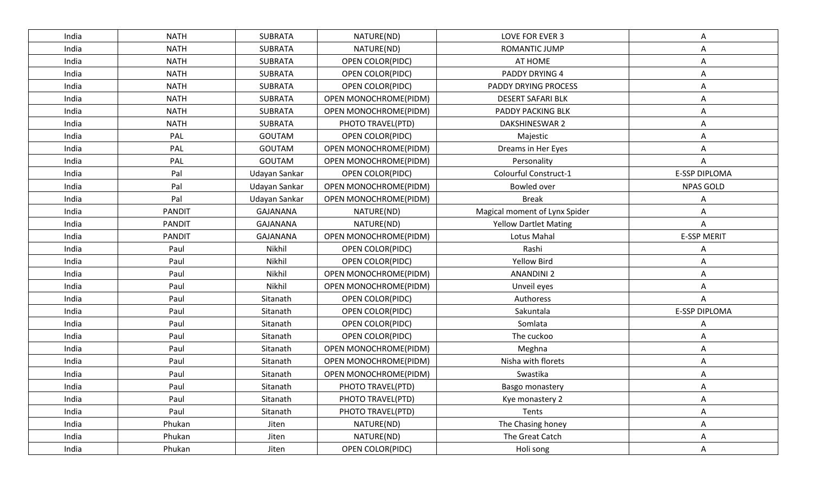| India | <b>NATH</b>   | <b>SUBRATA</b>  | NATURE(ND)                   | LOVE FOR EVER 3               | Α                    |
|-------|---------------|-----------------|------------------------------|-------------------------------|----------------------|
| India | <b>NATH</b>   | <b>SUBRATA</b>  | NATURE(ND)                   | ROMANTIC JUMP                 | A                    |
| India | <b>NATH</b>   | <b>SUBRATA</b>  | <b>OPEN COLOR(PIDC)</b>      | AT HOME                       | Α                    |
| India | <b>NATH</b>   | <b>SUBRATA</b>  | <b>OPEN COLOR(PIDC)</b>      | PADDY DRYING 4                | Α                    |
| India | <b>NATH</b>   | <b>SUBRATA</b>  | OPEN COLOR(PIDC)             | <b>PADDY DRYING PROCESS</b>   | Α                    |
| India | <b>NATH</b>   | <b>SUBRATA</b>  | OPEN MONOCHROME(PIDM)        | <b>DESERT SAFARI BLK</b>      | Α                    |
| India | <b>NATH</b>   | <b>SUBRATA</b>  | OPEN MONOCHROME(PIDM)        | PADDY PACKING BLK             | Α                    |
| India | <b>NATH</b>   | <b>SUBRATA</b>  | PHOTO TRAVEL(PTD)            | DAKSHINESWAR 2                | Α                    |
| India | PAL           | <b>GOUTAM</b>   | <b>OPEN COLOR(PIDC)</b>      | Majestic                      | Α                    |
| India | PAL           | <b>GOUTAM</b>   | OPEN MONOCHROME(PIDM)        | Dreams in Her Eyes            | Α                    |
| India | PAL           | <b>GOUTAM</b>   | OPEN MONOCHROME(PIDM)        | Personality                   | Α                    |
| India | Pal           | Udayan Sankar   | OPEN COLOR(PIDC)             | Colourful Construct-1         | <b>E-SSP DIPLOMA</b> |
| India | Pal           | Udayan Sankar   | OPEN MONOCHROME(PIDM)        | Bowled over                   | <b>NPAS GOLD</b>     |
| India | Pal           | Udayan Sankar   | OPEN MONOCHROME(PIDM)        | <b>Break</b>                  |                      |
| India | <b>PANDIT</b> | <b>GAJANANA</b> | NATURE(ND)                   | Magical moment of Lynx Spider | Α                    |
| India | <b>PANDIT</b> | <b>GAJANANA</b> | NATURE(ND)                   | <b>Yellow Dartlet Mating</b>  | Α                    |
| India | <b>PANDIT</b> | GAJANANA        | OPEN MONOCHROME(PIDM)        | Lotus Mahal                   | <b>E-SSP MERIT</b>   |
| India | Paul          | Nikhil          | OPEN COLOR(PIDC)             | Rashi                         | Α                    |
| India | Paul          | Nikhil          | <b>OPEN COLOR(PIDC)</b>      | <b>Yellow Bird</b>            | Α                    |
| India | Paul          | Nikhil          | OPEN MONOCHROME(PIDM)        | <b>ANANDINI 2</b>             | Α                    |
| India | Paul          | Nikhil          | OPEN MONOCHROME(PIDM)        | Unveil eyes                   | Α                    |
| India | Paul          | Sitanath        | OPEN COLOR(PIDC)             | Authoress                     | A                    |
| India | Paul          | Sitanath        | <b>OPEN COLOR(PIDC)</b>      | Sakuntala                     | E-SSP DIPLOMA        |
| India | Paul          | Sitanath        | <b>OPEN COLOR(PIDC)</b>      | Somlata                       | А                    |
| India | Paul          | Sitanath        | OPEN COLOR(PIDC)             | The cuckoo                    | Α                    |
| India | Paul          | Sitanath        | OPEN MONOCHROME(PIDM)        | Meghna                        | Α                    |
| India | Paul          | Sitanath        | <b>OPEN MONOCHROME(PIDM)</b> | Nisha with florets            | Α                    |
| India | Paul          | Sitanath        | OPEN MONOCHROME(PIDM)        | Swastika                      | Α                    |
| India | Paul          | Sitanath        | PHOTO TRAVEL(PTD)            | Basgo monastery               |                      |
| India | Paul          | Sitanath        | PHOTO TRAVEL(PTD)            | Kye monastery 2               | Α                    |
| India | Paul          | Sitanath        | PHOTO TRAVEL(PTD)            | Tents                         | Α                    |
| India | Phukan        | Jiten           | NATURE(ND)                   | The Chasing honey             | Α                    |
| India | Phukan        | Jiten           | NATURE(ND)                   | The Great Catch               | Α                    |
| India | Phukan        | Jiten           | OPEN COLOR(PIDC)             | Holi song                     | Α                    |
|       |               |                 |                              |                               |                      |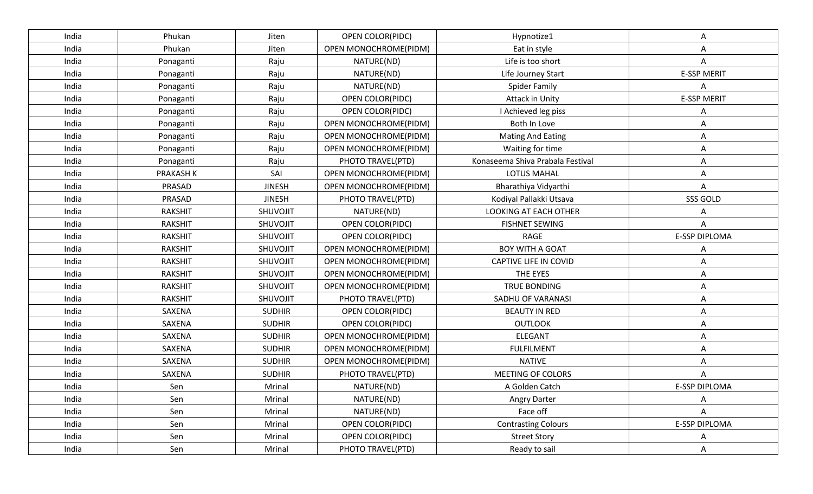| India | Phukan           | Jiten         | OPEN COLOR(PIDC)      | Hypnotize1                       | Α                    |
|-------|------------------|---------------|-----------------------|----------------------------------|----------------------|
| India | Phukan           | Jiten         | OPEN MONOCHROME(PIDM) | Eat in style                     | A                    |
| India | Ponaganti        | Raju          | NATURE(ND)            | Life is too short                | Α                    |
| India | Ponaganti        | Raju          | NATURE(ND)            | Life Journey Start               | <b>E-SSP MERIT</b>   |
| India | Ponaganti        | Raju          | NATURE(ND)            | <b>Spider Family</b>             | Α                    |
| India | Ponaganti        | Raju          | OPEN COLOR(PIDC)      | <b>Attack in Unity</b>           | <b>E-SSP MERIT</b>   |
| India | Ponaganti        | Raju          | OPEN COLOR(PIDC)      | I Achieved leg piss              | Α                    |
| India | Ponaganti        | Raju          | OPEN MONOCHROME(PIDM) | Both In Love                     | Α                    |
| India | Ponaganti        | Raju          | OPEN MONOCHROME(PIDM) | <b>Mating And Eating</b>         | Α                    |
| India | Ponaganti        | Raju          | OPEN MONOCHROME(PIDM) | Waiting for time                 | Α                    |
| India | Ponaganti        | Raju          | PHOTO TRAVEL(PTD)     | Konaseema Shiva Prabala Festival | Α                    |
| India | <b>PRAKASH K</b> | SAI           | OPEN MONOCHROME(PIDM) | LOTUS MAHAL                      | Α                    |
| India | PRASAD           | <b>JINESH</b> | OPEN MONOCHROME(PIDM) | Bharathiya Vidyarthi             | A                    |
| India | PRASAD           | <b>JINESH</b> | PHOTO TRAVEL(PTD)     | Kodiyal Pallakki Utsava          | SSS GOLD             |
| India | <b>RAKSHIT</b>   | SHUVOJIT      | NATURE(ND)            | <b>LOOKING AT EACH OTHER</b>     |                      |
| India | <b>RAKSHIT</b>   | SHUVOJIT      | OPEN COLOR(PIDC)      | <b>FISHNET SEWING</b>            | A                    |
| India | <b>RAKSHIT</b>   | SHUVOJIT      | OPEN COLOR(PIDC)      | RAGE                             | <b>E-SSP DIPLOMA</b> |
| India | <b>RAKSHIT</b>   | SHUVOJIT      | OPEN MONOCHROME(PIDM) | <b>BOY WITH A GOAT</b>           |                      |
| India | <b>RAKSHIT</b>   | SHUVOJIT      | OPEN MONOCHROME(PIDM) | <b>CAPTIVE LIFE IN COVID</b>     | Α                    |
| India | <b>RAKSHIT</b>   | SHUVOJIT      | OPEN MONOCHROME(PIDM) | THE EYES                         | Α                    |
| India | <b>RAKSHIT</b>   | SHUVOJIT      | OPEN MONOCHROME(PIDM) | TRUE BONDING                     | Α                    |
| India | <b>RAKSHIT</b>   | SHUVOJIT      | PHOTO TRAVEL(PTD)     | SADHU OF VARANASI                | Α                    |
| India | SAXENA           | <b>SUDHIR</b> | OPEN COLOR(PIDC)      | <b>BEAUTY IN RED</b>             | Α                    |
| India | SAXENA           | <b>SUDHIR</b> | OPEN COLOR(PIDC)      | <b>OUTLOOK</b>                   | Α                    |
| India | SAXENA           | <b>SUDHIR</b> | OPEN MONOCHROME(PIDM) | <b>ELEGANT</b>                   | Α                    |
| India | SAXENA           | <b>SUDHIR</b> | OPEN MONOCHROME(PIDM) | <b>FULFILMENT</b>                | Α                    |
| India | SAXENA           | <b>SUDHIR</b> | OPEN MONOCHROME(PIDM) | <b>NATIVE</b>                    |                      |
| India | SAXENA           | <b>SUDHIR</b> | PHOTO TRAVEL(PTD)     | <b>MEETING OF COLORS</b>         |                      |
| India | Sen              | Mrinal        | NATURE(ND)            | A Golden Catch                   | E-SSP DIPLOMA        |
| India | Sen              | Mrinal        | NATURE(ND)            | Angry Darter                     | Α                    |
| India | Sen              | Mrinal        | NATURE(ND)            | Face off                         | Α                    |
| India | Sen              | Mrinal        | OPEN COLOR(PIDC)      | <b>Contrasting Colours</b>       | <b>E-SSP DIPLOMA</b> |
| India | Sen              | Mrinal        | OPEN COLOR(PIDC)      | <b>Street Story</b>              | Α                    |
| India | Sen              | Mrinal        | PHOTO TRAVEL(PTD)     | Ready to sail                    | Α                    |
|       |                  |               |                       |                                  |                      |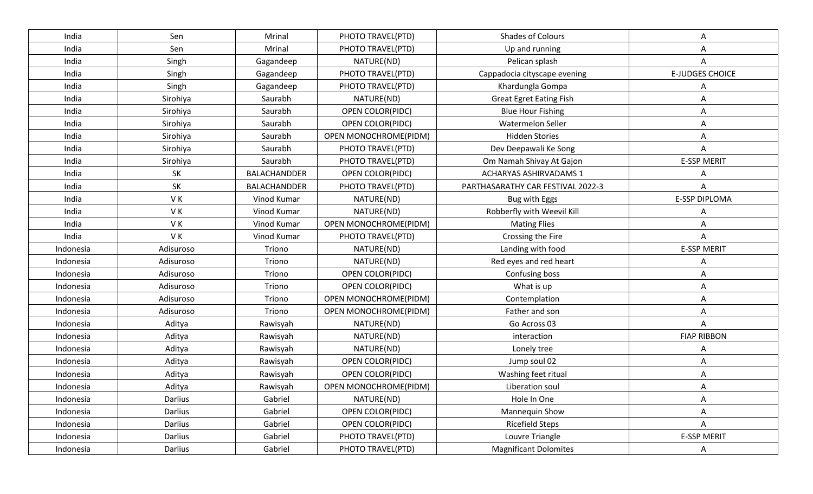| India     | Sen       | Mrinal       | PHOTO TRAVEL(PTD)       | Shades of Colours                 | Α                      |
|-----------|-----------|--------------|-------------------------|-----------------------------------|------------------------|
| India     | Sen       | Mrinal       | PHOTO TRAVEL(PTD)       | Up and running                    | Α                      |
| India     | Singh     | Gagandeep    | NATURE(ND)              | Pelican splash                    | A                      |
| India     | Singh     | Gagandeep    | PHOTO TRAVEL(PTD)       | Cappadocia cityscape evening      | <b>E-JUDGES CHOICE</b> |
| India     | Singh     | Gagandeep    | PHOTO TRAVEL(PTD)       | Khardungla Gompa                  | Α                      |
| India     | Sirohiya  | Saurabh      | NATURE(ND)              | <b>Great Egret Eating Fish</b>    | Α                      |
| India     | Sirohiya  | Saurabh      | <b>OPEN COLOR(PIDC)</b> | <b>Blue Hour Fishing</b>          | Α                      |
| India     | Sirohiya  | Saurabh      | OPEN COLOR(PIDC)        | Watermelon Seller                 | Α                      |
| India     | Sirohiya  | Saurabh      | OPEN MONOCHROME(PIDM)   | <b>Hidden Stories</b>             | Α                      |
| India     | Sirohiya  | Saurabh      | PHOTO TRAVEL(PTD)       | Dev Deepawali Ke Song             | Α                      |
| India     | Sirohiya  | Saurabh      | PHOTO TRAVEL(PTD)       | Om Namah Shivay At Gajon          | <b>E-SSP MERIT</b>     |
| India     | <b>SK</b> | BALACHANDDER | OPEN COLOR(PIDC)        | <b>ACHARYAS ASHIRVADAMS 1</b>     | Α                      |
| India     | SK        | BALACHANDDER | PHOTO TRAVEL(PTD)       | PARTHASARATHY CAR FESTIVAL 2022-3 | A                      |
| India     | VK        | Vinod Kumar  | NATURE(ND)              | Bug with Eggs                     | <b>E-SSP DIPLOMA</b>   |
| India     | VK        | Vinod Kumar  | NATURE(ND)              | Robberfly with Weevil Kill        | Α                      |
| India     | VK        | Vinod Kumar  | OPEN MONOCHROME(PIDM)   | <b>Mating Flies</b>               | Α                      |
| India     | VK        | Vinod Kumar  | PHOTO TRAVEL(PTD)       | Crossing the Fire                 | Α                      |
| Indonesia | Adisuroso | Triono       | NATURE(ND)              | Landing with food                 | <b>E-SSP MERIT</b>     |
| Indonesia | Adisuroso | Triono       | NATURE(ND)              | Red eyes and red heart            | Α                      |
| Indonesia | Adisuroso | Triono       | OPEN COLOR(PIDC)        | Confusing boss                    | Α                      |
| Indonesia | Adisuroso | Triono       | <b>OPEN COLOR(PIDC)</b> | What is up                        | Α                      |
| Indonesia | Adisuroso | Triono       | OPEN MONOCHROME(PIDM)   | Contemplation                     | Α                      |
| Indonesia | Adisuroso | Triono       | OPEN MONOCHROME(PIDM)   | Father and son                    | Α                      |
| Indonesia | Aditya    | Rawisyah     | NATURE(ND)              | Go Across 03                      | A                      |
| Indonesia | Aditya    | Rawisyah     | NATURE(ND)              | interaction                       | <b>FIAP RIBBON</b>     |
| Indonesia | Aditya    | Rawisyah     | NATURE(ND)              | Lonely tree                       | Α                      |
| Indonesia | Aditya    | Rawisyah     | OPEN COLOR(PIDC)        | Jump soul 02                      | Α                      |
| Indonesia | Aditya    | Rawisyah     | OPEN COLOR(PIDC)        | Washing feet ritual               | Α                      |
| Indonesia | Aditya    | Rawisyah     | OPEN MONOCHROME(PIDM)   | Liberation soul                   | Α                      |
| Indonesia | Darlius   | Gabriel      | NATURE(ND)              | Hole In One                       | Α                      |
| Indonesia | Darlius   | Gabriel      | OPEN COLOR(PIDC)        | Mannequin Show                    | Α                      |
| Indonesia | Darlius   | Gabriel      | OPEN COLOR(PIDC)        | <b>Ricefield Steps</b>            | A                      |
| Indonesia | Darlius   | Gabriel      | PHOTO TRAVEL(PTD)       | Louvre Triangle                   | <b>E-SSP MERIT</b>     |
| Indonesia | Darlius   | Gabriel      | PHOTO TRAVEL(PTD)       | <b>Magnificant Dolomites</b>      | Α                      |
|           |           |              |                         |                                   |                        |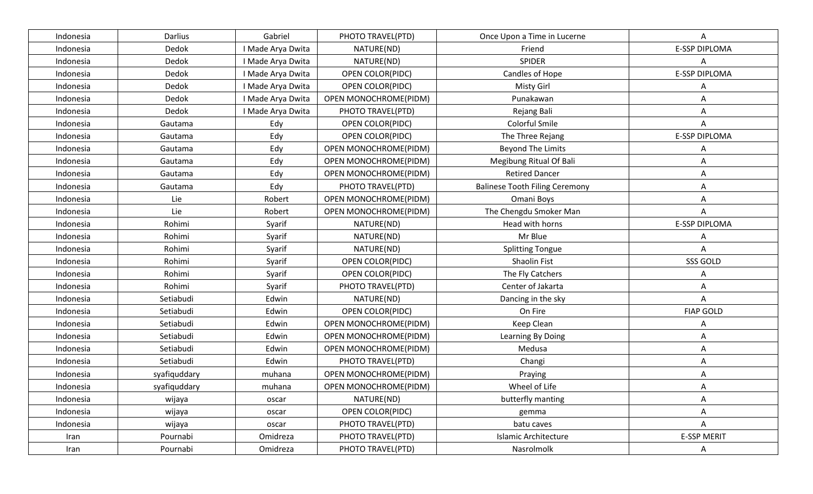| Indonesia | Darlius      | Gabriel           | PHOTO TRAVEL(PTD)       | Once Upon a Time in Lucerne           | A                    |
|-----------|--------------|-------------------|-------------------------|---------------------------------------|----------------------|
| Indonesia | Dedok        | I Made Arya Dwita | NATURE(ND)              | Friend                                | E-SSP DIPLOMA        |
| Indonesia | Dedok        | I Made Arya Dwita | NATURE(ND)              | <b>SPIDER</b>                         | Α                    |
| Indonesia | Dedok        | I Made Arya Dwita | <b>OPEN COLOR(PIDC)</b> | Candles of Hope                       | <b>E-SSP DIPLOMA</b> |
| Indonesia | Dedok        | I Made Arya Dwita | OPEN COLOR(PIDC)        | <b>Misty Girl</b>                     | Α                    |
| Indonesia | Dedok        | I Made Arya Dwita | OPEN MONOCHROME(PIDM)   | Punakawan                             | Α                    |
| Indonesia | Dedok        | I Made Arya Dwita | PHOTO TRAVEL(PTD)       | Rejang Bali                           | Α                    |
| Indonesia | Gautama      | Edy               | OPEN COLOR(PIDC)        | Colorful Smile                        | A                    |
| Indonesia | Gautama      | Edy               | <b>OPEN COLOR(PIDC)</b> | The Three Rejang                      | E-SSP DIPLOMA        |
| Indonesia | Gautama      | Edy               | OPEN MONOCHROME(PIDM)   | <b>Beyond The Limits</b>              |                      |
| Indonesia | Gautama      | Edy               | OPEN MONOCHROME(PIDM)   | Megibung Ritual Of Bali               | Α                    |
| Indonesia | Gautama      | Edy               | OPEN MONOCHROME(PIDM)   | <b>Retired Dancer</b>                 | Α                    |
| Indonesia | Gautama      | Edy               | PHOTO TRAVEL(PTD)       | <b>Balinese Tooth Filing Ceremony</b> | Α                    |
| Indonesia | Lie          | Robert            | OPEN MONOCHROME(PIDM)   | Omani Boys                            | A                    |
| Indonesia | Lie          | Robert            | OPEN MONOCHROME(PIDM)   | The Chengdu Smoker Man                |                      |
| Indonesia | Rohimi       | Syarif            | NATURE(ND)              | Head with horns                       | <b>E-SSP DIPLOMA</b> |
| Indonesia | Rohimi       | Syarif            | NATURE(ND)              | Mr Blue                               | А                    |
| Indonesia | Rohimi       | Syarif            | NATURE(ND)              | <b>Splitting Tongue</b>               | A                    |
| Indonesia | Rohimi       | Syarif            | <b>OPEN COLOR(PIDC)</b> | Shaolin Fist                          | SSS GOLD             |
| Indonesia | Rohimi       | Syarif            | OPEN COLOR(PIDC)        | The Fly Catchers                      | Α                    |
| Indonesia | Rohimi       | Syarif            | PHOTO TRAVEL(PTD)       | Center of Jakarta                     | Α                    |
| Indonesia | Setiabudi    | Edwin             | NATURE(ND)              | Dancing in the sky                    | Α                    |
| Indonesia | Setiabudi    | Edwin             | OPEN COLOR(PIDC)        | On Fire                               | <b>FIAP GOLD</b>     |
| Indonesia | Setiabudi    | Edwin             | OPEN MONOCHROME(PIDM)   | Keep Clean                            |                      |
| Indonesia | Setiabudi    | Edwin             | OPEN MONOCHROME(PIDM)   | Learning By Doing                     | Α                    |
| Indonesia | Setiabudi    | Edwin             | OPEN MONOCHROME(PIDM)   | Medusa                                | Α                    |
| Indonesia | Setiabudi    | Edwin             | PHOTO TRAVEL(PTD)       | Changi                                | Α                    |
| Indonesia | syafiquddary | muhana            | OPEN MONOCHROME(PIDM)   | Praying                               | A                    |
| Indonesia | syafiquddary | muhana            | OPEN MONOCHROME(PIDM)   | Wheel of Life                         | Α                    |
| Indonesia | wijaya       | oscar             | NATURE(ND)              | butterfly manting                     | Α                    |
| Indonesia | wijaya       | oscar             | OPEN COLOR(PIDC)        | gemma                                 | Α                    |
| Indonesia | wijaya       | oscar             | PHOTO TRAVEL(PTD)       | batu caves                            | A                    |
| Iran      | Pournabi     | Omidreza          | PHOTO TRAVEL(PTD)       | <b>Islamic Architecture</b>           | <b>E-SSP MERIT</b>   |
| Iran      | Pournabi     | Omidreza          | PHOTO TRAVEL(PTD)       | Nasrolmolk                            | Α                    |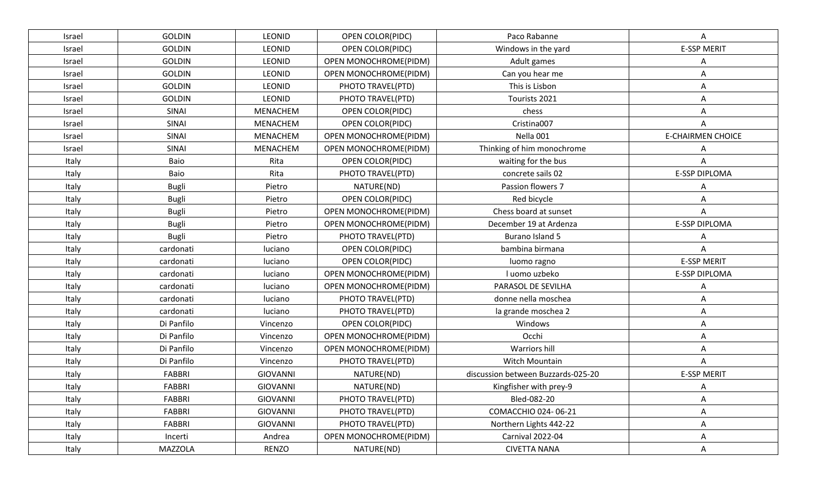| Israel | <b>GOLDIN</b> | LEONID          | OPEN COLOR(PIDC)        | Paco Rabanne                       | A                        |
|--------|---------------|-----------------|-------------------------|------------------------------------|--------------------------|
| Israel | <b>GOLDIN</b> | LEONID          | <b>OPEN COLOR(PIDC)</b> | Windows in the yard                | <b>E-SSP MERIT</b>       |
| Israel | <b>GOLDIN</b> | LEONID          | OPEN MONOCHROME(PIDM)   | Adult games                        |                          |
| Israel | <b>GOLDIN</b> | LEONID          | OPEN MONOCHROME(PIDM)   | Can you hear me                    | Α                        |
| Israel | <b>GOLDIN</b> | LEONID          | PHOTO TRAVEL(PTD)       | This is Lisbon                     | Α                        |
| Israel | <b>GOLDIN</b> | <b>LEONID</b>   | PHOTO TRAVEL(PTD)       | Tourists 2021                      | Α                        |
| Israel | SINAI         | <b>MENACHEM</b> | OPEN COLOR(PIDC)        | chess                              | Α                        |
| Israel | SINAI         | MENACHEM        | OPEN COLOR(PIDC)        | Cristina007                        |                          |
| Israel | SINAI         | <b>MENACHEM</b> | OPEN MONOCHROME(PIDM)   | Nella 001                          | <b>E-CHAIRMEN CHOICE</b> |
| Israel | SINAI         | <b>MENACHEM</b> | OPEN MONOCHROME(PIDM)   | Thinking of him monochrome         |                          |
| Italy  | Baio          | Rita            | OPEN COLOR(PIDC)        | waiting for the bus                | А                        |
| Italy  | Baio          | Rita            | PHOTO TRAVEL(PTD)       | concrete sails 02                  | <b>E-SSP DIPLOMA</b>     |
| Italy  | <b>Bugli</b>  | Pietro          | NATURE(ND)              | Passion flowers 7                  | Α                        |
| Italy  | <b>Bugli</b>  | Pietro          | <b>OPEN COLOR(PIDC)</b> | Red bicycle                        | А                        |
| Italy  | <b>Bugli</b>  | Pietro          | OPEN MONOCHROME(PIDM)   | Chess board at sunset              | A                        |
| Italy  | <b>Bugli</b>  | Pietro          | OPEN MONOCHROME(PIDM)   | December 19 at Ardenza             | E-SSP DIPLOMA            |
| Italy  | <b>Bugli</b>  | Pietro          | PHOTO TRAVEL(PTD)       | Burano Island 5                    |                          |
| Italy  | cardonati     | luciano         | <b>OPEN COLOR(PIDC)</b> | bambina birmana                    |                          |
| Italy  | cardonati     | luciano         | <b>OPEN COLOR(PIDC)</b> | luomo ragno                        | <b>E-SSP MERIT</b>       |
| Italy  | cardonati     | luciano         | OPEN MONOCHROME(PIDM)   | I uomo uzbeko                      | <b>E-SSP DIPLOMA</b>     |
| Italy  | cardonati     | luciano         | OPEN MONOCHROME(PIDM)   | PARASOL DE SEVILHA                 | Α                        |
| Italy  | cardonati     | luciano         | PHOTO TRAVEL(PTD)       | donne nella moschea                | Α                        |
| Italy  | cardonati     | luciano         | PHOTO TRAVEL(PTD)       | la grande moschea 2                | Α                        |
| Italy  | Di Panfilo    | Vincenzo        | OPEN COLOR(PIDC)        | Windows                            | Α                        |
| Italy  | Di Panfilo    | Vincenzo        | OPEN MONOCHROME(PIDM)   | Occhi                              | Α                        |
| Italy  | Di Panfilo    | Vincenzo        | OPEN MONOCHROME(PIDM)   | Warriors hill                      | Α                        |
| Italy  | Di Panfilo    | Vincenzo        | PHOTO TRAVEL(PTD)       | Witch Mountain                     | Α                        |
| Italy  | FABBRI        | <b>GIOVANNI</b> | NATURE(ND)              | discussion between Buzzards-025-20 | <b>E-SSP MERIT</b>       |
| Italy  | <b>FABBRI</b> | <b>GIOVANNI</b> | NATURE(ND)              | Kingfisher with prey-9             | А                        |
| Italy  | FABBRI        | <b>GIOVANNI</b> | PHOTO TRAVEL(PTD)       | Bled-082-20                        | Α                        |
| Italy  | FABBRI        | GIOVANNI        | PHOTO TRAVEL(PTD)       | COMACCHIO 024-06-21                | Α                        |
| Italy  | FABBRI        | GIOVANNI        | PHOTO TRAVEL(PTD)       | Northern Lights 442-22             | Α                        |
| Italy  | Incerti       | Andrea          | OPEN MONOCHROME(PIDM)   | Carnival 2022-04                   | Α                        |
| Italy  | MAZZOLA       | <b>RENZO</b>    | NATURE(ND)              | <b>CIVETTA NANA</b>                | Α                        |
|        |               |                 |                         |                                    |                          |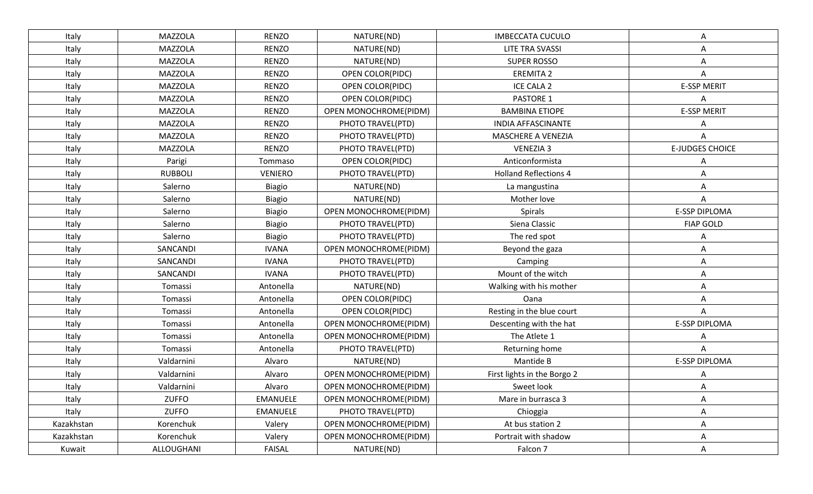| Italy      | <b>MAZZOLA</b> | <b>RENZO</b>    | NATURE(ND)            | <b>IMBECCATA CUCULO</b>      | Α                      |
|------------|----------------|-----------------|-----------------------|------------------------------|------------------------|
| Italy      | <b>MAZZOLA</b> | <b>RENZO</b>    | NATURE(ND)            | LITE TRA SVASSI              | Α                      |
| Italy      | MAZZOLA        | <b>RENZO</b>    | NATURE(ND)            | <b>SUPER ROSSO</b>           | Α                      |
| Italy      | MAZZOLA        | <b>RENZO</b>    | OPEN COLOR(PIDC)      | <b>EREMITA 2</b>             | Α                      |
| Italy      | MAZZOLA        | <b>RENZO</b>    | OPEN COLOR(PIDC)      | ICE CALA 2                   | <b>E-SSP MERIT</b>     |
| Italy      | <b>MAZZOLA</b> | <b>RENZO</b>    | OPEN COLOR(PIDC)      | PASTORE 1                    | Α                      |
| Italy      | MAZZOLA        | <b>RENZO</b>    | OPEN MONOCHROME(PIDM) | <b>BAMBINA ETIOPE</b>        | <b>E-SSP MERIT</b>     |
| Italy      | MAZZOLA        | <b>RENZO</b>    | PHOTO TRAVEL(PTD)     | <b>INDIA AFFASCINANTE</b>    | Α                      |
| Italy      | MAZZOLA        | <b>RENZO</b>    | PHOTO TRAVEL(PTD)     | MASCHERE A VENEZIA           | A                      |
| Italy      | MAZZOLA        | <b>RENZO</b>    | PHOTO TRAVEL(PTD)     | <b>VENEZIA 3</b>             | <b>E-JUDGES CHOICE</b> |
| Italy      | Parigi         | Tommaso         | OPEN COLOR(PIDC)      | Anticonformista              | Α                      |
| Italy      | <b>RUBBOLI</b> | <b>VENIERO</b>  | PHOTO TRAVEL(PTD)     | <b>Holland Reflections 4</b> | A                      |
| Italy      | Salerno        | <b>Biagio</b>   | NATURE(ND)            | La mangustina                | Α                      |
| Italy      | Salerno        | <b>Biagio</b>   | NATURE(ND)            | Mother love                  | Α                      |
| Italy      | Salerno        | <b>Biagio</b>   | OPEN MONOCHROME(PIDM) | Spirals                      | E-SSP DIPLOMA          |
| Italy      | Salerno        | <b>Biagio</b>   | PHOTO TRAVEL(PTD)     | Siena Classic                | <b>FIAP GOLD</b>       |
| Italy      | Salerno        | <b>Biagio</b>   | PHOTO TRAVEL(PTD)     | The red spot                 |                        |
| Italy      | SANCANDI       | <b>IVANA</b>    | OPEN MONOCHROME(PIDM) | Beyond the gaza              | Α                      |
| Italy      | SANCANDI       | <b>IVANA</b>    | PHOTO TRAVEL(PTD)     | Camping                      | Α                      |
| Italy      | SANCANDI       | <b>IVANA</b>    | PHOTO TRAVEL(PTD)     | Mount of the witch           | Α                      |
| Italy      | Tomassi        | Antonella       | NATURE(ND)            | Walking with his mother      | A                      |
| Italy      | Tomassi        | Antonella       | OPEN COLOR(PIDC)      | Oana                         | Α                      |
| Italy      | Tomassi        | Antonella       | OPEN COLOR(PIDC)      | Resting in the blue court    | Α                      |
| Italy      | Tomassi        | Antonella       | OPEN MONOCHROME(PIDM) | Descenting with the hat      | E-SSP DIPLOMA          |
| Italy      | Tomassi        | Antonella       | OPEN MONOCHROME(PIDM) | The Atlete 1                 |                        |
| Italy      | Tomassi        | Antonella       | PHOTO TRAVEL(PTD)     | Returning home               | А                      |
| Italy      | Valdarnini     | Alvaro          | NATURE(ND)            | Mantide B                    | E-SSP DIPLOMA          |
| Italy      | Valdarnini     | Alvaro          | OPEN MONOCHROME(PIDM) | First lights in the Borgo 2  |                        |
| Italy      | Valdarnini     | Alvaro          | OPEN MONOCHROME(PIDM) | Sweet look                   |                        |
| Italy      | <b>ZUFFO</b>   | EMANUELE        | OPEN MONOCHROME(PIDM) | Mare in burrasca 3           | Α                      |
| Italy      | ZUFFO          | <b>EMANUELE</b> | PHOTO TRAVEL(PTD)     | Chioggia                     | A                      |
| Kazakhstan | Korenchuk      | Valery          | OPEN MONOCHROME(PIDM) | At bus station 2             | Α                      |
| Kazakhstan | Korenchuk      | Valery          | OPEN MONOCHROME(PIDM) | Portrait with shadow         | A                      |
| Kuwait     | ALLOUGHANI     | FAISAL          | NATURE(ND)            | Falcon 7                     | Α                      |
|            |                |                 |                       |                              |                        |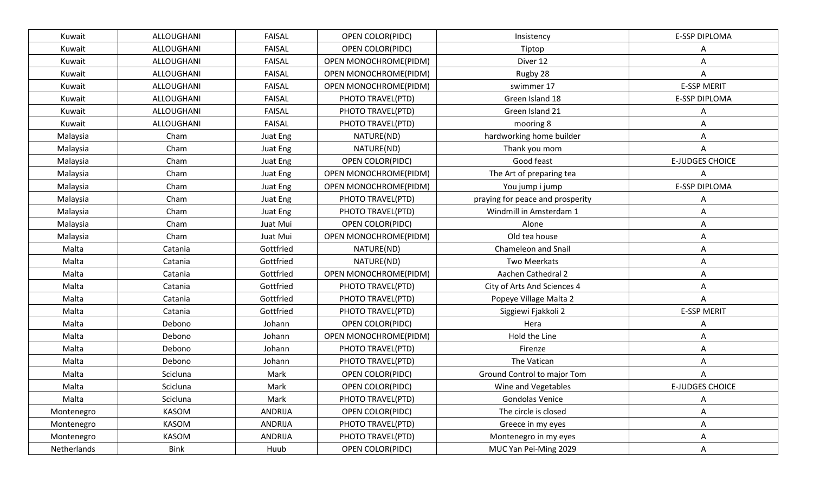| Kuwait      | ALLOUGHANI  | <b>FAISAL</b> | OPEN COLOR(PIDC)             | Insistency                       | <b>E-SSP DIPLOMA</b>   |
|-------------|-------------|---------------|------------------------------|----------------------------------|------------------------|
| Kuwait      | ALLOUGHANI  | <b>FAISAL</b> | <b>OPEN COLOR(PIDC)</b>      | Tiptop                           | A                      |
| Kuwait      | ALLOUGHANI  | <b>FAISAL</b> | OPEN MONOCHROME(PIDM)        | Diver 12                         |                        |
| Kuwait      | ALLOUGHANI  | <b>FAISAL</b> | <b>OPEN MONOCHROME(PIDM)</b> | Rugby 28                         | A                      |
| Kuwait      | ALLOUGHANI  | <b>FAISAL</b> | OPEN MONOCHROME(PIDM)        | swimmer 17                       | <b>E-SSP MERIT</b>     |
| Kuwait      | ALLOUGHANI  | <b>FAISAL</b> | PHOTO TRAVEL(PTD)            | Green Island 18                  | E-SSP DIPLOMA          |
| Kuwait      | ALLOUGHANI  | <b>FAISAL</b> | PHOTO TRAVEL(PTD)            | Green Island 21                  | A                      |
| Kuwait      | ALLOUGHANI  | <b>FAISAL</b> | PHOTO TRAVEL(PTD)            | mooring 8                        | Α                      |
| Malaysia    | Cham        | Juat Eng      | NATURE(ND)                   | hardworking home builder         | Α                      |
| Malaysia    | Cham        | Juat Eng      | NATURE(ND)                   | Thank you mom                    | Α                      |
| Malaysia    | Cham        | Juat Eng      | OPEN COLOR(PIDC)             | Good feast                       | <b>E-JUDGES CHOICE</b> |
| Malaysia    | Cham        | Juat Eng      | OPEN MONOCHROME(PIDM)        | The Art of preparing tea         | Α                      |
| Malaysia    | Cham        | Juat Eng      | OPEN MONOCHROME(PIDM)        | You jump i jump                  | E-SSP DIPLOMA          |
| Malaysia    | Cham        | Juat Eng      | PHOTO TRAVEL(PTD)            | praying for peace and prosperity |                        |
| Malaysia    | Cham        | Juat Eng      | PHOTO TRAVEL(PTD)            | Windmill in Amsterdam 1          | Α                      |
| Malaysia    | Cham        | Juat Mui      | OPEN COLOR(PIDC)             | Alone                            | A                      |
| Malaysia    | Cham        | Juat Mui      | OPEN MONOCHROME(PIDM)        | Old tea house                    | Α                      |
| Malta       | Catania     | Gottfried     | NATURE(ND)                   | Chameleon and Snail              | Α                      |
| Malta       | Catania     | Gottfried     | NATURE(ND)                   | Two Meerkats                     | Α                      |
| Malta       | Catania     | Gottfried     | OPEN MONOCHROME(PIDM)        | Aachen Cathedral 2               | Α                      |
| Malta       | Catania     | Gottfried     | PHOTO TRAVEL(PTD)            | City of Arts And Sciences 4      | A                      |
| Malta       | Catania     | Gottfried     | PHOTO TRAVEL(PTD)            | Popeye Village Malta 2           | Α                      |
| Malta       | Catania     | Gottfried     | PHOTO TRAVEL(PTD)            | Siggiewi Fjakkoli 2              | <b>E-SSP MERIT</b>     |
| Malta       | Debono      | Johann        | OPEN COLOR(PIDC)             | Hera                             |                        |
| Malta       | Debono      | Johann        | OPEN MONOCHROME(PIDM)        | Hold the Line                    | Α                      |
| Malta       | Debono      | Johann        | PHOTO TRAVEL(PTD)            | Firenze                          | Α                      |
| Malta       | Debono      | Johann        | PHOTO TRAVEL(PTD)            | The Vatican                      |                        |
| Malta       | Scicluna    | Mark          | OPEN COLOR(PIDC)             | Ground Control to major Tom      |                        |
| Malta       | Scicluna    | Mark          | OPEN COLOR(PIDC)             | Wine and Vegetables              | <b>E-JUDGES CHOICE</b> |
| Malta       | Scicluna    | Mark          | PHOTO TRAVEL(PTD)            | Gondolas Venice                  | Α                      |
| Montenegro  | KASOM       | ANDRIJA       | OPEN COLOR(PIDC)             | The circle is closed             | A                      |
| Montenegro  | KASOM       | ANDRIJA       | PHOTO TRAVEL(PTD)            | Greece in my eyes                | Α                      |
| Montenegro  | KASOM       | ANDRIJA       | PHOTO TRAVEL(PTD)            | Montenegro in my eyes            | Α                      |
| Netherlands | <b>Bink</b> | Huub          | OPEN COLOR(PIDC)             | MUC Yan Pei-Ming 2029            | Α                      |
|             |             |               |                              |                                  |                        |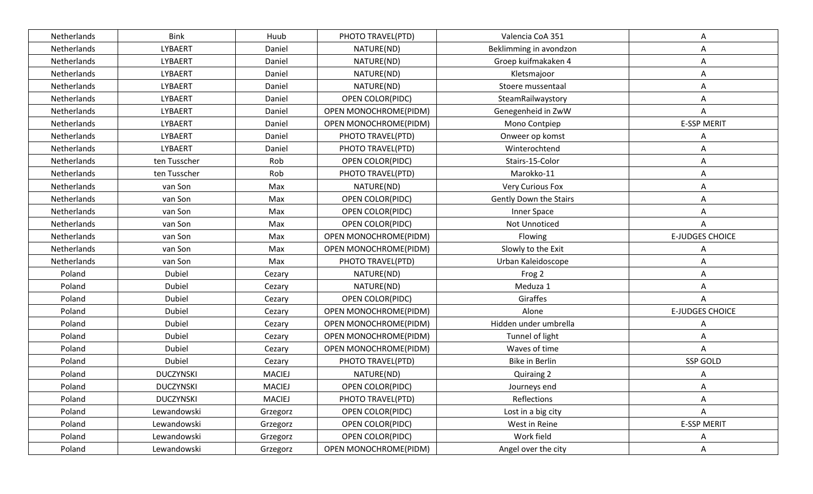| Netherlands | <b>Bink</b>      | Huub          | PHOTO TRAVEL(PTD)       | Valencia CoA 351        | Α                      |
|-------------|------------------|---------------|-------------------------|-------------------------|------------------------|
| Netherlands | <b>LYBAERT</b>   | Daniel        | NATURE(ND)              | Beklimming in avondzon  | A                      |
| Netherlands | LYBAERT          | Daniel        | NATURE(ND)              | Groep kuifmakaken 4     | A                      |
| Netherlands | LYBAERT          | Daniel        | NATURE(ND)              | Kletsmajoor             | A                      |
| Netherlands | LYBAERT          | Daniel        | NATURE(ND)              | Stoere mussentaal       | A                      |
| Netherlands | LYBAERT          | Daniel        | OPEN COLOR(PIDC)        | SteamRailwaystory       | A                      |
| Netherlands | LYBAERT          | Daniel        | OPEN MONOCHROME(PIDM)   | Genegenheid in ZwW      | A                      |
| Netherlands | LYBAERT          | Daniel        | OPEN MONOCHROME(PIDM)   | Mono Contpiep           | <b>E-SSP MERIT</b>     |
| Netherlands | LYBAERT          | Daniel        | PHOTO TRAVEL(PTD)       | Onweer op komst         | A                      |
| Netherlands | LYBAERT          | Daniel        | PHOTO TRAVEL(PTD)       | Winterochtend           | A                      |
| Netherlands | ten Tusscher     | Rob           | OPEN COLOR(PIDC)        | Stairs-15-Color         | A                      |
| Netherlands | ten Tusscher     | Rob           | PHOTO TRAVEL(PTD)       | Marokko-11              | A                      |
| Netherlands | van Son          | Max           | NATURE(ND)              | <b>Very Curious Fox</b> | Α                      |
| Netherlands | van Son          | Max           | OPEN COLOR(PIDC)        | Gently Down the Stairs  | A                      |
| Netherlands | van Son          | Max           | OPEN COLOR(PIDC)        | Inner Space             | A                      |
| Netherlands | van Son          | Max           | OPEN COLOR(PIDC)        | Not Unnoticed           | A                      |
| Netherlands | van Son          | Max           | OPEN MONOCHROME(PIDM)   | Flowing                 | <b>E-JUDGES CHOICE</b> |
| Netherlands | van Son          | Max           | OPEN MONOCHROME(PIDM)   | Slowly to the Exit      | A                      |
| Netherlands | van Son          | Max           | PHOTO TRAVEL(PTD)       | Urban Kaleidoscope      | A                      |
| Poland      | <b>Dubiel</b>    | Cezary        | NATURE(ND)              | Frog 2                  | A                      |
| Poland      | Dubiel           | Cezary        | NATURE(ND)              | Meduza 1                | A                      |
| Poland      | Dubiel           | Cezary        | OPEN COLOR(PIDC)        | Giraffes                | A                      |
| Poland      | Dubiel           | Cezary        | OPEN MONOCHROME(PIDM)   | Alone                   | <b>E-JUDGES CHOICE</b> |
| Poland      | Dubiel           | Cezary        | OPEN MONOCHROME(PIDM)   | Hidden under umbrella   | A                      |
| Poland      | Dubiel           | Cezary        | OPEN MONOCHROME(PIDM)   | Tunnel of light         | A                      |
| Poland      | Dubiel           | Cezary        | OPEN MONOCHROME(PIDM)   | Waves of time           | A                      |
| Poland      | Dubiel           | Cezary        | PHOTO TRAVEL(PTD)       | Bike in Berlin          | SSP GOLD               |
| Poland      | <b>DUCZYNSKI</b> | <b>MACIEJ</b> | NATURE(ND)              | <b>Quiraing 2</b>       | Α                      |
| Poland      | <b>DUCZYNSKI</b> | <b>MACIEJ</b> | OPEN COLOR(PIDC)        | Journeys end            | A                      |
| Poland      | <b>DUCZYNSKI</b> | <b>MACIEJ</b> | PHOTO TRAVEL(PTD)       | Reflections             | A                      |
| Poland      | Lewandowski      | Grzegorz      | OPEN COLOR(PIDC)        | Lost in a big city      | A                      |
| Poland      | Lewandowski      | Grzegorz      | <b>OPEN COLOR(PIDC)</b> | West in Reine           | <b>E-SSP MERIT</b>     |
| Poland      | Lewandowski      | Grzegorz      | <b>OPEN COLOR(PIDC)</b> | Work field              | A                      |
| Poland      | Lewandowski      | Grzegorz      | OPEN MONOCHROME(PIDM)   | Angel over the city     | A                      |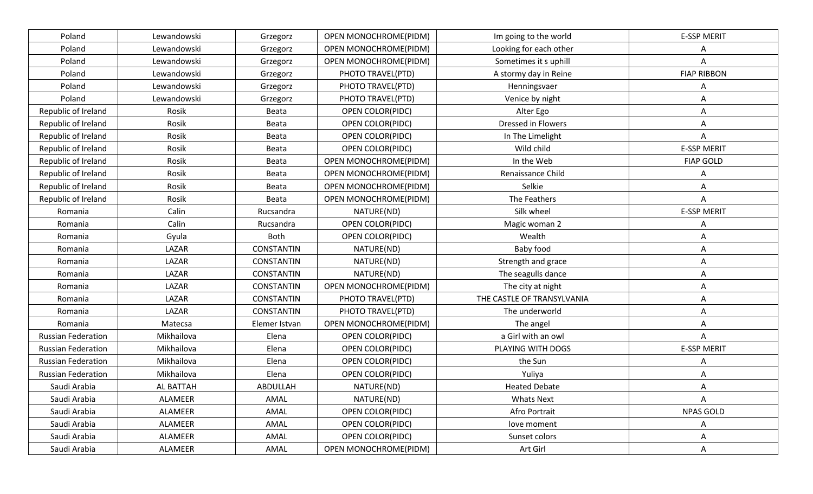| Poland                    | Lewandowski | Grzegorz          | OPEN MONOCHROME(PIDM)   | Im going to the world      | <b>E-SSP MERIT</b> |
|---------------------------|-------------|-------------------|-------------------------|----------------------------|--------------------|
| Poland                    | Lewandowski | Grzegorz          | OPEN MONOCHROME(PIDM)   | Looking for each other     | Α                  |
| Poland                    | Lewandowski | Grzegorz          | OPEN MONOCHROME(PIDM)   | Sometimes it s uphill      | A                  |
| Poland                    | Lewandowski | Grzegorz          | PHOTO TRAVEL(PTD)       | A stormy day in Reine      | <b>FIAP RIBBON</b> |
| Poland                    | Lewandowski | Grzegorz          | PHOTO TRAVEL(PTD)       | Henningsvaer               | Α                  |
| Poland                    | Lewandowski | Grzegorz          | PHOTO TRAVEL(PTD)       | Venice by night            | Α                  |
| Republic of Ireland       | Rosik       | Beata             | OPEN COLOR(PIDC)        | Alter Ego                  | Α                  |
| Republic of Ireland       | Rosik       | Beata             | OPEN COLOR(PIDC)        | Dressed in Flowers         | Α                  |
| Republic of Ireland       | Rosik       | Beata             | <b>OPEN COLOR(PIDC)</b> | In The Limelight           | Α                  |
| Republic of Ireland       | Rosik       | Beata             | <b>OPEN COLOR(PIDC)</b> | Wild child                 | <b>E-SSP MERIT</b> |
| Republic of Ireland       | Rosik       | Beata             | OPEN MONOCHROME(PIDM)   | In the Web                 | <b>FIAP GOLD</b>   |
| Republic of Ireland       | Rosik       | Beata             | OPEN MONOCHROME(PIDM)   | Renaissance Child          | Α                  |
| Republic of Ireland       | Rosik       | Beata             | OPEN MONOCHROME(PIDM)   | Selkie                     | Α                  |
| Republic of Ireland       | Rosik       | Beata             | OPEN MONOCHROME(PIDM)   | The Feathers               | Α                  |
| Romania                   | Calin       | Rucsandra         | NATURE(ND)              | Silk wheel                 | <b>E-SSP MERIT</b> |
| Romania                   | Calin       | Rucsandra         | <b>OPEN COLOR(PIDC)</b> | Magic woman 2              | Α                  |
| Romania                   | Gyula       | <b>Both</b>       | <b>OPEN COLOR(PIDC)</b> | Wealth                     | Α                  |
| Romania                   | LAZAR       | <b>CONSTANTIN</b> | NATURE(ND)              | Baby food                  | Α                  |
| Romania                   | LAZAR       | <b>CONSTANTIN</b> | NATURE(ND)              | Strength and grace         | Α                  |
| Romania                   | LAZAR       | <b>CONSTANTIN</b> | NATURE(ND)              | The seagulls dance         | Α                  |
| Romania                   | LAZAR       | <b>CONSTANTIN</b> | OPEN MONOCHROME(PIDM)   | The city at night          | Α                  |
| Romania                   | LAZAR       | <b>CONSTANTIN</b> | PHOTO TRAVEL(PTD)       | THE CASTLE OF TRANSYLVANIA | Α                  |
| Romania                   | LAZAR       | <b>CONSTANTIN</b> | PHOTO TRAVEL(PTD)       | The underworld             | Α                  |
| Romania                   | Matecsa     | Elemer Istvan     | OPEN MONOCHROME(PIDM)   | The angel                  | A                  |
| <b>Russian Federation</b> | Mikhailova  | Elena             | OPEN COLOR(PIDC)        | a Girl with an owl         | Α                  |
| <b>Russian Federation</b> | Mikhailova  | Elena             | <b>OPEN COLOR(PIDC)</b> | PLAYING WITH DOGS          | <b>E-SSP MERIT</b> |
| <b>Russian Federation</b> | Mikhailova  | Elena             | OPEN COLOR(PIDC)        | the Sun                    |                    |
| <b>Russian Federation</b> | Mikhailova  | Elena             | OPEN COLOR(PIDC)        | Yuliya                     | Α                  |
| Saudi Arabia              | AL BATTAH   | ABDULLAH          | NATURE(ND)              | <b>Heated Debate</b>       | Α                  |
| Saudi Arabia              | ALAMEER     | AMAL              | NATURE(ND)              | <b>Whats Next</b>          | A                  |
| Saudi Arabia              | ALAMEER     | AMAL              | <b>OPEN COLOR(PIDC)</b> | Afro Portrait              | <b>NPAS GOLD</b>   |
| Saudi Arabia              | ALAMEER     | AMAL              | OPEN COLOR(PIDC)        | love moment                | A                  |
| Saudi Arabia              | ALAMEER     | AMAL              | <b>OPEN COLOR(PIDC)</b> | Sunset colors              | A                  |
| Saudi Arabia              | ALAMEER     | AMAL              | OPEN MONOCHROME(PIDM)   | Art Girl                   | Α                  |
|                           |             |                   |                         |                            |                    |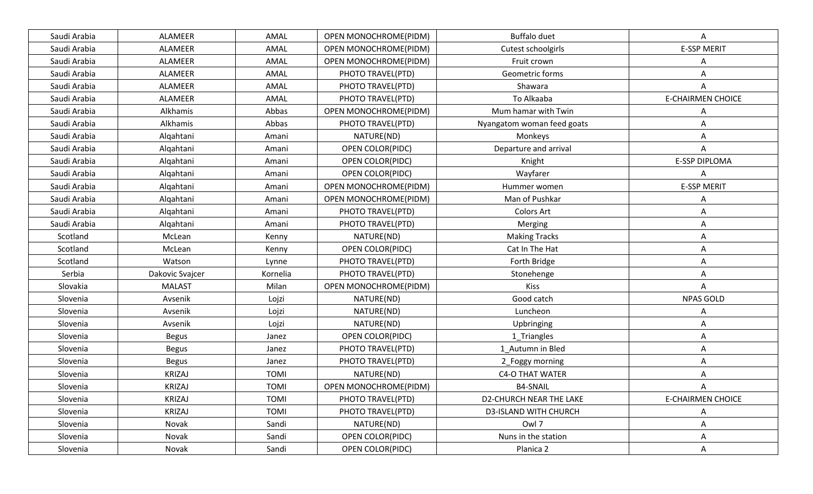| Saudi Arabia | ALAMEER         | AMAL        | OPEN MONOCHROME(PIDM)   | <b>Buffalo duet</b>            | A                        |
|--------------|-----------------|-------------|-------------------------|--------------------------------|--------------------------|
| Saudi Arabia | ALAMEER         | AMAL        | OPEN MONOCHROME(PIDM)   | Cutest schoolgirls             | <b>E-SSP MERIT</b>       |
| Saudi Arabia | ALAMEER         | AMAL        | OPEN MONOCHROME(PIDM)   | Fruit crown                    | Α                        |
| Saudi Arabia | ALAMEER         | AMAL        | PHOTO TRAVEL(PTD)       | Geometric forms                | A                        |
| Saudi Arabia | ALAMEER         | AMAL        | PHOTO TRAVEL(PTD)       | Shawara                        | Α                        |
| Saudi Arabia | ALAMEER         | AMAL        | PHOTO TRAVEL(PTD)       | To Alkaaba                     | <b>E-CHAIRMEN CHOICE</b> |
| Saudi Arabia | Alkhamis        | Abbas       | OPEN MONOCHROME(PIDM)   | Mum hamar with Twin            |                          |
| Saudi Arabia | Alkhamis        | Abbas       | PHOTO TRAVEL(PTD)       | Nyangatom woman feed goats     | Α                        |
| Saudi Arabia | Algahtani       | Amani       | NATURE(ND)              | Monkeys                        | Α                        |
| Saudi Arabia | Algahtani       | Amani       | OPEN COLOR(PIDC)        | Departure and arrival          | A                        |
| Saudi Arabia | Algahtani       | Amani       | OPEN COLOR(PIDC)        | Knight                         | E-SSP DIPLOMA            |
| Saudi Arabia | Algahtani       | Amani       | <b>OPEN COLOR(PIDC)</b> | Wayfarer                       | Α                        |
| Saudi Arabia | Algahtani       | Amani       | OPEN MONOCHROME(PIDM)   | Hummer women                   | <b>E-SSP MERIT</b>       |
| Saudi Arabia | Algahtani       | Amani       | OPEN MONOCHROME(PIDM)   | Man of Pushkar                 | A                        |
| Saudi Arabia | Algahtani       | Amani       | PHOTO TRAVEL(PTD)       | <b>Colors Art</b>              | Α                        |
| Saudi Arabia | Algahtani       | Amani       | PHOTO TRAVEL(PTD)       | Merging                        | Α                        |
| Scotland     | McLean          | Kenny       | NATURE(ND)              | <b>Making Tracks</b>           | Α                        |
| Scotland     | McLean          | Kenny       | OPEN COLOR(PIDC)        | Cat In The Hat                 | Α                        |
| Scotland     | Watson          | Lynne       | PHOTO TRAVEL(PTD)       | Forth Bridge                   | Α                        |
| Serbia       | Dakovic Svajcer | Kornelia    | PHOTO TRAVEL(PTD)       | Stonehenge                     | Α                        |
| Slovakia     | <b>MALAST</b>   | Milan       | OPEN MONOCHROME(PIDM)   | <b>Kiss</b>                    | A                        |
| Slovenia     | Avsenik         | Lojzi       | NATURE(ND)              | Good catch                     | <b>NPAS GOLD</b>         |
| Slovenia     | Avsenik         | Lojzi       | NATURE(ND)              | Luncheon                       | Α                        |
| Slovenia     | Avsenik         | Lojzi       | NATURE(ND)              | Upbringing                     | Α                        |
| Slovenia     | <b>Begus</b>    | Janez       | OPEN COLOR(PIDC)        | 1_Triangles                    | Α                        |
| Slovenia     | <b>Begus</b>    | Janez       | PHOTO TRAVEL(PTD)       | 1 Autumn in Bled               | Α                        |
| Slovenia     | <b>Begus</b>    | Janez       | PHOTO TRAVEL(PTD)       | 2_Foggy morning                | Α                        |
| Slovenia     | <b>KRIZAJ</b>   | <b>TOMI</b> | NATURE(ND)              | <b>C4-O THAT WATER</b>         | A                        |
| Slovenia     | <b>KRIZAJ</b>   | <b>TOMI</b> | OPEN MONOCHROME(PIDM)   | <b>B4-SNAIL</b>                | Α                        |
| Slovenia     | <b>KRIZAJ</b>   | <b>TOMI</b> | PHOTO TRAVEL(PTD)       | <b>D2-CHURCH NEAR THE LAKE</b> | <b>E-CHAIRMEN CHOICE</b> |
| Slovenia     | <b>KRIZAJ</b>   | <b>TOMI</b> | PHOTO TRAVEL(PTD)       | <b>D3-ISLAND WITH CHURCH</b>   | A                        |
| Slovenia     | Novak           | Sandi       | NATURE(ND)              | Owl 7                          | Α                        |
| Slovenia     | Novak           | Sandi       | OPEN COLOR(PIDC)        | Nuns in the station            | Α                        |
| Slovenia     | Novak           | Sandi       | OPEN COLOR(PIDC)        | Planica 2                      | A                        |
|              |                 |             |                         |                                |                          |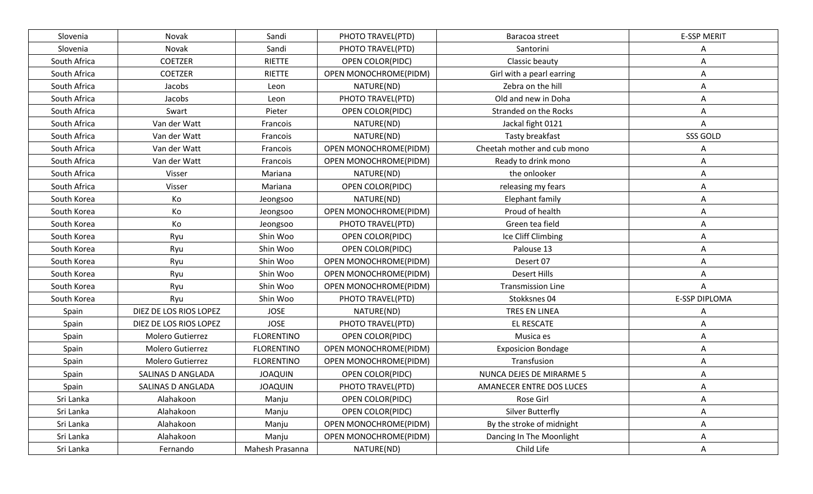| Slovenia     | Novak                  | Sandi             | PHOTO TRAVEL(PTD)     | Baracoa street              | <b>E-SSP MERIT</b>   |
|--------------|------------------------|-------------------|-----------------------|-----------------------------|----------------------|
| Slovenia     | Novak                  | Sandi             | PHOTO TRAVEL(PTD)     | Santorini                   | Α                    |
| South Africa | <b>COETZER</b>         | RIETTE            | OPEN COLOR(PIDC)      | Classic beauty              | Α                    |
| South Africa | <b>COETZER</b>         | RIETTE            | OPEN MONOCHROME(PIDM) | Girl with a pearl earring   | Α                    |
| South Africa | Jacobs                 | Leon              | NATURE(ND)            | Zebra on the hill           | Α                    |
| South Africa | Jacobs                 | Leon              | PHOTO TRAVEL(PTD)     | Old and new in Doha         | Α                    |
| South Africa | Swart                  | Pieter            | OPEN COLOR(PIDC)      | Stranded on the Rocks       | Α                    |
| South Africa | Van der Watt           | Francois          | NATURE(ND)            | Jackal fight 0121           | A                    |
| South Africa | Van der Watt           | Francois          | NATURE(ND)            | Tasty breakfast             | SSS GOLD             |
| South Africa | Van der Watt           | Francois          | OPEN MONOCHROME(PIDM) | Cheetah mother and cub mono | Α                    |
| South Africa | Van der Watt           | Francois          | OPEN MONOCHROME(PIDM) | Ready to drink mono         | Α                    |
| South Africa | Visser                 | Mariana           | NATURE(ND)            | the onlooker                | Α                    |
| South Africa | Visser                 | Mariana           | OPEN COLOR(PIDC)      | releasing my fears          | Α                    |
| South Korea  | Кo                     | Jeongsoo          | NATURE(ND)            | Elephant family             | Α                    |
| South Korea  | Ko                     | Jeongsoo          | OPEN MONOCHROME(PIDM) | Proud of health             | Α                    |
| South Korea  | Ko                     | Jeongsoo          | PHOTO TRAVEL(PTD)     | Green tea field             | Α                    |
| South Korea  | Ryu                    | Shin Woo          | OPEN COLOR(PIDC)      | Ice Cliff Climbing          | Α                    |
| South Korea  | Ryu                    | Shin Woo          | OPEN COLOR(PIDC)      | Palouse 13                  | Α                    |
| South Korea  | Ryu                    | Shin Woo          | OPEN MONOCHROME(PIDM) | Desert 07                   | Α                    |
| South Korea  | Ryu                    | Shin Woo          | OPEN MONOCHROME(PIDM) | <b>Desert Hills</b>         | Α                    |
| South Korea  | Ryu                    | Shin Woo          | OPEN MONOCHROME(PIDM) | <b>Transmission Line</b>    | A                    |
| South Korea  | Ryu                    | Shin Woo          | PHOTO TRAVEL(PTD)     | Stokksnes 04                | <b>E-SSP DIPLOMA</b> |
| Spain        | DIEZ DE LOS RIOS LOPEZ | <b>JOSE</b>       | NATURE(ND)            | <b>TRES EN LINEA</b>        | Α                    |
| Spain        | DIEZ DE LOS RIOS LOPEZ | <b>JOSE</b>       | PHOTO TRAVEL(PTD)     | EL RESCATE                  | Α                    |
| Spain        | Molero Gutierrez       | <b>FLORENTINO</b> | OPEN COLOR(PIDC)      | Musica es                   | Α                    |
| Spain        | Molero Gutierrez       | <b>FLORENTINO</b> | OPEN MONOCHROME(PIDM) | <b>Exposicion Bondage</b>   | A                    |
| Spain        | Molero Gutierrez       | <b>FLORENTINO</b> | OPEN MONOCHROME(PIDM) | Transfusion                 | Α                    |
| Spain        | SALINAS D ANGLADA      | <b>JOAQUIN</b>    | OPEN COLOR(PIDC)      | NUNCA DEJES DE MIRARME 5    | Α                    |
| Spain        | SALINAS D ANGLADA      | <b>JOAQUIN</b>    | PHOTO TRAVEL(PTD)     | AMANECER ENTRE DOS LUCES    | Α                    |
| Sri Lanka    | Alahakoon              | Manju             | OPEN COLOR(PIDC)      | Rose Girl                   | Α                    |
| Sri Lanka    | Alahakoon              | Manju             | OPEN COLOR(PIDC)      | <b>Silver Butterfly</b>     | Α                    |
| Sri Lanka    | Alahakoon              | Manju             | OPEN MONOCHROME(PIDM) | By the stroke of midnight   | Α                    |
| Sri Lanka    | Alahakoon              | Manju             | OPEN MONOCHROME(PIDM) | Dancing In The Moonlight    | Α                    |
| Sri Lanka    | Fernando               | Mahesh Prasanna   | NATURE(ND)            | Child Life                  | A                    |
|              |                        |                   |                       |                             |                      |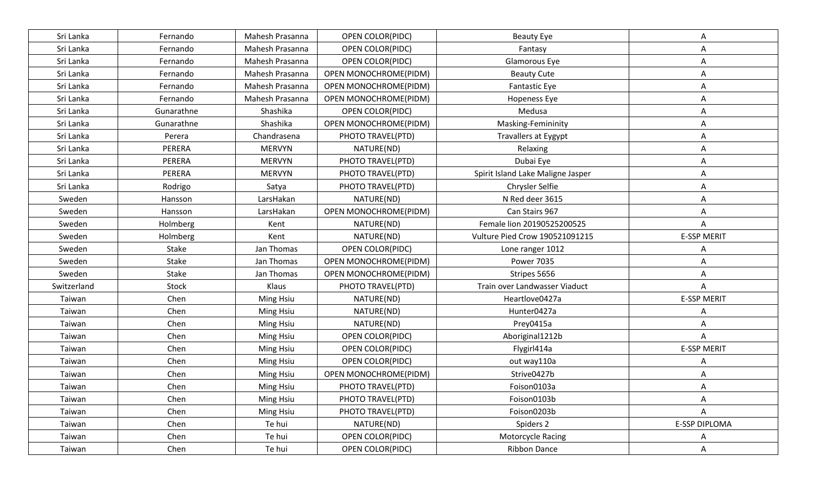| Sri Lanka   | Fernando   | Mahesh Prasanna | <b>OPEN COLOR(PIDC)</b> | <b>Beauty Eye</b>                     | Α                    |
|-------------|------------|-----------------|-------------------------|---------------------------------------|----------------------|
| Sri Lanka   | Fernando   | Mahesh Prasanna | <b>OPEN COLOR(PIDC)</b> | Fantasy                               | Α                    |
| Sri Lanka   | Fernando   | Mahesh Prasanna | OPEN COLOR(PIDC)        | Glamorous Eye                         | Α                    |
| Sri Lanka   | Fernando   | Mahesh Prasanna | OPEN MONOCHROME(PIDM)   | <b>Beauty Cute</b>                    | Α                    |
| Sri Lanka   | Fernando   | Mahesh Prasanna | OPEN MONOCHROME(PIDM)   | <b>Fantastic Eye</b>                  | Α                    |
| Sri Lanka   | Fernando   | Mahesh Prasanna | OPEN MONOCHROME(PIDM)   | <b>Hopeness Eye</b>                   | Α                    |
| Sri Lanka   | Gunarathne | Shashika        | OPEN COLOR(PIDC)        | Medusa                                | Α                    |
| Sri Lanka   | Gunarathne | Shashika        | OPEN MONOCHROME(PIDM)   | Masking-Femininity                    | Α                    |
| Sri Lanka   | Perera     | Chandrasena     | PHOTO TRAVEL(PTD)       | <b>Travallers at Eygypt</b>           | Α                    |
| Sri Lanka   | PERERA     | <b>MERVYN</b>   | NATURE(ND)              | Relaxing                              | Α                    |
| Sri Lanka   | PERERA     | <b>MERVYN</b>   | PHOTO TRAVEL(PTD)       | Dubai Eye                             | Α                    |
| Sri Lanka   | PERERA     | <b>MERVYN</b>   | PHOTO TRAVEL(PTD)       | Spirit Island Lake Maligne Jasper     | Α                    |
| Sri Lanka   | Rodrigo    | Satya           | PHOTO TRAVEL(PTD)       | Chrysler Selfie                       | Α                    |
| Sweden      | Hansson    | LarsHakan       | NATURE(ND)              | N Red deer 3615                       | Α                    |
| Sweden      | Hansson    | LarsHakan       | OPEN MONOCHROME(PIDM)   | Can Stairs 967                        | Α                    |
| Sweden      | Holmberg   | Kent            | NATURE(ND)              | Female lion 20190525200525            | A                    |
| Sweden      | Holmberg   | Kent            | NATURE(ND)              | <b>Vulture Pied Crow 190521091215</b> | <b>E-SSP MERIT</b>   |
| Sweden      | Stake      | Jan Thomas      | OPEN COLOR(PIDC)        | Lone ranger 1012                      | Α                    |
| Sweden      | Stake      | Jan Thomas      | OPEN MONOCHROME(PIDM)   | <b>Power 7035</b>                     | Α                    |
| Sweden      | Stake      | Jan Thomas      | OPEN MONOCHROME(PIDM)   | Stripes 5656                          | Α                    |
| Switzerland | Stock      | Klaus           | PHOTO TRAVEL(PTD)       | Train over Landwasser Viaduct         | A                    |
| Taiwan      | Chen       | Ming Hsiu       | NATURE(ND)              | Heartlove0427a                        | <b>E-SSP MERIT</b>   |
| Taiwan      | Chen       | Ming Hsiu       | NATURE(ND)              | Hunter0427a                           | Α                    |
| Taiwan      | Chen       | Ming Hsiu       | NATURE(ND)              | Prey0415a                             | Α                    |
| Taiwan      | Chen       | Ming Hsiu       | OPEN COLOR(PIDC)        | Aboriginal1212b                       | Α                    |
| Taiwan      | Chen       | Ming Hsiu       | OPEN COLOR(PIDC)        | Flygirl414a                           | <b>E-SSP MERIT</b>   |
| Taiwan      | Chen       | Ming Hsiu       | OPEN COLOR(PIDC)        | out way110a                           |                      |
| Taiwan      | Chen       | Ming Hsiu       | OPEN MONOCHROME(PIDM)   | Strive0427b                           |                      |
| Taiwan      | Chen       | Ming Hsiu       | PHOTO TRAVEL(PTD)       | Foison0103a                           | Α                    |
| Taiwan      | Chen       | Ming Hsiu       | PHOTO TRAVEL(PTD)       | Foison0103b                           | А                    |
| Taiwan      | Chen       | Ming Hsiu       | PHOTO TRAVEL(PTD)       | Foison0203b                           | Α                    |
| Taiwan      | Chen       | Te hui          | NATURE(ND)              | Spiders 2                             | <b>E-SSP DIPLOMA</b> |
| Taiwan      | Chen       | Te hui          | OPEN COLOR(PIDC)        | <b>Motorcycle Racing</b>              | A                    |
| Taiwan      | Chen       | Te hui          | OPEN COLOR(PIDC)        | <b>Ribbon Dance</b>                   | A                    |
|             |            |                 |                         |                                       |                      |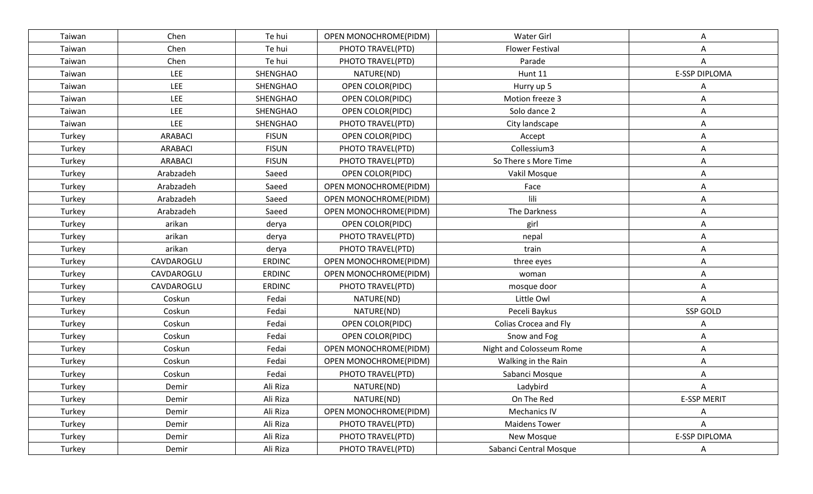| Taiwan | Chen           | Te hui        | OPEN MONOCHROME(PIDM)   | <b>Water Girl</b>        | Α                    |
|--------|----------------|---------------|-------------------------|--------------------------|----------------------|
| Taiwan | Chen           | Te hui        | PHOTO TRAVEL(PTD)       | <b>Flower Festival</b>   | Α                    |
| Taiwan | Chen           | Te hui        | PHOTO TRAVEL(PTD)       | Parade                   | A                    |
| Taiwan | <b>LEE</b>     | SHENGHAO      | NATURE(ND)              | Hunt 11                  | <b>E-SSP DIPLOMA</b> |
| Taiwan | <b>LEE</b>     | SHENGHAO      | <b>OPEN COLOR(PIDC)</b> | Hurry up 5               | Α                    |
| Taiwan | <b>LEE</b>     | SHENGHAO      | OPEN COLOR(PIDC)        | Motion freeze 3          | Α                    |
| Taiwan | <b>LEE</b>     | SHENGHAO      | OPEN COLOR(PIDC)        | Solo dance 2             | Α                    |
| Taiwan | LEE            | SHENGHAO      | PHOTO TRAVEL(PTD)       | City landscape           | Α                    |
| Turkey | <b>ARABACI</b> | <b>FISUN</b>  | OPEN COLOR(PIDC)        | Accept                   | Α                    |
| Turkey | <b>ARABACI</b> | <b>FISUN</b>  | PHOTO TRAVEL(PTD)       | Collessium3              | Α                    |
| Turkey | ARABACI        | <b>FISUN</b>  | PHOTO TRAVEL(PTD)       | So There s More Time     | Α                    |
| Turkey | Arabzadeh      | Saeed         | OPEN COLOR(PIDC)        | Vakil Mosque             | Α                    |
| Turkey | Arabzadeh      | Saeed         | OPEN MONOCHROME(PIDM)   | Face                     | Α                    |
| Turkey | Arabzadeh      | Saeed         | OPEN MONOCHROME(PIDM)   | lili                     | Α                    |
| Turkey | Arabzadeh      | Saeed         | OPEN MONOCHROME(PIDM)   | The Darkness             | Α                    |
| Turkey | arikan         | derya         | OPEN COLOR(PIDC)        | girl                     | Α                    |
| Turkey | arikan         | derya         | PHOTO TRAVEL(PTD)       | nepal                    | Α                    |
| Turkey | arikan         | derya         | PHOTO TRAVEL(PTD)       | train                    | Α                    |
| Turkey | CAVDAROGLU     | <b>ERDINC</b> | OPEN MONOCHROME(PIDM)   | three eyes               | Α                    |
| Turkey | CAVDAROGLU     | <b>ERDINC</b> | OPEN MONOCHROME(PIDM)   | woman                    | Α                    |
| Turkey | CAVDAROGLU     | <b>ERDINC</b> | PHOTO TRAVEL(PTD)       | mosque door              | Α                    |
| Turkey | Coskun         | Fedai         | NATURE(ND)              | Little Owl               | A                    |
| Turkey | Coskun         | Fedai         | NATURE(ND)              | Peceli Baykus            | SSP GOLD             |
| Turkey | Coskun         | Fedai         | OPEN COLOR(PIDC)        | Colias Crocea and Fly    | Α                    |
| Turkey | Coskun         | Fedai         | OPEN COLOR(PIDC)        | Snow and Fog             | Α                    |
| Turkey | Coskun         | Fedai         | OPEN MONOCHROME(PIDM)   | Night and Colosseum Rome | Α                    |
| Turkey | Coskun         | Fedai         | OPEN MONOCHROME(PIDM)   | Walking in the Rain      | Α                    |
| Turkey | Coskun         | Fedai         | PHOTO TRAVEL(PTD)       | Sabanci Mosque           | Α                    |
| Turkey | Demir          | Ali Riza      | NATURE(ND)              | Ladybird                 | Α                    |
| Turkey | Demir          | Ali Riza      | NATURE(ND)              | On The Red               | <b>E-SSP MERIT</b>   |
| Turkey | Demir          | Ali Riza      | OPEN MONOCHROME(PIDM)   | Mechanics IV             | A                    |
| Turkey | Demir          | Ali Riza      | PHOTO TRAVEL(PTD)       | <b>Maidens Tower</b>     | A                    |
| Turkey | Demir          | Ali Riza      | PHOTO TRAVEL(PTD)       | New Mosque               | E-SSP DIPLOMA        |
| Turkey | Demir          | Ali Riza      | PHOTO TRAVEL(PTD)       | Sabanci Central Mosque   | A                    |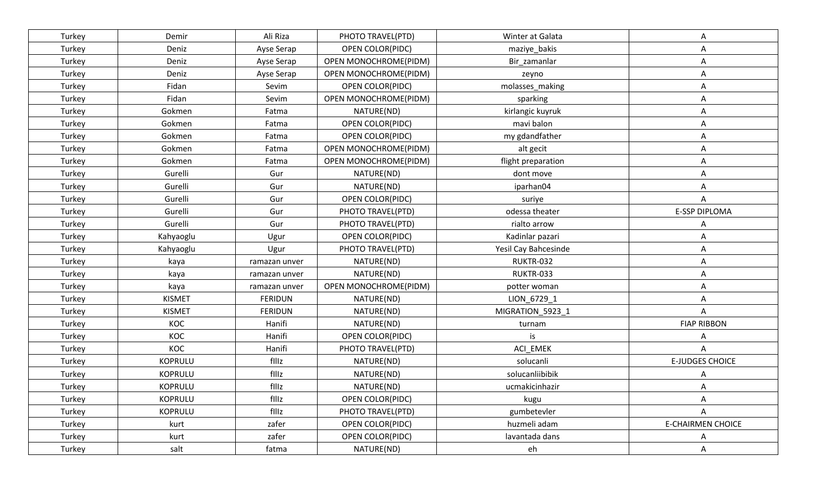| Turkey | Demir          | Ali Riza       | PHOTO TRAVEL(PTD)     | Winter at Galata     | Α                        |
|--------|----------------|----------------|-----------------------|----------------------|--------------------------|
| Turkey | Deniz          | Ayse Serap     | OPEN COLOR(PIDC)      | maziye_bakis         | Α                        |
| Turkey | Deniz          | Ayse Serap     | OPEN MONOCHROME(PIDM) | Bir zamanlar         | Α                        |
| Turkey | Deniz          | Ayse Serap     | OPEN MONOCHROME(PIDM) | zeyno                | Α                        |
| Turkey | Fidan          | Sevim          | OPEN COLOR(PIDC)      | molasses_making      | Α                        |
| Turkey | Fidan          | Sevim          | OPEN MONOCHROME(PIDM) | sparking             | Α                        |
| Turkey | Gokmen         | Fatma          | NATURE(ND)            | kirlangic kuyruk     | Α                        |
| Turkey | Gokmen         | Fatma          | OPEN COLOR(PIDC)      | mavi balon           | Α                        |
| Turkey | Gokmen         | Fatma          | OPEN COLOR(PIDC)      | my gdandfather       | Α                        |
| Turkey | Gokmen         | Fatma          | OPEN MONOCHROME(PIDM) | alt gecit            | Α                        |
| Turkey | Gokmen         | Fatma          | OPEN MONOCHROME(PIDM) | flight preparation   | Α                        |
| Turkey | Gurelli        | Gur            | NATURE(ND)            | dont move            | A                        |
| Turkey | Gurelli        | Gur            | NATURE(ND)            | iparhan04            | Α                        |
| Turkey | Gurelli        | Gur            | OPEN COLOR(PIDC)      | suriye               | Α                        |
| Turkey | Gurelli        | Gur            | PHOTO TRAVEL(PTD)     | odessa theater       | <b>E-SSP DIPLOMA</b>     |
| Turkey | Gurelli        | Gur            | PHOTO TRAVEL(PTD)     | rialto arrow         | Α                        |
| Turkey | Kahyaoglu      | Ugur           | OPEN COLOR(PIDC)      | Kadinlar pazari      | Α                        |
| Turkey | Kahyaoglu      | Ugur           | PHOTO TRAVEL(PTD)     | Yesil Cay Bahcesinde | Α                        |
| Turkey | kaya           | ramazan unver  | NATURE(ND)            | RUKTR-032            | Α                        |
| Turkey | kaya           | ramazan unver  | NATURE(ND)            | RUKTR-033            | Α                        |
| Turkey | kaya           | ramazan unver  | OPEN MONOCHROME(PIDM) | potter woman         | Α                        |
| Turkey | <b>KISMET</b>  | <b>FERIDUN</b> | NATURE(ND)            | LION_6729_1          | Α                        |
| Turkey | <b>KISMET</b>  | <b>FERIDUN</b> | NATURE(ND)            | MIGRATION_5923_1     | Α                        |
| Turkey | KOC            | Hanifi         | NATURE(ND)            | turnam               | <b>FIAP RIBBON</b>       |
| Turkey | KOC            | Hanifi         | OPEN COLOR(PIDC)      | is                   | Α                        |
| Turkey | KOC            | Hanifi         | PHOTO TRAVEL(PTD)     | ACI_EMEK             | Α                        |
| Turkey | <b>KOPRULU</b> | filiz          | NATURE(ND)            | solucanli            | <b>E-JUDGES CHOICE</b>   |
| Turkey | <b>KOPRULU</b> | filiz          | NATURE(ND)            | solucanliibibik      |                          |
| Turkey | KOPRULU        | filiz          | NATURE(ND)            | ucmakicinhazir       | Α                        |
| Turkey | <b>KOPRULU</b> | filiz          | OPEN COLOR(PIDC)      | kugu                 | Α                        |
| Turkey | <b>KOPRULU</b> | filiz          | PHOTO TRAVEL(PTD)     | gumbetevler          | A                        |
| Turkey | kurt           | zafer          | OPEN COLOR(PIDC)      | huzmeli adam         | <b>E-CHAIRMEN CHOICE</b> |
| Turkey | kurt           | zafer          | OPEN COLOR(PIDC)      | lavantada dans       | A                        |
| Turkey | salt           | fatma          | NATURE(ND)            | eh                   | A                        |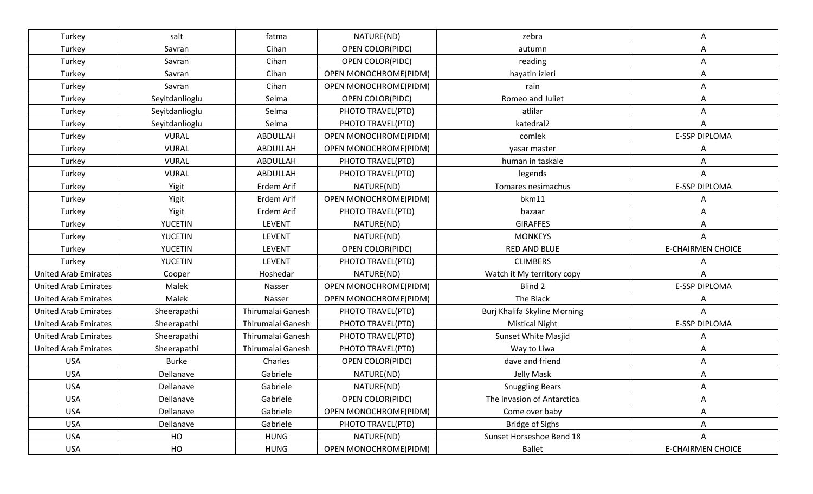| Turkey                      | salt           | fatma             | NATURE(ND)              | zebra                        | Α                        |
|-----------------------------|----------------|-------------------|-------------------------|------------------------------|--------------------------|
| Turkey                      | Savran         | Cihan             | <b>OPEN COLOR(PIDC)</b> | autumn                       | A                        |
| Turkey                      | Savran         | Cihan             | OPEN COLOR(PIDC)        | reading                      | Α                        |
| Turkey                      | Savran         | Cihan             | OPEN MONOCHROME(PIDM)   | hayatin izleri               | Α                        |
| Turkey                      | Savran         | Cihan             | OPEN MONOCHROME(PIDM)   | rain                         | Α                        |
| Turkey                      | Seyitdanlioglu | Selma             | OPEN COLOR(PIDC)        | Romeo and Juliet             | Α                        |
| Turkey                      | Seyitdanlioglu | Selma             | PHOTO TRAVEL(PTD)       | atlilar                      | Α                        |
| Turkey                      | Seyitdanlioglu | Selma             | PHOTO TRAVEL(PTD)       | katedral <sub>2</sub>        | A                        |
| Turkey                      | <b>VURAL</b>   | ABDULLAH          | OPEN MONOCHROME(PIDM)   | comlek                       | <b>E-SSP DIPLOMA</b>     |
| Turkey                      | <b>VURAL</b>   | ABDULLAH          | OPEN MONOCHROME(PIDM)   | yasar master                 |                          |
| Turkey                      | <b>VURAL</b>   | ABDULLAH          | PHOTO TRAVEL(PTD)       | human in taskale             |                          |
| Turkey                      | <b>VURAL</b>   | ABDULLAH          | PHOTO TRAVEL(PTD)       | legends                      | Α                        |
| Turkey                      | Yigit          | Erdem Arif        | NATURE(ND)              | Tomares nesimachus           | <b>E-SSP DIPLOMA</b>     |
| Turkey                      | Yigit          | Erdem Arif        | OPEN MONOCHROME(PIDM)   | bkm11                        |                          |
| Turkey                      | Yigit          | Erdem Arif        | PHOTO TRAVEL(PTD)       | bazaar                       | Α                        |
| Turkey                      | <b>YUCETIN</b> | <b>LEVENT</b>     | NATURE(ND)              | <b>GIRAFFES</b>              | Α                        |
| Turkey                      | <b>YUCETIN</b> | <b>LEVENT</b>     | NATURE(ND)              | <b>MONKEYS</b>               | Α                        |
| Turkey                      | <b>YUCETIN</b> | <b>LEVENT</b>     | OPEN COLOR(PIDC)        | RED AND BLUE                 | <b>E-CHAIRMEN CHOICE</b> |
| Turkey                      | <b>YUCETIN</b> | <b>LEVENT</b>     | PHOTO TRAVEL(PTD)       | <b>CLIMBERS</b>              | Α                        |
| <b>United Arab Emirates</b> | Cooper         | Hoshedar          | NATURE(ND)              | Watch it My territory copy   | A                        |
| <b>United Arab Emirates</b> | Malek          | Nasser            | OPEN MONOCHROME(PIDM)   | Blind 2                      | E-SSP DIPLOMA            |
| <b>United Arab Emirates</b> | Malek          | Nasser            | OPEN MONOCHROME(PIDM)   | The Black                    | Α                        |
| <b>United Arab Emirates</b> | Sheerapathi    | Thirumalai Ganesh | PHOTO TRAVEL(PTD)       | Burj Khalifa Skyline Morning | A                        |
| <b>United Arab Emirates</b> | Sheerapathi    | Thirumalai Ganesh | PHOTO TRAVEL(PTD)       | <b>Mistical Night</b>        | <b>E-SSP DIPLOMA</b>     |
| <b>United Arab Emirates</b> | Sheerapathi    | Thirumalai Ganesh | PHOTO TRAVEL(PTD)       | Sunset White Masjid          | Α                        |
| <b>United Arab Emirates</b> | Sheerapathi    | Thirumalai Ganesh | PHOTO TRAVEL(PTD)       | Way to Liwa                  | A                        |
| <b>USA</b>                  | <b>Burke</b>   | Charles           | OPEN COLOR(PIDC)        | dave and friend              | Α                        |
| <b>USA</b>                  | Dellanave      | Gabriele          | NATURE(ND)              | Jelly Mask                   | Α                        |
| <b>USA</b>                  | Dellanave      | Gabriele          | NATURE(ND)              | <b>Snuggling Bears</b>       |                          |
| <b>USA</b>                  | Dellanave      | Gabriele          | OPEN COLOR(PIDC)        | The invasion of Antarctica   | Α                        |
| <b>USA</b>                  | Dellanave      | Gabriele          | OPEN MONOCHROME(PIDM)   | Come over baby               | A                        |
| <b>USA</b>                  | Dellanave      | Gabriele          | PHOTO TRAVEL(PTD)       | <b>Bridge of Sighs</b>       | A                        |
| <b>USA</b>                  | HO             | <b>HUNG</b>       | NATURE(ND)              | Sunset Horseshoe Bend 18     | A                        |
| USA                         | HO             | <b>HUNG</b>       | OPEN MONOCHROME(PIDM)   | Ballet                       | <b>E-CHAIRMEN CHOICE</b> |
|                             |                |                   |                         |                              |                          |